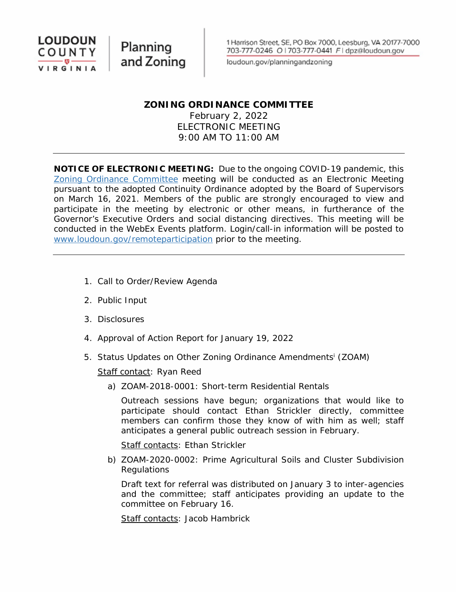

Planning and Zoning

loudoun.gov/planningandzoning

### **ZONING ORDINANCE COMMITTEE**

February 2, 2022 ELECTRONIC MEETING 9:00 AM TO 11:00 AM

**NOTICE OF ELECTRONIC MEETING:** Due to the ongoing COVID-19 pandemic, this Zoning Ordinance Committee meeting will be conducted as an Electronic Meeting pursuant to the adopted Continuity Ordinance adopted by the Board of Supervisors on March 16, 2021. Members of the public are strongly encouraged to view and participate in the meeting by electronic or other means, in furtherance of the Governor's Executive Orders and social distancing directives. This meeting will be conducted in the WebEx Events platform. Login/call-in information will be posted to www.loudoun.gov/remoteparticipation prior to the meeting.

- 1. Call to Order/Review Agenda
- 2. Public Input
- 3. Disclosures
- 4. Approval of Action Report for January 19, 2022
- 5. Status Updates on Other Zoning Ordinance Amendmentsi (ZOAM)

Staff contact: Ryan Reed

a) ZOAM-2018-0001: Short-term Residential Rentals

Outreach sessions have begun; organizations that would like to participate should contact Ethan Strickler directly, committee members can confirm those they know of with him as well; staff anticipates a general public outreach session in February.

Staff contacts: Ethan Strickler

b) ZOAM-2020-0002: Prime Agricultural Soils and Cluster Subdivision **Regulations** 

Draft text for referral was distributed on January 3 to inter-agencies and the committee; staff anticipates providing an update to the committee on February 16.

Staff contacts: Jacob Hambrick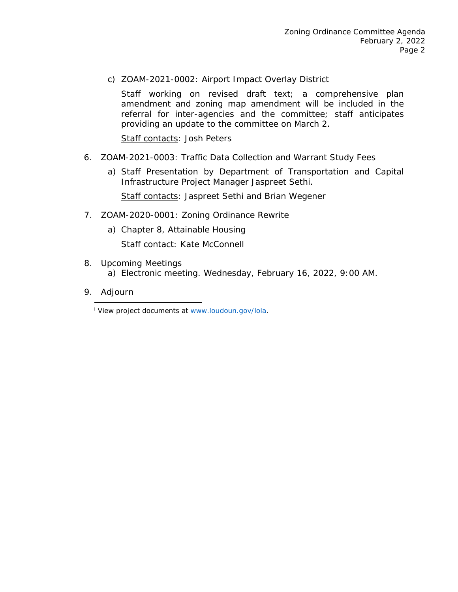c) ZOAM-2021-0002: Airport Impact Overlay District

Staff working on revised draft text; a comprehensive plan amendment and zoning map amendment will be included in the referral for inter-agencies and the committee; staff anticipates providing an update to the committee on March 2.

Staff contacts: Josh Peters

- 6. ZOAM-2021-0003: Traffic Data Collection and Warrant Study Fees
	- a) Staff Presentation by Department of Transportation and Capital Infrastructure Project Manager Jaspreet Sethi.

Staff contacts: Jaspreet Sethi and Brian Wegener

- 7. ZOAM-2020-0001: Zoning Ordinance Rewrite
	- a) Chapter 8, Attainable Housing

Staff contact: Kate McConnell

- 8. Upcoming Meetings a) Electronic meeting. Wednesday, February 16, 2022, 9:00 AM.
- 9. Adjourn

<sup>i</sup> View project documents at www.loudoun.gov/lola.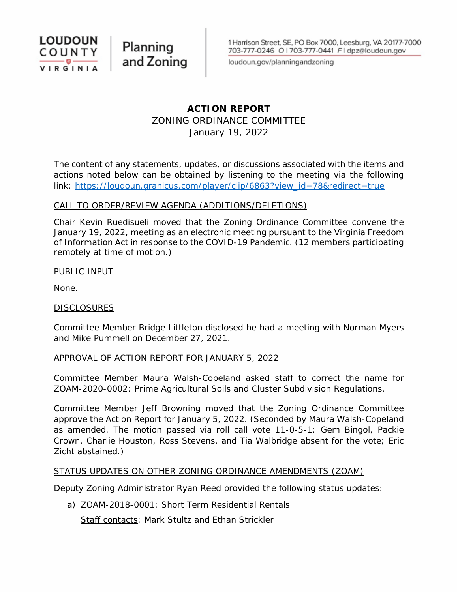

Planning and Zoning

loudoun.gov/planningandzoning

### **ACTION REPORT** ZONING ORDINANCE COMMITTEE January 19, 2022

The content of any statements, updates, or discussions associated with the items and actions noted below can be obtained by listening to the meeting via the following link: https://loudoun.granicus.com/player/clip/6863?view\_id=78&redirect=true

### CALL TO ORDER/REVIEW AGENDA (ADDITIONS/DELETIONS)

Chair Kevin Ruedisueli moved that the Zoning Ordinance Committee convene the January 19, 2022, meeting as an electronic meeting pursuant to the Virginia Freedom of Information Act in response to the COVID-19 Pandemic. (12 members participating remotely at time of motion.)

PUBLIC INPUT

None.

### **DISCLOSURES**

Committee Member Bridge Littleton disclosed he had a meeting with Norman Myers and Mike Pummell on December 27, 2021.

### APPROVAL OF ACTION REPORT FOR JANUARY 5, 2022

Committee Member Maura Walsh-Copeland asked staff to correct the name for ZOAM-2020-0002: Prime Agricultural Soils and Cluster Subdivision Regulations.

Committee Member Jeff Browning moved that the Zoning Ordinance Committee approve the Action Report for January 5, 2022. (Seconded by Maura Walsh-Copeland as amended. The motion passed via roll call vote 11-0-5-1: Gem Bingol, Packie Crown, Charlie Houston, Ross Stevens, and Tia Walbridge absent for the vote; Eric Zicht abstained.)

### STATUS UPDATES ON OTHER ZONING ORDINANCE AMENDMENTS (ZOAM)

Deputy Zoning Administrator Ryan Reed provided the following status updates:

a) ZOAM-2018-0001: Short Term Residential Rentals Staff contacts: Mark Stultz and Ethan Strickler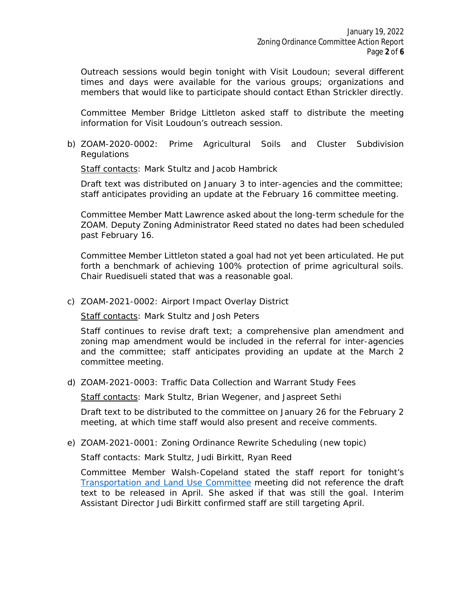Outreach sessions would begin tonight with Visit Loudoun; several different times and days were available for the various groups; organizations and members that would like to participate should contact Ethan Strickler directly.

Committee Member Bridge Littleton asked staff to distribute the meeting information for Visit Loudoun's outreach session.

b) ZOAM-2020-0002: Prime Agricultural Soils and Cluster Subdivision **Regulations** 

Staff contacts: Mark Stultz and Jacob Hambrick

Draft text was distributed on January 3 to inter-agencies and the committee; staff anticipates providing an update at the February 16 committee meeting.

Committee Member Matt Lawrence asked about the long-term schedule for the ZOAM. Deputy Zoning Administrator Reed stated no dates had been scheduled past February 16.

Committee Member Littleton stated a goal had not yet been articulated. He put forth a benchmark of achieving 100% protection of prime agricultural soils. Chair Ruedisueli stated that was a reasonable goal.

c) ZOAM-2021-0002: Airport Impact Overlay District

Staff contacts: Mark Stultz and Josh Peters

Staff continues to revise draft text; a comprehensive plan amendment and zoning map amendment would be included in the referral for inter-agencies and the committee; staff anticipates providing an update at the March 2 committee meeting.

d) ZOAM-2021-0003: Traffic Data Collection and Warrant Study Fees

Staff contacts: Mark Stultz, Brian Wegener, and Jaspreet Sethi

Draft text to be distributed to the committee on January 26 for the February 2 meeting, at which time staff would also present and receive comments.

e) ZOAM-2021-0001: Zoning Ordinance Rewrite Scheduling (new topic)

Staff contacts: Mark Stultz, Judi Birkitt, Ryan Reed

Committee Member Walsh-Copeland stated the staff report for tonight's Transportation and Land Use Committee meeting did not reference the draft text to be released in April. She asked if that was still the goal. Interim Assistant Director Judi Birkitt confirmed staff are still targeting April.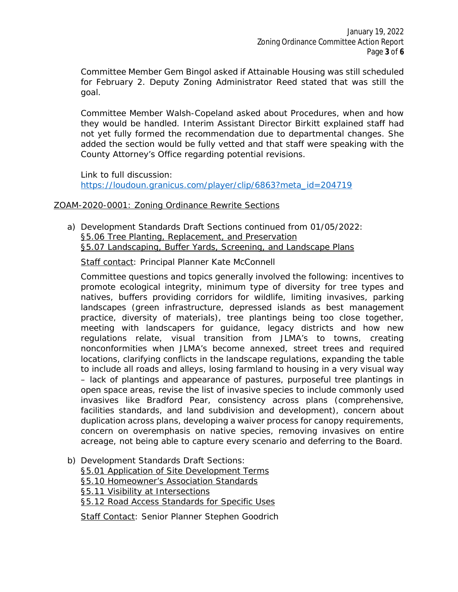Committee Member Gem Bingol asked if Attainable Housing was still scheduled for February 2. Deputy Zoning Administrator Reed stated that was still the goal.

Committee Member Walsh-Copeland asked about Procedures, when and how they would be handled. Interim Assistant Director Birkitt explained staff had not yet fully formed the recommendation due to departmental changes. She added the section would be fully vetted and that staff were speaking with the County Attorney's Office regarding potential revisions.

Link to full discussion: https://loudoun.granicus.com/player/clip/6863?meta\_id=204719

### ZOAM-2020-0001: Zoning Ordinance Rewrite Sections

a) Development Standards Draft Sections continued from 01/05/2022: §5.06 Tree Planting, Replacement, and Preservation §5.07 Landscaping, Buffer Yards, Screening, and Landscape Plans

Staff contact: Principal Planner Kate McConnell

Committee questions and topics generally involved the following: incentives to promote ecological integrity, minimum type of diversity for tree types and natives, buffers providing corridors for wildlife, limiting invasives, parking landscapes (green infrastructure, depressed islands as best management practice, diversity of materials), tree plantings being too close together, meeting with landscapers for guidance, legacy districts and how new regulations relate, visual transition from JLMA's to towns, creating nonconformities when JLMA's become annexed, street trees and required locations, clarifying conflicts in the landscape regulations, expanding the table to include all roads and alleys, losing farmland to housing in a very visual way – lack of plantings and appearance of pastures, purposeful tree plantings in open space areas, revise the list of invasive species to include commonly used invasives like Bradford Pear, consistency across plans (comprehensive, facilities standards, and land subdivision and development), concern about duplication across plans, developing a waiver process for canopy requirements, concern on overemphasis on native species, removing invasives on entire acreage, not being able to capture every scenario and deferring to the Board.

b) Development Standards Draft Sections: §5.01 Application of Site Development Terms §5.10 Homeowner's Association Standards §5.11 Visibility at Intersections §5.12 Road Access Standards for Specific Uses

Staff Contact: Senior Planner Stephen Goodrich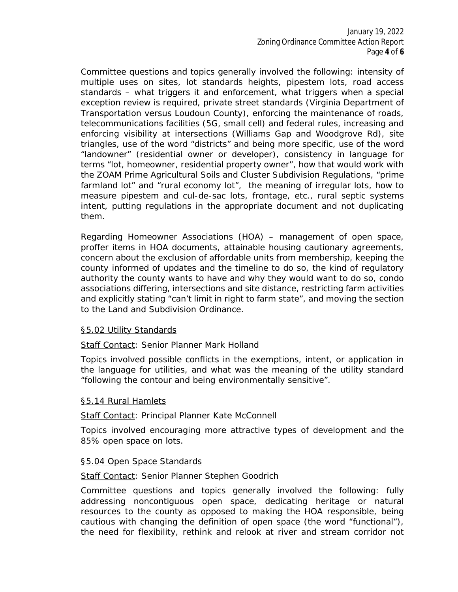Committee questions and topics generally involved the following: intensity of multiple uses on sites, lot standards heights, pipestem lots, road access standards – what triggers it and enforcement, what triggers when a special exception review is required, private street standards (Virginia Department of Transportation versus Loudoun County), enforcing the maintenance of roads, telecommunications facilities (5G, small cell) and federal rules, increasing and enforcing visibility at intersections (Williams Gap and Woodgrove Rd), site triangles, use of the word "districts" and being more specific, use of the word "landowner" (residential owner or developer), consistency in language for terms "lot, homeowner, residential property owner", how that would work with the ZOAM Prime Agricultural Soils and Cluster Subdivision Regulations, "prime farmland lot" and "rural economy lot", the meaning of irregular lots, how to measure pipestem and cul-de-sac lots, frontage, etc., rural septic systems intent, putting regulations in the appropriate document and not duplicating them.

Regarding Homeowner Associations (HOA) – management of open space, proffer items in HOA documents, attainable housing cautionary agreements, concern about the exclusion of affordable units from membership, keeping the county informed of updates and the timeline to do so, the kind of regulatory authority the county wants to have and why they would want to do so, condo associations differing, intersections and site distance, restricting farm activities and explicitly stating "can't limit in *right to farm* state", and moving the section to the Land and Subdivision Ordinance.

### §5.02 Utility Standards

### Staff Contact: Senior Planner Mark Holland

Topics involved possible conflicts in the exemptions, intent, or application in the language for utilities, and what was the meaning of the utility standard "following the contour and being environmentally sensitive".

### §5.14 Rural Hamlets

### Staff Contact: Principal Planner Kate McConnell

Topics involved encouraging more attractive types of development and the 85% open space on lots.

### §5.04 Open Space Standards

### Staff Contact: Senior Planner Stephen Goodrich

Committee questions and topics generally involved the following: fully addressing noncontiguous open space, dedicating heritage or natural resources to the county as opposed to making the HOA responsible, being cautious with changing the definition of open space (the word "functional"), the need for flexibility, rethink and relook at river and stream corridor not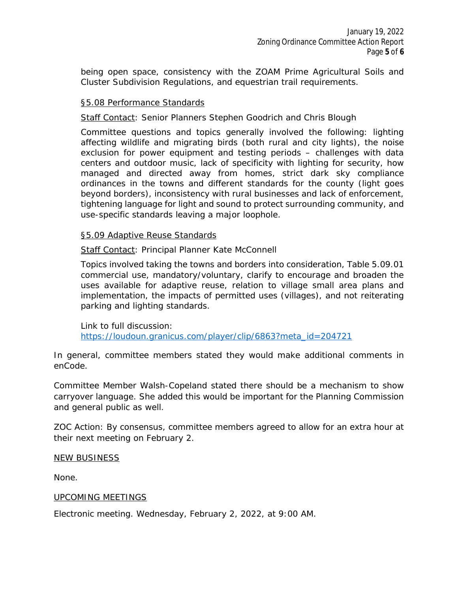being open space, consistency with the ZOAM Prime Agricultural Soils and Cluster Subdivision Regulations, and equestrian trail requirements.

### §5.08 Performance Standards

Staff Contact: Senior Planners Stephen Goodrich and Chris Blough

Committee questions and topics generally involved the following: lighting affecting wildlife and migrating birds (both rural and city lights), the noise exclusion for power equipment and testing periods – challenges with data centers and outdoor music, lack of specificity with lighting for security, how managed and directed away from homes, strict dark sky compliance ordinances in the towns and different standards for the county (light goes beyond borders), inconsistency with rural businesses and lack of enforcement, tightening language for light and sound to protect surrounding community, and use-specific standards leaving a major loophole.

### §5.09 Adaptive Reuse Standards

Staff Contact: Principal Planner Kate McConnell

Topics involved taking the towns and borders into consideration, Table 5.09.01 commercial use, mandatory/voluntary, clarify to encourage and broaden the uses available for adaptive reuse, relation to village small area plans and implementation, the impacts of permitted uses (villages), and not reiterating parking and lighting standards.

Link to full discussion: https://loudoun.granicus.com/player/clip/6863?meta\_id=204721

In general, committee members stated they would make additional comments in enCode.

Committee Member Walsh-Copeland stated there should be a mechanism to show carryover language. She added this would be important for the Planning Commission and general public as well.

*ZOC Action*: By consensus, committee members agreed to allow for an extra hour at their next meeting on February 2.

### NEW BUSINESS

None.

### UPCOMING MEETINGS

Electronic meeting. Wednesday, February 2, 2022, at 9:00 AM.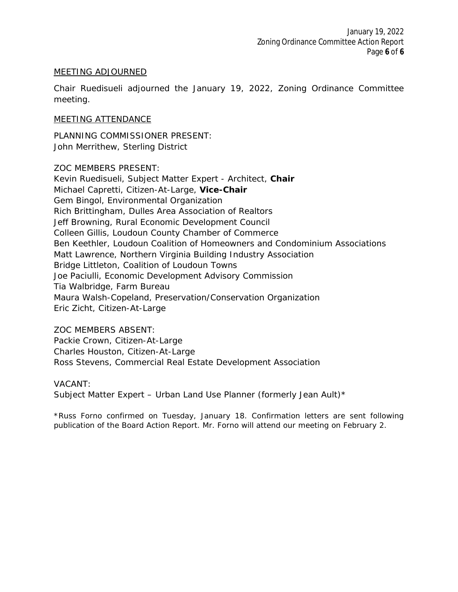### MEETING ADJOURNED

Chair Ruedisueli adjourned the January 19, 2022, Zoning Ordinance Committee meeting.

### MEETING ATTENDANCE

PLANNING COMMISSIONER PRESENT: John Merrithew, Sterling District

ZOC MEMBERS PRESENT:

Kevin Ruedisueli, Subject Matter Expert - Architect, *Chair* Michael Capretti, Citizen-At-Large, *Vice-Chair* Gem Bingol, Environmental Organization Rich Brittingham, Dulles Area Association of Realtors Jeff Browning, Rural Economic Development Council Colleen Gillis, Loudoun County Chamber of Commerce Ben Keethler, Loudoun Coalition of Homeowners and Condominium Associations Matt Lawrence, Northern Virginia Building Industry Association Bridge Littleton, Coalition of Loudoun Towns Joe Paciulli, Economic Development Advisory Commission Tia Walbridge, Farm Bureau Maura Walsh-Copeland, Preservation/Conservation Organization Eric Zicht, Citizen-At-Large

### ZOC MEMBERS ABSENT:

Packie Crown, Citizen-At-Large Charles Houston, Citizen-At-Large Ross Stevens, Commercial Real Estate Development Association

### VACANT:

Subject Matter Expert - Urban Land Use Planner (formerly Jean Ault)\*

*\*Russ Forno confirmed on Tuesday, January 18. Confirmation letters are sent following publication of the Board Action Report. Mr. Forno will attend our meeting on February 2.*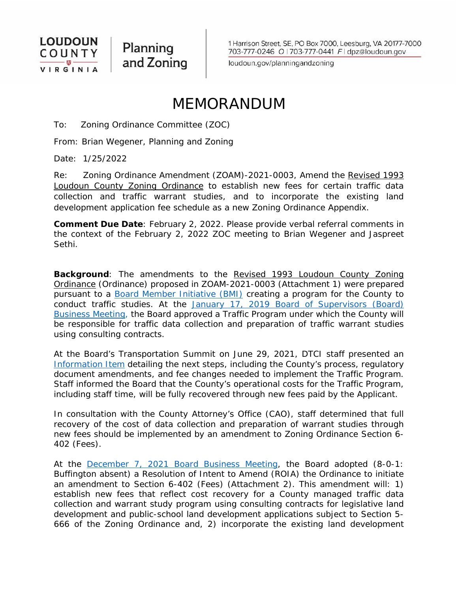

Planning and Zoning

loudoun.gov/planningandzoning

# MEMORANDUM

To: Zoning Ordinance Committee (ZOC)

From: Brian Wegener, Planning and Zoning

Date: 1/25/2022

Re: Zoning Ordinance Amendment (ZOAM)-2021-0003, Amend the Revised 1993 Loudoun County Zoning Ordinance to establish new fees for certain traffic data collection and traffic warrant studies, and to incorporate the existing land development application fee schedule as a new Zoning Ordinance Appendix.

**Comment Due Date**: February 2, 2022. Please provide verbal referral comments in the context of the February 2, 2022 ZOC meeting to Brian Wegener and Jaspreet Sethi.

**Background**: The amendments to the Revised 1993 Loudoun County Zoning Ordinance (Ordinance) proposed in ZOAM-2021-0003 (Attachment 1) were prepared pursuant to a [Board Member Initiative \(BMI\)](https://lfportal.loudoun.gov/LFPortalinternet/0/edoc/268386/Item%2010%20BMI%20County%20Performed%20Traffic%20Studies%20for%20Legislative%20Items.pdf) creating a program for the County to conduct traffic studies. At the January 17, 2019 Board of Supervisors (Board) [Business Meeting, t](file://colfs01/countyadmin/BOS%20Staff%20Report%20Review/2019/Business%20Meetings/01-17-19/Finals/Item%2013d%20FGOEDC-Response%20to%20BMI-County%20Performed%20Traffic%20Studies.pdf)he Board approved a Traffic Program under which the County will be responsible for traffic data collection and preparation of traffic warrant studies using consulting contracts.

At the Board's Transportation Summit on June 29, 2021, DTCI staff presented an [Information Item](file://colfs01/countyadmin/BOS%20Staff%20Report%20Review/2021/Special%20Meetings/06-29-21%20Transportation%20Summit/Finals/Item%20I-5%20Data%20Collection%20&%20Signal%20Warrant%20Analysis%20for%20LDAs.pdf) detailing the next steps, including the County's process, regulatory document amendments, and fee changes needed to implement the Traffic Program. Staff informed the Board that the County's operational costs for the Traffic Program, including staff time, will be fully recovered through new fees paid by the Applicant.

In consultation with the County Attorney's Office (CAO), staff determined that full recovery of the cost of data collection and preparation of warrant studies through new fees should be implemented by an amendment to Zoning Ordinance Section 6- 402 (Fees).

At the [December 7, 2021 Board Business Meeting,](https://loudoun.granicus.com/MetaViewer.php?view_id=77&clip_id=6825&meta_id=202715) the Board adopted (8-0-1: Buffington absent) a Resolution of Intent to Amend (ROIA) the Ordinance to initiate an amendment to Section 6-402 (Fees) (Attachment 2). This amendment will: 1) establish new fees that reflect cost recovery for a County managed traffic data collection and warrant study program using consulting contracts for legislative land development and public-school land development applications subject to Section 5- 666 of the Zoning Ordinance and, 2) incorporate the existing land development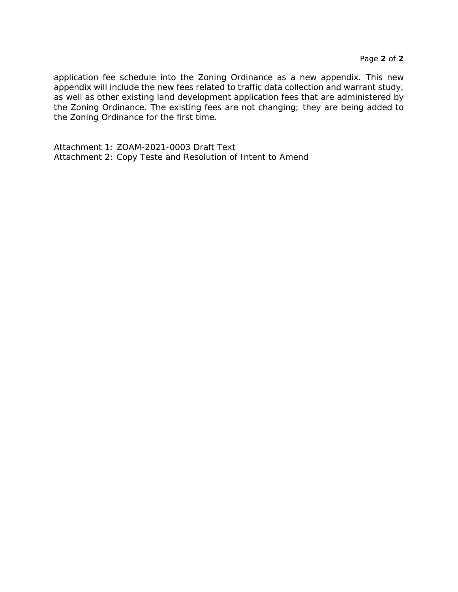application fee schedule into the Zoning Ordinance as a new appendix. This new appendix will include the new fees related to traffic data collection and warrant study, as well as other existing land development application fees that are administered by the Zoning Ordinance. The existing fees are not changing; they are being added to the Zoning Ordinance for the first time.

Attachment 1: ZOAM-2021-0003 Draft Text Attachment 2: Copy Teste and Resolution of Intent to Amend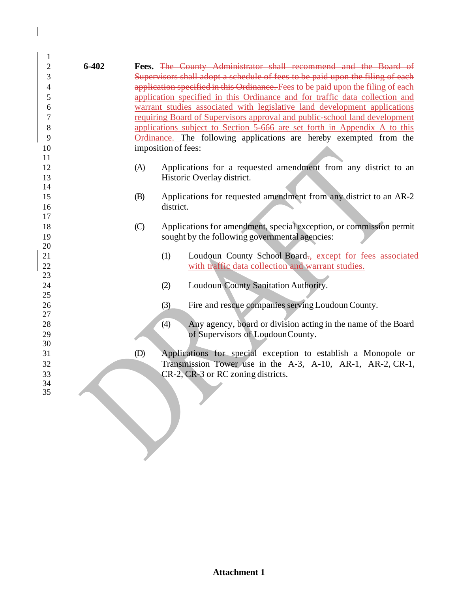| 1        |           |                           |                                                                                  |
|----------|-----------|---------------------------|----------------------------------------------------------------------------------|
| 2        | $6 - 402$ |                           | Fees. The County Administrator shall recommend and the Board of                  |
| 3        |           |                           | Supervisors shall adopt a schedule of fees to be paid upon the filing of each    |
| 4        |           |                           | application specified in this Ordinance. Fees to be paid upon the filing of each |
| 5        |           |                           | application specified in this Ordinance and for traffic data collection and      |
| 6        |           |                           | warrant studies associated with legislative land development applications        |
| 7        |           |                           | requiring Board of Supervisors approval and public-school land development       |
| 8        |           |                           | applications subject to Section 5-666 are set forth in Appendix A to this        |
| 9        |           |                           | Ordinance. The following applications are hereby exempted from the               |
| 10       |           |                           | imposition of fees:                                                              |
| 11       |           |                           |                                                                                  |
| 12       |           | (A)                       | Applications for a requested amendment from any district to an                   |
| 13       |           |                           | Historic Overlay district.                                                       |
| 14       |           |                           |                                                                                  |
| 15       |           | (B)                       | Applications for requested amendment from any district to an AR-2                |
| 16       |           |                           | district.                                                                        |
| 17       |           |                           |                                                                                  |
| 18       |           | $\left(\mathrm{C}\right)$ | Applications for amendment, special exception, or commission permit              |
| 19       |           |                           | sought by the following governmental agencies:                                   |
| 20       |           |                           |                                                                                  |
| 21       |           |                           | (1)<br>Loudoun County School Board-, except for fees associated                  |
| 22       |           |                           | with traffic data collection and warrant studies.                                |
| 23       |           |                           |                                                                                  |
| 24       |           |                           | Loudoun County Sanitation Authority.<br>(2)                                      |
| 25       |           |                           |                                                                                  |
| 26       |           |                           | Fire and rescue companies serving Loudoun County.<br>(3)                         |
| 27       |           |                           |                                                                                  |
| 28       |           |                           | Any agency, board or division acting in the name of the Board<br>(4)             |
| 29       |           |                           | of Supervisors of LoudounCounty.                                                 |
| 30       |           |                           |                                                                                  |
| 31       |           | (D)                       | Applications for special exception to establish a Monopole or                    |
| 32       |           |                           | Transmission Tower use in the A-3, A-10, AR-1, AR-2, CR-1,                       |
| 33<br>34 |           |                           | CR-2, CR-3 or RC zoning districts.                                               |
| 35       |           |                           |                                                                                  |
|          |           |                           |                                                                                  |
|          |           |                           |                                                                                  |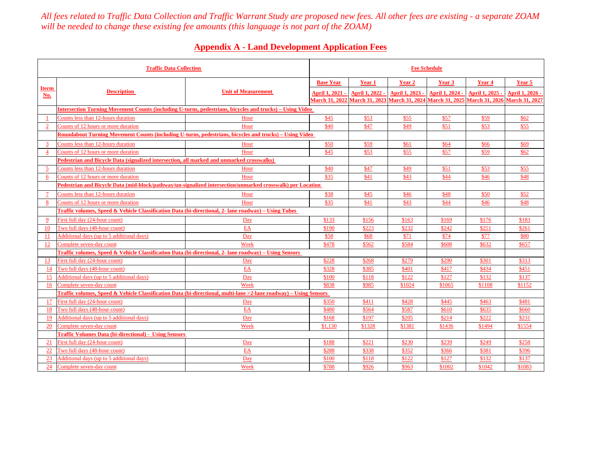*All fees related to Traffic Data Collection and Traffic Warrant Study are proposed new fees. All other fees are existing - a separate ZOAMwill be needed to change these existing fee amounts (this language is not part of the ZOAM)*

### **Appendix A - Land Development Application Fees**

| <b>Traffic Data Collection</b> |                                                                                                                   |                            | <b>Fee Schedule</b>    |                               |                       |                       |                       |                       |
|--------------------------------|-------------------------------------------------------------------------------------------------------------------|----------------------------|------------------------|-------------------------------|-----------------------|-----------------------|-----------------------|-----------------------|
|                                |                                                                                                                   |                            | <b>Base Year</b>       | Year 1                        | Year 2                | Year 3                | Year 4                | Year 5                |
| <b>Iterm</b><br>No.            | <b>Description</b>                                                                                                | <b>Unit of Measurement</b> | <b>April 1, 2021 -</b> | April 1, 2022 -               | April 1, 2023 -       | April 1, 2024 -       | April 1, 2025 -       | April 1, 2026 -       |
|                                |                                                                                                                   |                            |                        | March 31, 2022 March 31, 2023 | <b>March 31, 2024</b> | <b>March 31, 2025</b> | <b>March 31, 2026</b> | <b>March 31, 2027</b> |
|                                | Intersection Turning Movement Counts (including U-turns, pedestrians, bicycles and trucks) – Using Video          |                            |                        |                               |                       |                       |                       |                       |
|                                | Counts less than 12-hours duration                                                                                | Hour                       | \$45                   | \$53                          | \$55                  | \$57                  | \$59                  | \$62                  |
| $\overline{2}$                 | Counts of 12 hours or more duration                                                                               | Hour                       | \$40                   | \$47                          | \$49                  | \$51                  | \$53                  | \$55                  |
|                                | Roundabout Turning Movement Counts (including U-turns, pedestrians, bicycles and trucks) – Using Video            |                            |                        |                               |                       |                       |                       |                       |
| 3                              | Counts less than 12-hours duration                                                                                | Hour                       | \$50                   | \$59                          | \$61                  | \$64                  | \$66                  | \$69                  |
| $\overline{4}$                 | Counts of 12 hours or more duration                                                                               | Hour                       | \$45                   | \$53                          | \$55                  | \$57                  | \$59                  | \$62                  |
|                                | Pedestrian and Bicycle Data (signalized intersection, all marked and unmarked crosswalks)                         |                            |                        |                               |                       |                       |                       |                       |
| 5                              | Counts less than 12-hours duration                                                                                | Hour                       | \$40                   | \$47                          | \$49                  | \$51                  | \$53                  | \$55                  |
| 6                              | Counts of 12 hours or more duration                                                                               | Hour                       | \$35                   | \$41                          | \$43                  | \$44                  | \$46                  | \$48                  |
|                                | Pedestrian and Bicycle Data (mid-block/pathway/un-signalized intersection/unmarked crosswalk) per Location        |                            |                        |                               |                       |                       |                       |                       |
| $\overline{7}$                 | Counts less than 12-hours duration                                                                                | Hour                       | \$38                   | \$45                          | \$46                  | \$48                  | \$50                  | \$52                  |
| 8                              | Counts of 12 hours or more duration                                                                               | Hour                       | \$35                   | \$41                          | \$43                  | \$44                  | \$46                  | \$48                  |
|                                | Traffic volumes, Speed & Vehicle Classification Data (bi-directional, 2- lane roadway) – Using Tubes              |                            |                        |                               |                       |                       |                       |                       |
| -9                             | First full day (24-hour count)                                                                                    | Day                        | \$133                  | \$156                         | \$163                 | \$169                 | \$176                 | \$183                 |
| <b>10</b>                      | Two full days (48-hour count)                                                                                     | EA                         | \$190                  | \$223                         | \$232                 | \$242                 | \$251                 | \$261                 |
| -11                            | Additional days (up to 5 additional days)                                                                         | Day                        | \$58                   | \$68                          | \$71                  | \$74                  | \$77                  | \$80                  |
| 12                             | Complete seven-day count                                                                                          | Week                       | \$478                  | \$562                         | \$584                 | \$608                 | \$632                 | \$657                 |
|                                | Traffic volumes, Speed & Vehicle Classification Data (bi-directional, 2- lane roadway) – Using Sensors            |                            |                        |                               |                       |                       |                       |                       |
| 13                             | First full day (24-hour count)                                                                                    | Day                        | \$228                  | \$268                         | \$279                 | \$290                 | \$301                 | \$313                 |
| -14                            | Two full days (48-hour count)                                                                                     | EA                         | \$328                  | \$385                         | \$401                 | \$417                 | \$434                 | \$451                 |
| 15                             | Additional days (up to 5 additional days)                                                                         | Day                        | \$100                  | \$118                         | \$122                 | \$127                 | \$132                 | \$137                 |
| 16                             | Complete seven-day count                                                                                          | Week                       | \$838                  | \$985                         | \$1024                | \$1065                | \$1108                | \$1152                |
|                                | Fraffic volumes, Speed & Vehicle Classification Data (bi-directional, multi-lane >2-lane roadway) – Using Sensors |                            |                        |                               |                       |                       |                       |                       |
| -17                            | First full day (24-hour count)                                                                                    | Day                        | \$350                  | \$411                         | \$428                 | \$445                 | \$463                 | \$481                 |
| 18                             | Two full days (48-hour count)                                                                                     | EA                         | \$480                  | \$564                         | \$587                 | \$610                 | \$635                 | \$660                 |
| 19                             | Additional days (up to 5 additional days)                                                                         | Day                        | \$168                  | \$197                         | \$205                 | \$214                 | \$222                 | \$231                 |
| <b>20</b>                      | Complete seven-day count                                                                                          | Week                       | \$1,130                | \$1328                        | \$1381                | \$1436                | \$1494                | \$1554                |
|                                | <b>Traffic Volumes Data (bi-directional) - Using Sensors</b>                                                      |                            |                        |                               |                       |                       |                       |                       |
| 21                             | First full day (24-hour count)                                                                                    | Day                        | \$188                  | \$221                         | \$230                 | \$239                 | \$249                 | \$258                 |
| 22                             | Two full days (48-hour count)                                                                                     | EA                         | \$288                  | \$338                         | \$352                 | \$366                 | \$381                 | \$396                 |
| 23                             | Additional days (up to 5 additional days)                                                                         | Day                        | \$100                  | \$118                         | \$122                 | \$127                 | \$132                 | \$137                 |
| 24                             | Complete seven-day count                                                                                          | Week                       | \$788                  | \$926                         | \$963                 | \$1002                | \$1042                | \$1083                |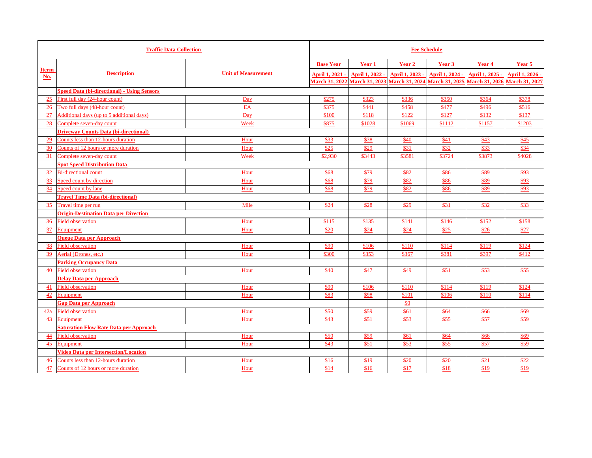| <b>Traffic Data Collection</b> |                                                    |                            | <b>Fee Schedule</b>   |                       |                 |                 |                                                             |                 |
|--------------------------------|----------------------------------------------------|----------------------------|-----------------------|-----------------------|-----------------|-----------------|-------------------------------------------------------------|-----------------|
|                                |                                                    |                            | <b>Base Year</b>      | Year 1                | Year 2          | Year 3          | Year 4                                                      | Year 5          |
| <b>Iterm</b><br>No.            | <b>Description</b>                                 | <b>Unit of Measurement</b> | April 1, 2021 -       | April 1, 2022 -       | April 1, 2023 - | April 1, 2024 - | April 1, 2025 -                                             | April 1, 2026 - |
|                                |                                                    |                            | <b>March 31, 2022</b> | <b>March 31, 2023</b> |                 |                 | March 31, 2024 March 31, 2025 March 31, 2026 March 31, 2027 |                 |
|                                | <b>Speed Data (bi-directional) - Using Sensors</b> |                            |                       |                       |                 |                 |                                                             |                 |
| 25                             | First full day (24-hour count)                     | Day                        | \$275                 | \$323                 | \$336           | \$350           | \$364                                                       | \$378           |
| 26                             | Two full days (48-hour count)                      | EA                         | \$375                 | \$441                 | \$458           | \$477           | \$496                                                       | \$516           |
| 27                             | Additional days (up to 5 additional days)          | Day                        | \$100                 | \$118                 | \$122           | \$127           | \$132                                                       | \$137           |
| 28                             | Complete seven-day count                           | Week                       | \$875                 | \$1028                | \$1069          | \$1112          | \$1157                                                      | \$1203          |
|                                | <b>Driveway Counts Data (bi-directional)</b>       |                            |                       |                       |                 |                 |                                                             |                 |
| 29                             | Counts less than 12-hours duration                 | Hour                       | \$33                  | \$38                  | \$40            | \$41            | \$43                                                        | \$45            |
| 30                             | Counts of 12 hours or more duration                | Hour                       | \$25                  | \$29                  | \$31            | \$32            | \$33                                                        | \$34            |
| $\frac{31}{}$                  | Complete seven-day count                           | Week                       | \$2,930               | \$3443                | \$3581          | \$3724          | \$3873                                                      | \$4028          |
|                                | <b>Spot Speed Distribution Data</b>                |                            |                       |                       |                 |                 |                                                             |                 |
| 32                             | <b>Bi-directional count</b>                        | Hour                       | \$68                  | \$79                  | \$82            | \$86            | \$89                                                        | \$93            |
| 33                             | Speed count by direction                           | Hour                       | \$68                  | \$79                  | \$82            | \$86            | \$89                                                        | \$93            |
| 34                             | Speed count by lane                                | Hour                       | \$68                  | \$79                  | \$82            | \$86            | \$89                                                        | \$93            |
|                                | <b>Travel Time Data (bi-directional)</b>           |                            |                       |                       |                 |                 |                                                             |                 |
| 35                             | Travel time per run                                | Mile                       | \$24                  | \$28                  | \$29            | \$31            | \$32                                                        | \$33            |
|                                | <b>Origin-Destination Data per Direction</b>       |                            |                       |                       |                 |                 |                                                             |                 |
| 36                             | <b>Field observation</b>                           | Hour                       | \$115                 | \$135                 | \$141           | \$146           | \$152                                                       | \$158           |
| 37                             | Equipment                                          | Hour                       | \$20                  | \$24                  | \$24            | \$25            | \$26                                                        | \$27            |
|                                | <b>Oueue Data per Approach</b>                     |                            |                       |                       |                 |                 |                                                             |                 |
| 38                             | <b>Field observation</b>                           | Hour                       | \$90                  | \$106                 | \$110           | \$114           | \$119                                                       | \$124           |
| 39                             | Aerial (Drones, etc.)                              | Hour                       | \$300                 | \$353                 | \$367           | \$381           | \$397                                                       | \$412           |
|                                | <b>Parking Occupancy Data</b>                      |                            |                       |                       |                 |                 |                                                             |                 |
| 40                             | <b>Field observation</b>                           | Hour                       | \$40                  | \$47                  | \$49            | \$51            | \$53                                                        | \$55            |
|                                | <b>Delay Data per Approach</b>                     |                            |                       |                       |                 |                 |                                                             |                 |
| 41                             | <b>Field observation</b>                           | Hour                       | \$90                  | \$106                 | \$110           | \$114           | \$119                                                       | \$124           |
| 42                             | Equipment                                          | Hour                       | \$83                  | \$98                  | \$101           | \$106           | \$110                                                       | \$114           |
|                                | <b>Gap Data per Approach</b>                       |                            |                       |                       | \$0             |                 |                                                             |                 |
| 42a                            | <b>Field observation</b>                           | Hour                       | \$50                  | \$59                  | \$61            | \$64            | \$66                                                        | \$69            |
| 43                             | Equipment                                          | Hour                       | \$43                  | \$51                  | \$53            | \$55            | \$57                                                        | \$59            |
|                                | <b>Saturation Flow Rate Data per Approach</b>      |                            |                       |                       |                 |                 |                                                             |                 |
| 44                             | <b>Field observation</b>                           | Hour                       | \$50                  | \$59                  | \$61            | \$64            | \$66                                                        | \$69            |
| 45                             | Equipment                                          | Hour                       | \$43                  | \$51                  | \$53            | \$55            | \$57                                                        | \$59            |
|                                | <b>Video Data per Intersection/Location</b>        |                            |                       |                       |                 |                 |                                                             |                 |
| 46                             | Counts less than 12-hours duration                 | Hour                       | \$16                  | \$19                  | \$20            | \$20            | \$21                                                        | \$22            |
| 47                             | Counts of 12 hours or more duration                | Hour                       | \$14                  | \$16                  | \$17            | \$18            | \$19                                                        | \$19            |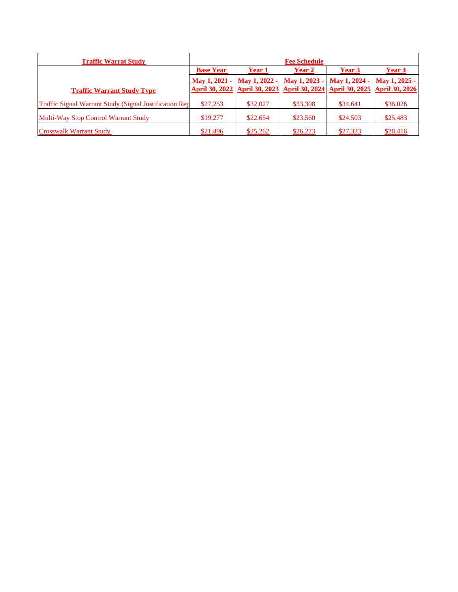| <b>Traffic Warrat Study</b>                                    | <b>Fee Schedule</b> |               |               |                                                                                    |               |
|----------------------------------------------------------------|---------------------|---------------|---------------|------------------------------------------------------------------------------------|---------------|
|                                                                | <b>Base Year</b>    | Year 1        | <b>Year 2</b> | Year 3                                                                             | Year 4        |
|                                                                | May 1, 2021 -       | May 1, 2022 - | May 1, 2023 - | May 1, 2024 -                                                                      | May 1, 2025 - |
| <b>Traffic Warrant Study Type</b>                              |                     |               |               | April 30, 2022   April 30, 2023   April 30, 2024   April 30, 2025   April 30, 2026 |               |
| <b>Traffic Signal Warrant Study (Signal Justification Rep.</b> | \$27,253            | \$32,027      | \$33,308      | \$34,641                                                                           | \$36,026      |
| <b>Multi-Way Stop Control Warrant Study</b>                    | \$19,277            | \$22,654      | \$23,560      | \$24,503                                                                           | \$25,483      |
| <b>Crosswalk Warrant Study</b>                                 | \$21,496            | \$25,262      | \$26,273      | \$27,323                                                                           | \$28,416      |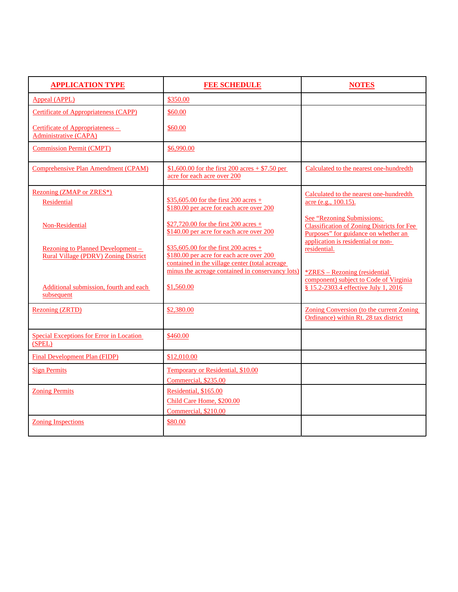| <b>APPLICATION TYPE</b>                                                          | <b>FEE SCHEDULE</b>                                                                                                                  | <b>NOTES</b>                                                                                                                                                  |
|----------------------------------------------------------------------------------|--------------------------------------------------------------------------------------------------------------------------------------|---------------------------------------------------------------------------------------------------------------------------------------------------------------|
| <b>Appeal (APPL)</b>                                                             | \$350.00                                                                                                                             |                                                                                                                                                               |
| <b>Certificate of Appropriateness (CAPP)</b>                                     | \$60.00                                                                                                                              |                                                                                                                                                               |
| Certificate of Appropriateness –<br><b>Administrative (CAPA)</b>                 | \$60.00                                                                                                                              |                                                                                                                                                               |
| <b>Commission Permit (CMPT)</b>                                                  | \$6,990.00                                                                                                                           |                                                                                                                                                               |
| Comprehensive Plan Amendment (CPAM)                                              | \$1,600.00 for the first 200 acres + \$7.50 per<br>acre for each acre over 200                                                       | Calculated to the nearest one-hundredth                                                                                                                       |
| Rezoning (ZMAP or ZRES*)<br><b>Residential</b>                                   | $$35,605.00$ for the first 200 acres +<br>\$180.00 per acre for each acre over 200                                                   | Calculated to the nearest one-hundredth<br>acre (e.g., 100.15).                                                                                               |
| Non-Residential                                                                  | \$27,720.00 for the first 200 acres +<br>\$140.00 per acre for each acre over 200                                                    | See "Rezoning Submissions:<br><b>Classification of Zoning Districts for Fee</b><br>Purposes" for guidance on whether an<br>application is residential or non- |
| Rezoning to Planned Development –<br><b>Rural Village (PDRV) Zoning District</b> | $$35,605.00$ for the first 200 acres +<br>\$180.00 per acre for each acre over 200<br>contained in the village center (total acreage | residential.                                                                                                                                                  |
| Additional submission, fourth and each<br>subsequent                             | minus the acreage contained in conservancy lots)<br>\$1,560.00                                                                       | <i><b><u>*ZRES – Rezoning (residential</u></b></i><br>component) subject to Code of Virginia<br>§ 15.2-2303.4 effective July 1, 2016                          |
| <b>Rezoning (ZRTD)</b>                                                           | \$2,380.00                                                                                                                           | Zoning Conversion (to the current Zoning<br>Ordinance) within Rt. 28 tax district                                                                             |
| Special Exceptions for Error in Location<br>(SPEL)                               | \$460.00                                                                                                                             |                                                                                                                                                               |
| <b>Final Development Plan (FIDP)</b>                                             | \$12,010.00                                                                                                                          |                                                                                                                                                               |
| <b>Sign Permits</b>                                                              | Temporary or Residential, \$10.00<br>Commercial, \$235.00                                                                            |                                                                                                                                                               |
| <b>Zoning Permits</b>                                                            | Residential, \$165.00<br>Child Care Home, \$200.00                                                                                   |                                                                                                                                                               |
|                                                                                  | Commercial, \$210.00                                                                                                                 |                                                                                                                                                               |
| <b>Zoning Inspections</b>                                                        | \$80.00                                                                                                                              |                                                                                                                                                               |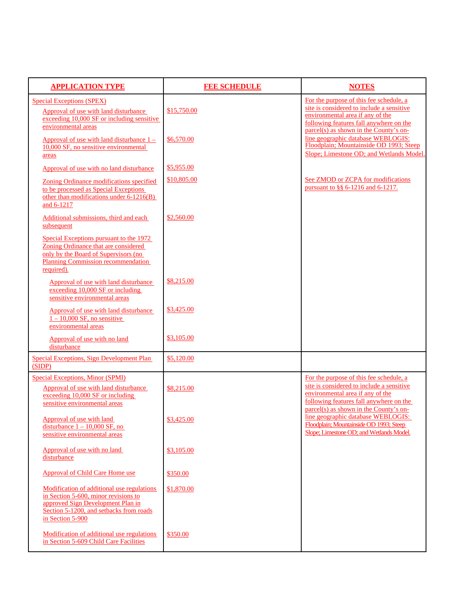| <b>APPLICATION TYPE</b>                                                                                                                                                                | <b>FEE SCHEDULE</b> | <b>NOTES</b>                                                                                                                                                                                                  |
|----------------------------------------------------------------------------------------------------------------------------------------------------------------------------------------|---------------------|---------------------------------------------------------------------------------------------------------------------------------------------------------------------------------------------------------------|
| <b>Special Exceptions (SPEX)</b><br>Approval of use with land disturbance<br>exceeding 10,000 SF or including sensitive<br>environmental areas                                         | \$15,750.00         | For the purpose of this fee schedule, a<br>site is considered to include a sensitive<br>environmental area if any of the<br>following features fall anywhere on the<br>parcel(s) as shown in the County's on- |
| Approval of use with land disturbance $1 -$<br>10,000 SF, no sensitive environmental<br>areas                                                                                          | \$6,570.00          | line geographic database WEBLOGIS:<br>Floodplain; Mountainside OD 1993; Steep<br>Slope; Limestone OD; and Wetlands Model.                                                                                     |
| Approval of use with no land disturbance                                                                                                                                               | \$5,955.00          |                                                                                                                                                                                                               |
| Zoning Ordinance modifications specified<br>to be processed as Special Exceptions<br>other than modifications under 6-1216(B)<br>and 6-1217                                            | \$10,805.00         | See ZMOD or ZCPA for modifications<br>pursuant to §§ 6-1216 and 6-1217.                                                                                                                                       |
| Additional submissions, third and each<br>subsequent                                                                                                                                   | \$2,560.00          |                                                                                                                                                                                                               |
| Special Exceptions pursuant to the 1972<br>Zoning Ordinance that are considered<br>only by the Board of Supervisors (no<br>Planning Commission recommendation<br>required).            |                     |                                                                                                                                                                                                               |
| Approval of use with land disturbance<br>exceeding 10,000 SF or including<br>sensitive environmental areas                                                                             | \$8,215.00          |                                                                                                                                                                                                               |
| Approval of use with land disturbance<br>$1 - 10,000$ SF, no sensitive<br>environmental areas                                                                                          | \$3,425.00          |                                                                                                                                                                                                               |
| Approval of use with no land<br>disturbance                                                                                                                                            | \$3,105.00          |                                                                                                                                                                                                               |
| <b>Special Exceptions, Sign Development Plan</b><br>(SIDP)                                                                                                                             | \$5,120.00          |                                                                                                                                                                                                               |
| Special Exceptions, Minor (SPMI)<br>Approval of use with land disturbance<br>exceeding 10,000 SF or including<br>sensitive environmental areas                                         | \$8,215.00          | For the purpose of this fee schedule, a<br>site is considered to include a sensitive<br>environmental area if any of the<br>following features fall anywhere on the                                           |
| Approval of use with land<br>disturbance $1 - 10,000$ SF, no<br>sensitive environmental areas                                                                                          | \$3,425.00          | parcel(s) as shown in the County's on-<br>line geographic database WEBLOGIS:<br>Floodplain; Mountainside OD 1993; Steep<br>Slope; Limestone OD; and Wetlands Model.                                           |
| Approval of use with no land<br>disturbance                                                                                                                                            | \$3,105.00          |                                                                                                                                                                                                               |
| Approval of Child Care Home use                                                                                                                                                        | \$350.00            |                                                                                                                                                                                                               |
| Modification of additional use regulations<br>in Section 5-600, minor revisions to<br>approved Sign Development Plan in<br>Section 5-1200, and setbacks from roads<br>in Section 5-900 | \$1,870.00          |                                                                                                                                                                                                               |
| Modification of additional use regulations<br>in Section 5-609 Child Care Facilities                                                                                                   | \$350.00            |                                                                                                                                                                                                               |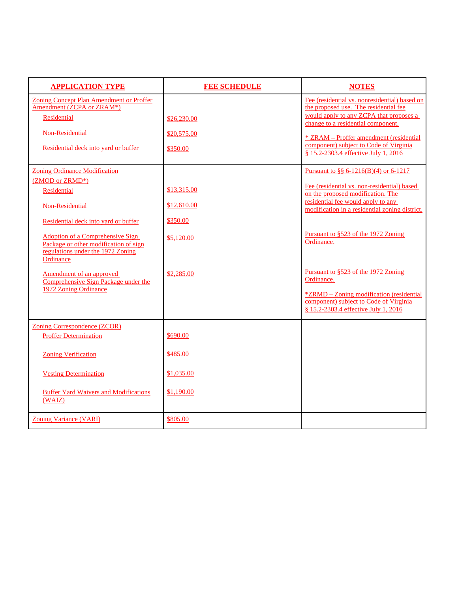| <b>APPLICATION TYPE</b>                                                                                                                                                                                                                                                 | <b>FEE SCHEDULE</b>                                  | <b>NOTES</b>                                                                                                                                                                                                                                                                                         |
|-------------------------------------------------------------------------------------------------------------------------------------------------------------------------------------------------------------------------------------------------------------------------|------------------------------------------------------|------------------------------------------------------------------------------------------------------------------------------------------------------------------------------------------------------------------------------------------------------------------------------------------------------|
| <b>Zoning Concept Plan Amendment or Proffer</b><br>Amendment (ZCPA or ZRAM*)<br>Residential<br>Non-Residential<br>Residential deck into yard or buffer                                                                                                                  | \$26,230.00<br>\$20,575.00<br>\$350.00               | Fee (residential vs. nonresidential) based on<br>the proposed use. The residential fee<br>would apply to any ZCPA that proposes a<br>change to a residential component.<br>* ZRAM - Proffer amendment (residential<br>component) subject to Code of Virginia<br>§ 15.2-2303.4 effective July 1, 2016 |
| <b>Zoning Ordinance Modification</b><br>(ZMOD or ZRMD*)<br>Residential<br>Non-Residential<br>Residential deck into yard or buffer<br><b>Adoption of a Comprehensive Sign</b><br>Package or other modification of sign<br>regulations under the 1972 Zoning<br>Ordinance | \$13,315.00<br>\$12,610.00<br>\$350.00<br>\$5,120.00 | Pursuant to §§ 6-1216(B)(4) or 6-1217<br>Fee (residential vs. non-residential) based<br>on the proposed modification. The<br>residential fee would apply to any<br>modification in a residential zoning district.<br>Pursuant to §523 of the 1972 Zoning<br>Ordinance.                               |
| Amendment of an approved<br>Comprehensive Sign Package under the<br>1972 Zoning Ordinance                                                                                                                                                                               | \$2,285.00                                           | Pursuant to §523 of the 1972 Zoning<br>Ordinance.<br><i>*ZRMD – Zoning modification (residential</i><br>component) subject to Code of Virginia<br>§ 15.2-2303.4 effective July 1, 2016                                                                                                               |
| <b>Zoning Correspondence (ZCOR)</b><br><b>Proffer Determination</b>                                                                                                                                                                                                     | \$690.00                                             |                                                                                                                                                                                                                                                                                                      |
| <b>Zoning Verification</b>                                                                                                                                                                                                                                              | \$485.00                                             |                                                                                                                                                                                                                                                                                                      |
| <b>Vesting Determination</b><br><b>Buffer Yard Waivers and Modifications</b><br>(WAIZ)                                                                                                                                                                                  | \$1,035.00<br>\$1,190.00                             |                                                                                                                                                                                                                                                                                                      |
| <b>Zoning Variance (VARI)</b>                                                                                                                                                                                                                                           | \$805.00                                             |                                                                                                                                                                                                                                                                                                      |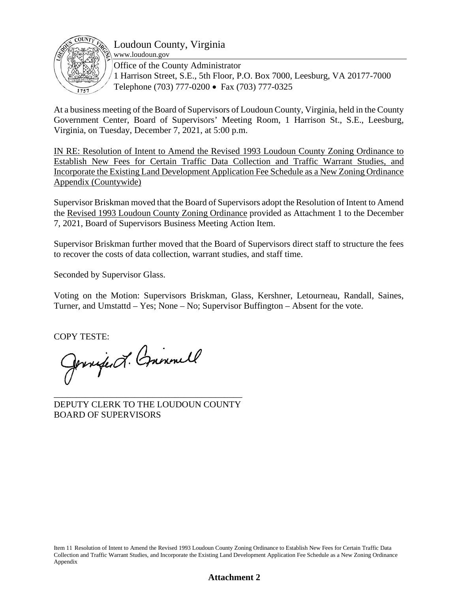

### Loudoun County, Virginia

www.loudoun.gov

Office of the County Administrator 1 Harrison Street, S.E., 5th Floor, P.O. Box 7000, Leesburg, VA 20177-7000 Telephone (703) 777-0200 • Fax (703) 777-0325

At a business meeting of the Board of Supervisors of Loudoun County, Virginia, held in the County Government Center, Board of Supervisors' Meeting Room, 1 Harrison St., S.E., Leesburg, Virginia, on Tuesday, December 7, 2021, at 5:00 p.m.

IN RE: Resolution of Intent to Amend the Revised 1993 Loudoun County Zoning Ordinance to Establish New Fees for Certain Traffic Data Collection and Traffic Warrant Studies, and Incorporate the Existing Land Development Application Fee Schedule as a New Zoning Ordinance Appendix (Countywide)

Supervisor Briskman moved that the Board of Supervisors adopt the Resolution of Intent to Amend the Revised 1993 Loudoun County Zoning Ordinance provided as Attachment 1 to the December 7, 2021, Board of Supervisors Business Meeting Action Item.

Supervisor Briskman further moved that the Board of Supervisors direct staff to structure the fees to recover the costs of data collection, warrant studies, and staff time.

Seconded by Supervisor Glass.

Voting on the Motion: Supervisors Briskman, Glass, Kershner, Letourneau, Randall, Saines, Turner, and Umstattd – Yes; None – No; Supervisor Buffington – Absent for the vote.

COPY TESTE:<br>Gennifer d'Annemall

\_\_\_\_\_\_\_\_\_\_\_\_\_\_\_\_\_\_\_\_\_\_\_\_\_\_\_\_\_\_\_\_\_\_\_\_\_\_\_\_\_\_ DEPUTY CLERK TO THE LOUDOUN COUNTY BOARD OF SUPERVISORS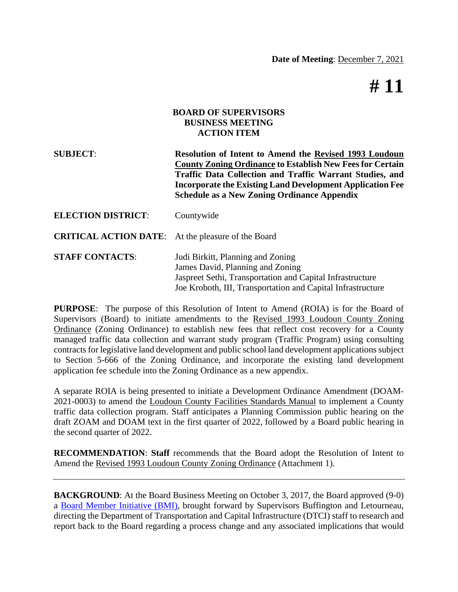# **# 11**

### **BOARD OF SUPERVISORS BUSINESS MEETING ACTION ITEM**

**SUBJECT**: **Resolution of Intent to Amend the Revised 1993 Loudoun County Zoning Ordinance to Establish New Fees for Certain Traffic Data Collection and Traffic Warrant Studies, and Incorporate the Existing Land Development Application Fee Schedule as a New Zoning Ordinance Appendix**

| <b>ELECTION DISTRICT:</b>                                 | Countywide                                                                                                                                                                                        |
|-----------------------------------------------------------|---------------------------------------------------------------------------------------------------------------------------------------------------------------------------------------------------|
| <b>CRITICAL ACTION DATE:</b> At the pleasure of the Board |                                                                                                                                                                                                   |
| <b>STAFF CONTACTS:</b>                                    | Judi Birkitt, Planning and Zoning<br>James David, Planning and Zoning<br>Jaspreet Sethi, Transportation and Capital Infrastructure<br>Joe Kroboth, III, Transportation and Capital Infrastructure |

**PURPOSE**: The purpose of this Resolution of Intent to Amend (ROIA) is for the Board of Supervisors (Board) to initiate amendments to the Revised 1993 Loudoun County Zoning Ordinance (Zoning Ordinance) to establish new fees that reflect cost recovery for a County managed traffic data collection and warrant study program (Traffic Program) using consulting contracts for legislative land development and public school land development applications subject to Section 5-666 of the Zoning Ordinance, and incorporate the existing land development application fee schedule into the Zoning Ordinance as a new appendix.

A separate ROIA is being presented to initiate a Development Ordinance Amendment (DOAM-2021-0003) to amend the Loudoun County Facilities Standards Manual to implement a County traffic data collection program. Staff anticipates a Planning Commission public hearing on the draft ZOAM and DOAM text in the first quarter of 2022, followed by a Board public hearing in the second quarter of 2022.

**RECOMMENDATION**: **Staff** recommends that the Board adopt the Resolution of Intent to Amend the Revised 1993 Loudoun County Zoning Ordinance (Attachment 1).

**[BACKGROUND](https://lfportal.loudoun.gov/LFPortalinternet/0/edoc/268386/Item%2010%20BMI%20County%20Performed%20Traffic%20Studies%20for%20Legislative%20Items.pdf)**: At the Board Business Meeting on October 3, 2017, the Board approved (9-0) a Board Member Initiative (BMI), brought forward by Supervisors Buffington and Letourneau, directing the Department of Transportation and Capital Infrastructure (DTCI) staff to research and report back to the Board regarding a process change and any associated implications that would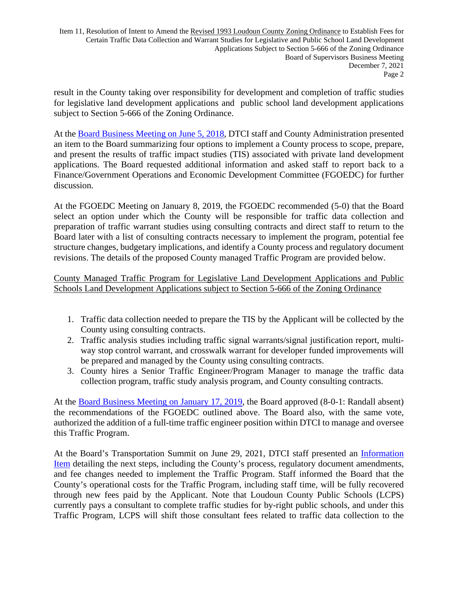Item 11, Resolution of Intent to Amend the Revised 1993 Loudoun County Zoning Ordinance to Establish Fees for Certain Traffic Data Collection and Warrant Studies for Legislative and Public School Land Development Applications Subject to Section 5-666 of the Zoning Ordinance Board of Supervisors Business Meeting December 7, 2021 Page 2

result in the County taking over responsibility for development and completion of traffic studies for legislative land development applications and public school land development applications subje[ct to Section 5-666 of the Zoning Ordinanc](https://lfportal.loudoun.gov/LFPortalInternet/0/edoc/297288/Item%2008%20Response%20to%20BMI-County%20Performed%20Traffic%20Studies.pdf)e.

At the Board Business Meeting on June 5, 2018, DTCI staff and County Administration presented an item to the Board summarizing four options to implement a County process to scope, prepare, and present the results of traffic impact studies (TIS) associated with private land development applications. The Board requested additional information and asked staff to report back to a Finance/Government Operations and Economic Development Committee (FGOEDC) for further discussion.

At the FGOEDC Meeting on January 8, 2019, the FGOEDC recommended (5-0) that the Board select an option under which the County will be responsible for traffic data collection and preparation of traffic warrant studies using consulting contracts and direct staff to return to the Board later with a list of consulting contracts necessary to implement the program, potential fee structure changes, budgetary implications, and identify a County process and regulatory document revisions. The details of the proposed County managed Traffic Program are provided below.

### County Managed Traffic Program for Legislative Land Development Applications and Public Schools Land Development Applications subject to Section 5-666 of the Zoning Ordinance

- 1. Traffic data collection needed to prepare the TIS by the Applicant will be collected by the County using consulting contracts.
- 2. Traffic analysis studies including traffic signal warrants/signal justification report, multiway stop control warrant, and crosswalk warrant for developer funded improvements will be prepared and managed by the County using consulting contracts.
- 3. County hires a Senior Traffic Engineer/Program Manager to manage the traffic data collection program, traffic study analysis program, and County consulting contracts.

At the Board Business Meeting on January 17, 2019, the Board approved (8-0-1: Randall absent) the recommendations of the FGOEDC outlined above. The Board also, with the same vote, authorized the addition of a full-time traffic engineer position within DTCI to manage and oversee this Traffic Program.

[At th](https://lfportal.loudoun.gov/LFPortalinternet/0/edoc/518180/Item%20I-5%20Data%20Collection%20%20Signal%20Warrant%20Analysis%20for%20LDAs.pdf)e Board's Transportation Summit on June 29, 2021, DTCI staff presented an Information Item detailing the next steps, including the County's process, regulatory document amendments, and fee changes needed to implement the Traffic Program. Staff informed the Board that the County's operational costs for the Traffic Program, including staff time, will be fully recovered through new fees paid by the Applicant. Note that Loudoun County Public Schools (LCPS) currently pays a consultant to complete traffic studies for by-right public schools, and under this Traffic Program, LCPS will shift those consultant fees related to traffic data collection to the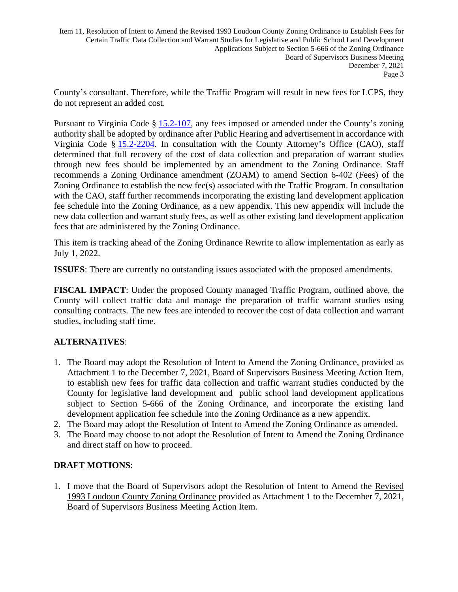Item 11, Resolution of Intent to Amend the Revised 1993 Loudoun County Zoning Ordinance to Establish Fees for Certain Traffic Data Collection and Warrant Studies for Legislative and Public School Land Development Applications Subject to Section 5-666 of the Zoning Ordinance Board of Supervisors Business Meeting December 7, 2021 Page 3

County's consultant. Therefore, [while](https://law.lis.virginia.gov/vacode/15.2-107/) the Traffic Program will result in new fees for LCPS, they do not represent an added co[st.](https://law.lis.virginia.gov/vacode/15.2-107/) 

Pursuant to Virg[inia Code §](https://law.lis.virginia.gov/vacode/15.2-2204/) 15.2-107, any fees imposed or amended under the County's zoning authority shall be adopted by ordinance after Public Hearing and advertisement in accordance with Virginia Code § 15.2-2204. In consultation with the County Attorney's Office (CAO), staff determined that full recovery of the cost of data collection and preparation of warrant studies through new fees should be implemented by an amendment to the Zoning Ordinance. Staff recommends a Zoning Ordinance amendment (ZOAM) to amend Section 6-402 (Fees) of the Zoning Ordinance to establish the new fee(s) associated with the Traffic Program. In consultation with the CAO, staff further recommends incorporating the existing land development application fee schedule into the Zoning Ordinance, as a new appendix. This new appendix will include the new data collection and warrant study fees, as well as other existing land development application fees that are administered by the Zoning Ordinance.

This item is tracking ahead of the Zoning Ordinance Rewrite to allow implementation as early as July 1, 2022.

**ISSUES**: There are currently no outstanding issues associated with the proposed amendments.

**FISCAL IMPACT**: Under the proposed County managed Traffic Program, outlined above, the County will collect traffic data and manage the preparation of traffic warrant studies using consulting contracts. The new fees are intended to recover the cost of data collection and warrant studies, including staff time.

### **ALTERNATIVES**:

- 1. The Board may adopt the Resolution of Intent to Amend the Zoning Ordinance, provided as Attachment 1 to the December 7, 2021, Board of Supervisors Business Meeting Action Item, to establish new fees for traffic data collection and traffic warrant studies conducted by the County for legislative land development and public school land development applications subject to Section 5-666 of the Zoning Ordinance, and incorporate the existing land development application fee schedule into the Zoning Ordinance as a new appendix.
- 2. The Board may adopt the Resolution of Intent to Amend the Zoning Ordinance as amended.
- 3. The Board may choose to not adopt the Resolution of Intent to Amend the Zoning Ordinance and direct staff on how to proceed.

### **DRAFT MOTIONS**:

1. I move that the Board of Supervisors adopt the Resolution of Intent to Amend the Revised 1993 Loudoun County Zoning Ordinance provided as Attachment 1 to the December 7, 2021, Board of Supervisors Business Meeting Action Item.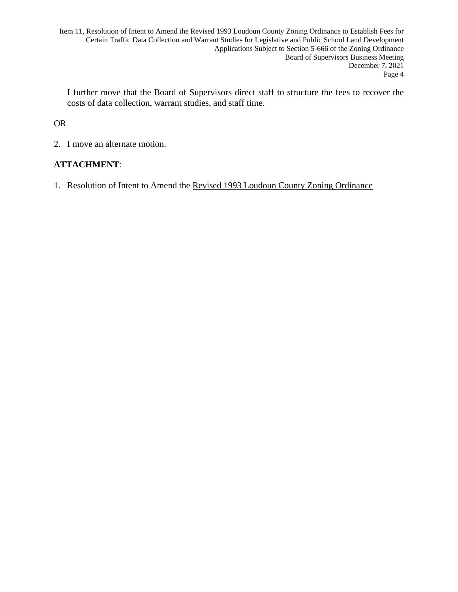Item 11, Resolution of Intent to Amend the Revised 1993 Loudoun County Zoning Ordinance to Establish Fees for Certain Traffic Data Collection and Warrant Studies for Legislative and Public School Land Development Applications Subject to Section 5-666 of the Zoning Ordinance Board of Supervisors Business Meeting December 7, 2021 Page 4

I further move that the Board of Supervisors direct staff to structure the fees to recover the costs of data collection, warrant studies, and staff time.

### OR

2. I move an alternate motion.

### **ATTACHMENT**:

1. Resolution of Intent to Amend the Revised 1993 Loudoun County Zoning Ordinance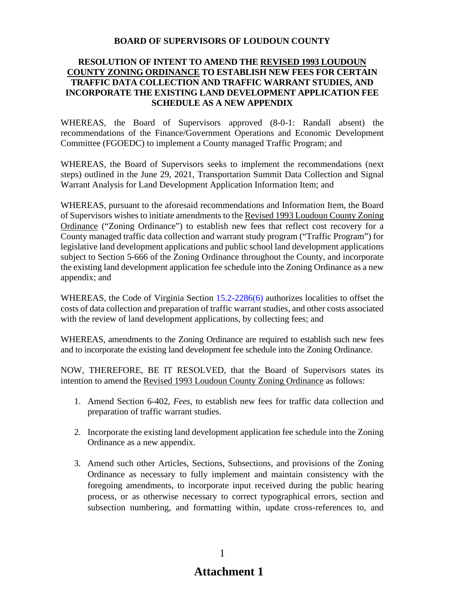### **BOARD OF SUPERVISORS OF LOUDOUN COUNTY**

### **RESOLUTION OF INTENT TO AMEND THE REVISED 1993 LOUDOUN COUNTY ZONING ORDINANCE TO ESTABLISH NEW FEES FOR CERTAIN TRAFFIC DATA COLLECTION AND TRAFFIC WARRANT STUDIES, AND INCORPORATE THE EXISTING LAND DEVELOPMENT APPLICATION FEE SCHEDULE AS A NEW APPENDIX**

WHEREAS, the Board of Supervisors approved (8-0-1: Randall absent) the recommendations of the Finance/Government Operations and Economic Development Committee (FGOEDC) to implement a County managed Traffic Program; and

WHEREAS, the Board of Supervisors seeks to implement the recommendations (next steps) outlined in the June 29, 2021, Transportation Summit Data Collection and Signal Warrant Analysis for Land Development Application Information Item; and

WHEREAS, pursuant to the aforesaid recommendations and Information Item, the Board of Supervisors wishes to initiate amendments to the Revised 1993 Loudoun County Zoning Ordinance ("Zoning Ordinance") to establish new fees that reflect cost recovery for a County managed traffic data collection and warrant study program ("Traffic Program") for legislative land development applications and public school land development applications subject to Section 5-666 of the Zoning Ordinance throughout the County, and incorporate the existing land development application fee schedule into the Zoning Ordinance as a new appendix; and

WHEREAS, the Code of Virginia Section 15.2-2286(6) authorizes localities to offset the costs of data collection and preparation of traffic warrant studies, and other costs associated with the review of land development applications, by collecting fees; and

WHEREAS, amendments to the Zoning Ordinance are required to establish such new fees and to incorporate the existing land development fee schedule into the Zoning Ordinance.

NOW, THEREFORE, BE IT RESOLVED, that the Board of Supervisors states its intention to amend the Revised 1993 Loudoun County Zoning Ordinance as follows:

- 1. Amend Section 6-402, *Fees*, to establish new fees for traffic data collection and preparation of traffic warrant studies.
- 2. Incorporate the existing land development application fee schedule into the Zoning Ordinance as a new appendix.
- 3. Amend such other Articles, Sections, Subsections, and provisions of the Zoning Ordinance as necessary to fully implement and maintain consistency with the foregoing amendments, to incorporate input received during the public hearing process, or as otherwise necessary to correct typographical errors, section and subsection numbering, and formatting within, update cross-references to, and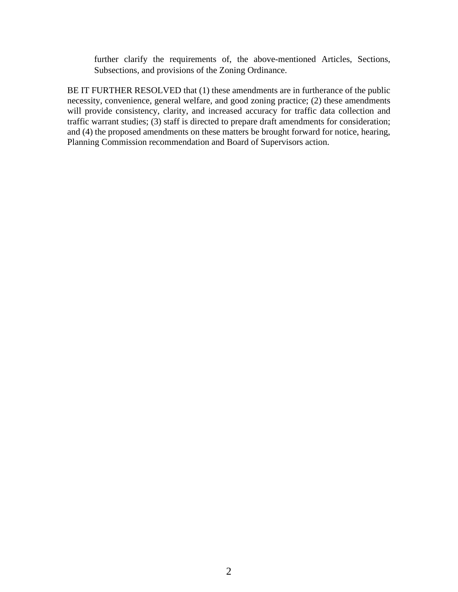further clarify the requirements of, the above-mentioned Articles, Sections, Subsections, and provisions of the Zoning Ordinance.

BE IT FURTHER RESOLVED that (1) these amendments are in furtherance of the public necessity, convenience, general welfare, and good zoning practice; (2) these amendments will provide consistency, clarity, and increased accuracy for traffic data collection and traffic warrant studies; (3) staff is directed to prepare draft amendments for consideration; and (4) the proposed amendments on these matters be brought forward for notice, hearing, Planning Commission recommendation and Board of Supervisors action.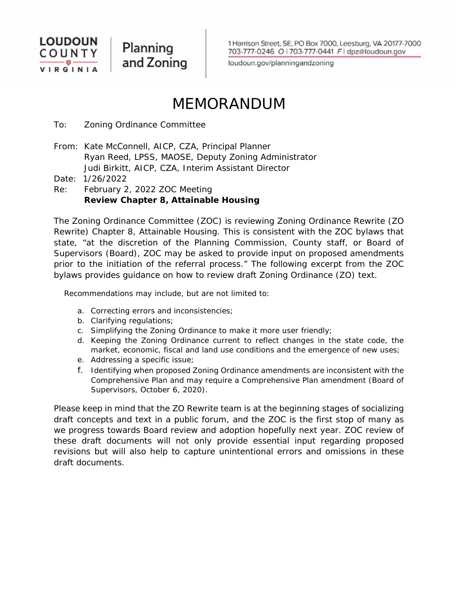

Planning and Zoning

1 Harrison Street, SE, PO Box 7000, Leesburg, VA 20177-7000 703-777-0246 O | 703-777-0441 F | dpz@loudoun.gov

loudoun.gov/planningandzoning

# MEMORANDUM

To: Zoning Ordinance Committee

From: Kate McConnell, AICP, CZA, Principal Planner Ryan Reed, LPSS, MAOSE, Deputy Zoning Administrator Judi Birkitt, AICP, CZA, Interim Assistant Director

Date: 1/26/2022

Re: February 2, 2022 ZOC Meeting  **Review Chapter 8, Attainable Housing**

The Zoning Ordinance Committee (ZOC) is reviewing Zoning Ordinance Rewrite (ZO Rewrite) Chapter 8, Attainable Housing. This is consistent with the ZOC bylaws that state, "at the discretion of the Planning Commission, County staff, or Board of Supervisors (Board), ZOC may be asked to provide input on proposed amendments prior to the initiation of the referral process." The following excerpt from the ZOC bylaws provides guidance on how to review draft Zoning Ordinance (ZO) text.

Recommendations may include, but are not limited to:

- a. Correcting errors and inconsistencies;
- b. Clarifying regulations;
- c. Simplifying the Zoning Ordinance to make it more user friendly;
- d. Keeping the Zoning Ordinance current to reflect changes in the state code, the market, economic, fiscal and land use conditions and the emergence of new uses;
- e. Addressing a specific issue;
- f. Identifying when proposed Zoning Ordinance amendments are inconsistent with the Comprehensive Plan and may require a Comprehensive Plan amendment (Board of Supervisors, October 6, 2020).

Please keep in mind that the ZO Rewrite team is at the beginning stages of socializing draft concepts and text in a public forum, and the ZOC is the first stop of many as we progress towards Board review and adoption hopefully next year. ZOC review of these draft documents will not only provide essential input regarding proposed revisions but will also help to capture unintentional errors and omissions in these draft documents.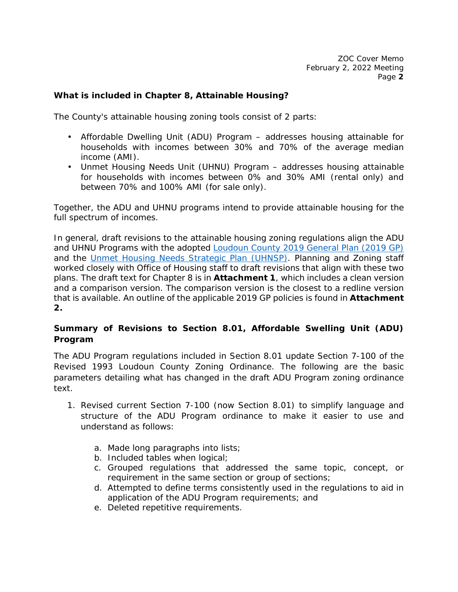### **What is included in Chapter 8, Attainable Housing?**

The County's attainable housing zoning tools consist of 2 parts:

- Affordable Dwelling Unit (ADU) Program addresses housing attainable for households with incomes between 30% and 70% of the average median income (AMI).
- Unmet Housing Needs Unit (UHNU) Program addresses housing attainable for households with incomes between 0% and 30% AMI (rental only) and between 70% and 100% AMI (for sale only).

Together, the ADU and UHNU programs intend to provide attainable housing for the full spectrum of incomes.

In general, draft revisions to the attainable housing zoning regulations align the ADU and UHNU Programs with the adopted Loudoun County 2019 General Plan (2019 GP) and the Unmet Housing Needs Strategic Plan (UHNSP). Planning and Zoning staff worked closely with Office of Housing staff to draft revisions that align with these two plans. The draft text for Chapter 8 is in **Attachment 1**, which includes a clean version and a comparison version. The comparison version is the closest to a redline version that is available. An outline of the applicable 2019 GP policies is found in **Attachment 2.**

### **Summary of Revisions to Section 8.01, Affordable Swelling Unit (ADU) Program**

The ADU Program regulations included in Section 8.01 update Section 7-100 of the *Revised 1993 Loudoun County Zoning Ordinance*. The following are the basic parameters detailing what has changed in the draft ADU Program zoning ordinance text.

- 1. Revised current Section 7-100 (now Section 8.01) to simplify language and structure of the ADU Program ordinance to make it easier to use and understand as follows:
	- a. Made long paragraphs into lists;
	- b. Included tables when logical;
	- c. Grouped regulations that addressed the same topic, concept, or requirement in the same section or group of sections;
	- d. Attempted to define terms consistently used in the regulations to aid in application of the ADU Program requirements; and
	- e. Deleted repetitive requirements.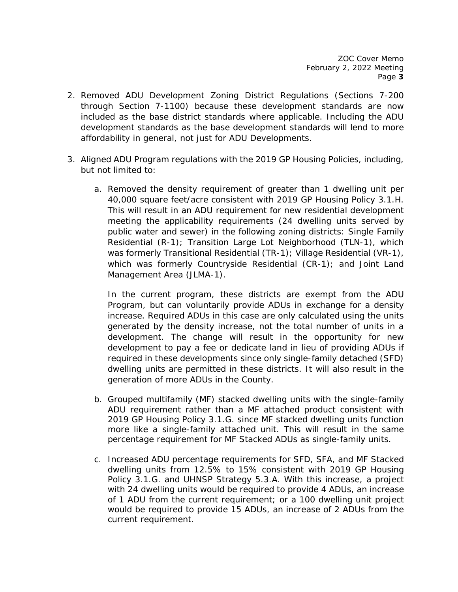- 2. Removed ADU Development Zoning District Regulations (Sections 7-200 through Section 7-1100) because these development standards are now included as the base district standards where applicable. Including the ADU development standards as the base development standards will lend to more affordability in general, not just for ADU Developments.
- 3. Aligned ADU Program regulations with the 2019 GP Housing Policies, including, but not limited to:
	- a. Removed the density requirement of greater than 1 dwelling unit per 40,000 square feet/acre consistent with 2019 GP Housing Policy 3.1.H. This will result in an ADU requirement for new residential development meeting the applicability requirements (24 dwelling units served by public water and sewer) in the following zoning districts: Single Family Residential (R-1); Transition Large Lot Neighborhood (TLN-1), which was formerly Transitional Residential (TR-1); Village Residential (VR-1), which was formerly Countryside Residential (CR-1); and Joint Land Management Area (JLMA-1).

In the current program, these districts are exempt from the ADU Program, but can voluntarily provide ADUs in exchange for a density increase. Required ADUs in this case are only calculated using the units generated by the density increase, not the total number of units in a development. The change will result in the opportunity for new development to pay a fee or dedicate land in lieu of providing ADUs if required in these developments since only single-family detached (SFD) dwelling units are permitted in these districts. It will also result in the generation of more ADUs in the County.

- b. Grouped multifamily (MF) stacked dwelling units with the single-family ADU requirement rather than a MF attached product consistent with 2019 GP Housing Policy 3.1.G. since MF stacked dwelling units function more like a single-family attached unit. This will result in the same percentage requirement for MF Stacked ADUs as single-family units.
- c. Increased ADU percentage requirements for SFD, SFA, and MF Stacked dwelling units from 12.5% to 15% consistent with 2019 GP Housing Policy 3.1.G. and UHNSP Strategy 5.3.A. With this increase, a project with 24 dwelling units would be required to provide 4 ADUs, an increase of 1 ADU from the current requirement; or a 100 dwelling unit project would be required to provide 15 ADUs, an increase of 2 ADUs from the current requirement.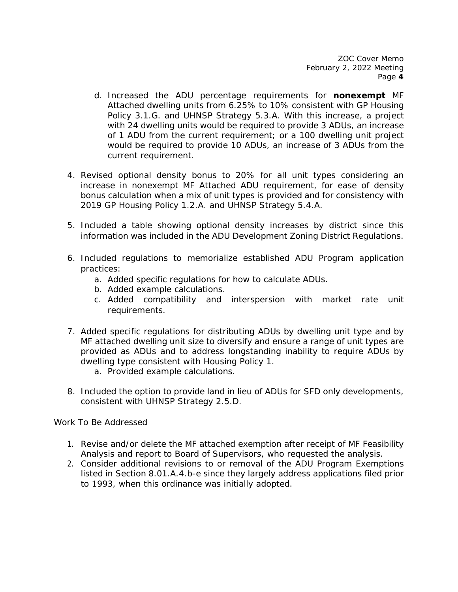- d. Increased the ADU percentage requirements for **nonexempt** MF Attached dwelling units from 6.25% to 10% consistent with GP Housing Policy 3.1.G. and UHNSP Strategy 5.3.A. With this increase, a project with 24 dwelling units would be required to provide 3 ADUs, an increase of 1 ADU from the current requirement; or a 100 dwelling unit project would be required to provide 10 ADUs, an increase of 3 ADUs from the current requirement.
- 4. Revised optional density bonus to 20% for all unit types considering an increase in nonexempt MF Attached ADU requirement, for ease of density bonus calculation when a mix of unit types is provided and for consistency with 2019 GP Housing Policy 1.2.A. and UHNSP Strategy 5.4.A.
- 5. Included a table showing optional density increases by district since this information was included in the ADU Development Zoning District Regulations.
- 6. Included regulations to memorialize established ADU Program application practices:
	- a. Added specific regulations for how to calculate ADUs.
	- b. Added example calculations.
	- c. Added compatibility and interspersion with market rate unit requirements.
- 7. Added specific regulations for distributing ADUs by dwelling unit type and by MF attached dwelling unit size to diversify and ensure a range of unit types are provided as ADUs and to address longstanding inability to require ADUs by dwelling type consistent with Housing Policy 1.
	- a. Provided example calculations.
- 8. Included the option to provide land in lieu of ADUs for SFD only developments, consistent with UHNSP Strategy 2.5.D.

### *Work To Be Addressed*

- 1. Revise and/or delete the MF attached exemption after receipt of MF Feasibility Analysis and report to Board of Supervisors, who requested the analysis.
- 2. Consider additional revisions to or removal of the ADU Program Exemptions listed in Section 8.01.A.4.b-e since they largely address applications filed prior to 1993, when this ordinance was initially adopted.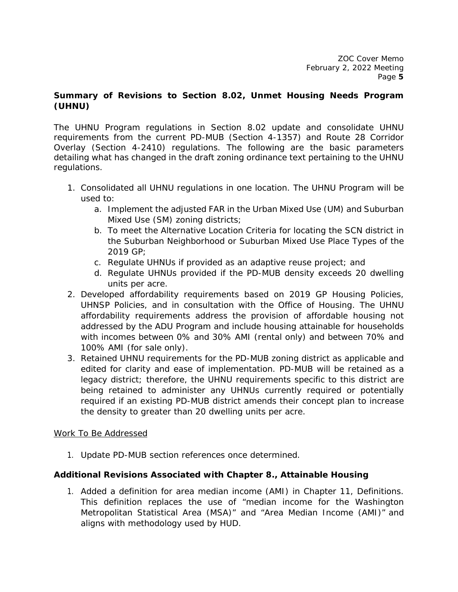### **Summary of Revisions to Section 8.02, Unmet Housing Needs Program (UHNU)**

The UHNU Program regulations in Section 8.02 update and consolidate UHNU requirements from the current PD-MUB (Section 4-1357) and Route 28 Corridor Overlay (Section 4-2410) regulations. The following are the basic parameters detailing what has changed in the draft zoning ordinance text pertaining to the UHNU regulations.

- 1. Consolidated all UHNU regulations in one location. The UHNU Program will be used to:
	- a. Implement the adjusted FAR in the Urban Mixed Use (UM) and Suburban Mixed Use (SM) zoning districts;
	- b. To meet the Alternative Location Criteria for locating the SCN district in the Suburban Neighborhood or Suburban Mixed Use Place Types of the 2019 GP;
	- c. Regulate UHNUs if provided as an adaptive reuse project; and
	- d. Regulate UHNUs provided if the PD-MUB density exceeds 20 dwelling units per acre.
- 2. Developed affordability requirements based on 2019 GP Housing Policies, UHNSP Policies, and in consultation with the Office of Housing. The UHNU affordability requirements address the provision of affordable housing not addressed by the ADU Program and include housing attainable for households with incomes between 0% and 30% AMI (rental only) and between 70% and 100% AMI (for sale only).
- 3. Retained UHNU requirements for the PD-MUB zoning district as applicable and edited for clarity and ease of implementation. PD-MUB will be retained as a legacy district; therefore, the UHNU requirements specific to this district are being retained to administer any UHNUs currently required or potentially required if an existing PD-MUB district amends their concept plan to increase the density to greater than 20 dwelling units per acre.

### *Work To Be Addressed*

1. Update PD-MUB section references once determined.

### **Additional Revisions Associated with Chapter 8., Attainable Housing**

1. Added a definition for area median income (AMI) in Chapter 11, Definitions. This definition replaces the use of "median income for the Washington Metropolitan Statistical Area (MSA)" and "Area Median Income (AMI)" and aligns with methodology used by HUD.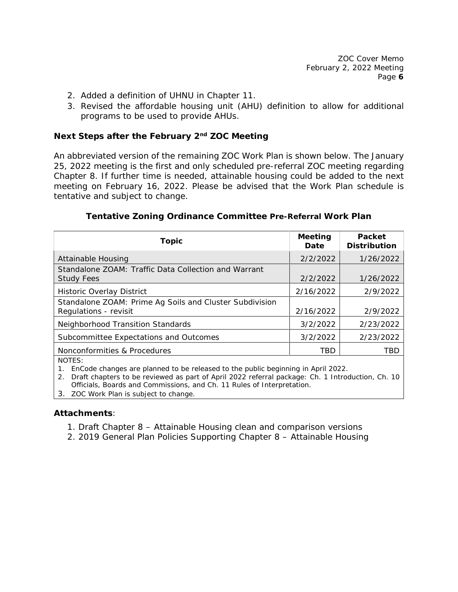- 2. Added a definition of UHNU in Chapter 11.
- 3. Revised the affordable housing unit (AHU) definition to allow for additional programs to be used to provide AHUs.

### **Next Steps after the February 2nd ZOC Meeting**

An abbreviated version of the remaining ZOC Work Plan is shown below. The January 25, 2022 meeting is the first and only scheduled pre-referral ZOC meeting regarding Chapter 8. If further time is needed, attainable housing could be added to the next meeting on February 16, 2022. Please be advised that the Work Plan schedule is tentative and subject to change.

| <b>Topic</b>                                                                     | <b>Meeting</b><br>Date | Packet<br><b>Distribution</b> |
|----------------------------------------------------------------------------------|------------------------|-------------------------------|
| Attainable Housing                                                               | 2/2/2022               | 1/26/2022                     |
| Standalone ZOAM: Traffic Data Collection and Warrant<br><b>Study Fees</b>        | 2/2/2022               | 1/26/2022                     |
| <b>Historic Overlay District</b>                                                 | 2/16/2022              | 2/9/2022                      |
| Standalone ZOAM: Prime Ag Soils and Cluster Subdivision<br>Regulations - revisit | 2/16/2022              | 2/9/2022                      |
| Neighborhood Transition Standards                                                | 3/2/2022               | 2/23/2022                     |
| Subcommittee Expectations and Outcomes                                           | 3/2/2022               | 2/23/2022                     |
| Nonconformities & Procedures                                                     | <b>TBD</b>             | TBD                           |
| NOTES:                                                                           |                        |                               |

### **Tentative Zoning Ordinance Committee Pre-Referral Work Plan**

1. EnCode changes are planned to be released to the public beginning in April 2022.

2. Draft chapters to be reviewed as part of April 2022 referral package: Ch. 1 Introduction, Ch. 10 Officials, Boards and Commissions, and Ch. 11 Rules of Interpretation.

3. ZOC Work Plan is subject to change.

### **Attachments**:

1. Draft Chapter 8 – Attainable Housing clean and comparison versions

2. 2019 General Plan Policies Supporting Chapter 8 – Attainable Housing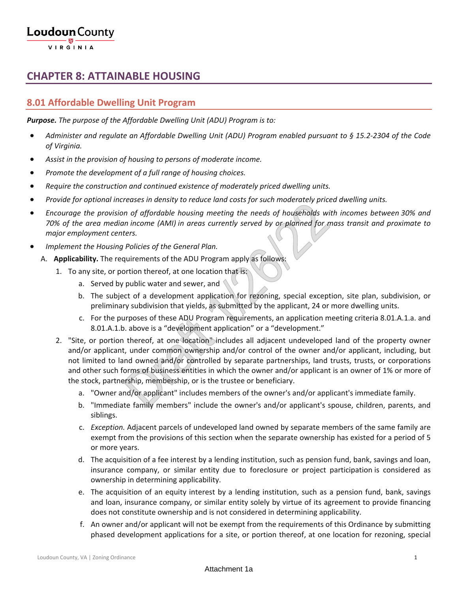### **CHAPTER 8: ATTAINABLE HOUSING**

### **8.01 Affordable Dwelling Unit Program**

*Purpose. The purpose of the Affordable Dwelling Unit (ADU) Program is to:*

- *Administer and regulate an Affordable Dwelling Unit (ADU) Program enabled pursuant to § 15.2-2304 of the Code of Virginia.*
- *Assist in the provision of housing to persons of moderate income.*
- *Promote the development of a full range of housing choices.*
- *Require the construction and continued existence of moderately priced dwelling units.*
- *Provide for optional increases in density to reduce land costs for such moderately priced dwelling units.*
- *Encourage the provision of affordable housing meeting the needs of households with incomes between 30% and 70% of the area median income (AMI) in areas currently served by or planned for mass transit and proximate to major employment centers.*
- *Implement the Housing Policies of the General Plan.*
	- A. **Applicability.** The requirements of the ADU Program apply as follows:
		- 1. To any site, or portion thereof, at one location that is:
			- a. Served by public water and sewer, and
			- b. The subject of a development application for rezoning, special exception, site plan, subdivision, or preliminary subdivision that yields, as submitted by the applicant, 24 or more dwelling units.
			- c. For the purposes of these ADU Program requirements, an application meeting criteria 8.01.A.1.a. and 8.01.A.1.b. above is a "development application" or a "development."
		- 2. "Site, or portion thereof, at one location" includes all adjacent undeveloped land of the property owner and/or applicant, under common ownership and/or control of the owner and/or applicant, including, but not limited to land owned and/or controlled by separate partnerships, land trusts, trusts, or corporations and other such forms of business entities in which the owner and/or applicant is an owner of 1% or more of the stock, partnership, membership, or is the trustee or beneficiary.
			- a. "Owner and/or applicant" includes members of the owner's and/or applicant's immediate family.
			- b. "Immediate family members" include the owner's and/or applicant's spouse, children, parents, and siblings.
			- c. *Exception.* Adjacent parcels of undeveloped land owned by separate members of the same family are exempt from the provisions of this section when the separate ownership has existed for a period of 5 or more years.
			- d. The acquisition of a fee interest by a lending institution, such as pension fund, bank, savings and loan, insurance company, or similar entity due to foreclosure or project participation is considered as ownership in determining applicability.
			- e. The acquisition of an equity interest by a lending institution, such as a pension fund, bank, savings and loan, insurance company, or similar entity solely by virtue of its agreement to provide financing does not constitute ownership and is not considered in determining applicability.
			- f. An owner and/or applicant will not be exempt from the requirements of this Ordinance by submitting phased development applications for a site, or portion thereof, at one location for rezoning, special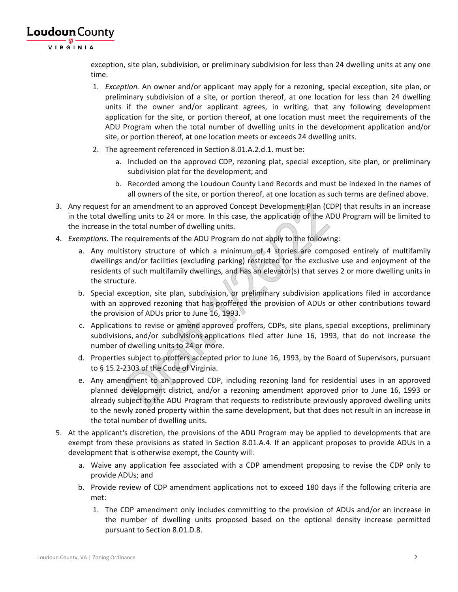

exception, site plan, subdivision, or preliminary subdivision for less than 24 dwelling units at any one time.

- 1. *Exception.* An owner and/or applicant may apply for a rezoning, special exception, site plan, or preliminary subdivision of a site, or portion thereof, at one location for less than 24 dwelling units if the owner and/or applicant agrees, in writing, that any following development application for the site, or portion thereof, at one location must meet the requirements of the ADU Program when the total number of dwelling units in the development application and/or site, or portion thereof, at one location meets or exceeds 24 dwelling units.
- 2. The agreement referenced in Section 8.01.A.2.d.1. must be:
	- a. Included on the approved CDP, rezoning plat, special exception, site plan, or preliminary subdivision plat for the development; and
	- b. Recorded among the Loudoun County Land Records and must be indexed in the names of all owners of the site, or portion thereof, at one location as such terms are defined above.
- 3. Any request for an amendment to an approved Concept Development Plan (CDP) that results in an increase in the total dwelling units to 24 or more. In this case, the application of the ADU Program will be limited to the increase in the total number of dwelling units.
- 4. *Exemptions.* The requirements of the ADU Program do not apply to the following:
	- a. Any multistory structure of which a minimum of 4 stories are composed entirely of multifamily dwellings and/or facilities (excluding parking) restricted for the exclusive use and enjoyment of the residents of such multifamily dwellings, and has an elevator(s) that serves 2 or more dwelling units in the structure.
	- b. Special exception, site plan, subdivision, or preliminary subdivision applications filed in accordance with an approved rezoning that has proffered the provision of ADUs or other contributions toward the provision of ADUs prior to June 16, 1993.
	- c. Applications to revise or amend approved proffers, CDPs, site plans, special exceptions, preliminary subdivisions, and/or subdivisions applications filed after June 16, 1993, that do not increase the number of dwelling units to 24 or more.
	- d. Properties subject to proffers accepted prior to June 16, 1993, by the Board of Supervisors, pursuant to § 15.2-2303 of the Code of Virginia.
	- e. Any amendment to an approved CDP, including rezoning land for residential uses in an approved planned development district, and/or a rezoning amendment approved prior to June 16, 1993 or already subject to the ADU Program that requests to redistribute previously approved dwelling units to the newly zoned property within the same development, but that does not result in an increase in the total number of dwelling units.
- 5. At the applicant's discretion, the provisions of the ADU Program may be applied to developments that are exempt from these provisions as stated in Section 8.01.A.4. If an applicant proposes to provide ADUs in a development that is otherwise exempt, the County will:
	- a. Waive any application fee associated with a CDP amendment proposing to revise the CDP only to provide ADUs; and
	- b. Provide review of CDP amendment applications not to exceed 180 days if the following criteria are met:
		- 1. The CDP amendment only includes committing to the provision of ADUs and/or an increase in the number of dwelling units proposed based on the optional density increase permitted pursuant to Section 8.01.D.8.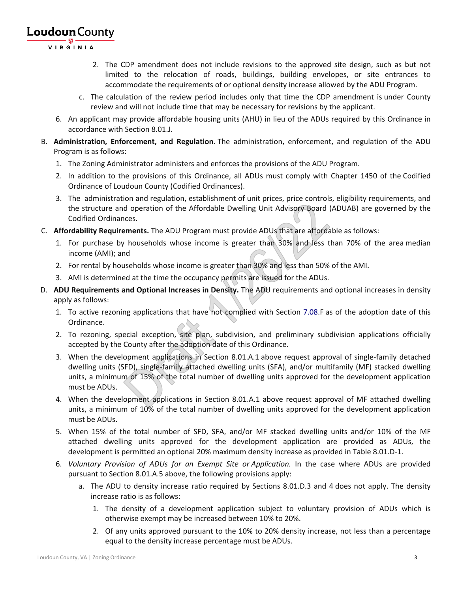VIRGINIA

- 2. The CDP amendment does not include revisions to the approved site design, such as but not limited to the relocation of roads, buildings, building envelopes, or site entrances to accommodate the requirements of or optional density increase allowed by the ADU Program.
- c. The calculation of the review period includes only that time the CDP amendment is under County review and will not include time that may be necessary for revisions by the applicant.
- 6. An applicant may provide affordable housing units (AHU) in lieu of the ADUs required by this Ordinance in accordance with Section 8.01.J.
- B. **Administration, Enforcement, and Regulation.** The administration, enforcement, and regulation of the ADU Program is as follows:
	- 1. The Zoning Administrator administers and enforces the provisions of the ADU Program.
	- 2. In addition to the provisions of this Ordinance, all ADUs must comply with Chapter 1450 of the Codified Ordinance of Loudoun County (Codified Ordinances).
	- 3. The administration and regulation, establishment of unit prices, price controls, eligibility requirements, and the structure and operation of the Affordable Dwelling Unit Advisory Board (ADUAB) are governed by the Codified Ordinances.
- C. **Affordability Requirements.** The ADU Program must provide ADUs that are affordable as follows:
	- 1. For purchase by households whose income is greater than 30% and less than 70% of the area median income (AMI); and
	- 2. For rental by households whose income is greater than 30% and less than 50% of the AMI.
	- 3. AMI is determined at the time the occupancy permits are issued for the ADUs.
- D. **ADU Requirements and Optional Increases in Density.** The ADU requirements and optional increases in density apply as follows:
	- 1. To active rezoning applications that have not complied with Section 7.08.F as of the adoption date of this Ordinance.
	- 2. To rezoning, special exception, site plan, subdivision, and preliminary subdivision applications officially accepted by the County after the adoption date of this Ordinance.
	- 3. When the development applications in Section 8.01.A.1 above request approval of single-family detached dwelling units (SFD), single-family attached dwelling units (SFA), and/or multifamily (MF) stacked dwelling units, a minimum of 15% of the total number of dwelling units approved for the development application must be ADUs.
	- 4. When the development applications in Section 8.01.A.1 above request approval of MF attached dwelling units, a minimum of 10% of the total number of dwelling units approved for the development application must be ADUs.
	- 5. When 15% of the total number of SFD, SFA, and/or MF stacked dwelling units and/or 10% of the MF attached dwelling units approved for the development application are provided as ADUs, the development is permitted an optional 20% maximum density increase as provided in Table 8.01.D-1.
	- 6. *Voluntary Provision of ADUs for an Exempt Site or Application.* In the case where ADUs are provided pursuant to Section 8.01.A.5 above, the following provisions apply:
		- a. The ADU to density increase ratio required by Sections 8.01.D.3 and 4 does not apply. The density increase ratio is as follows:
			- 1. The density of a development application subject to voluntary provision of ADUs which is otherwise exempt may be increased between 10% to 20%.
			- 2. Of any units approved pursuant to the 10% to 20% density increase, not less than a percentage equal to the density increase percentage must be ADUs.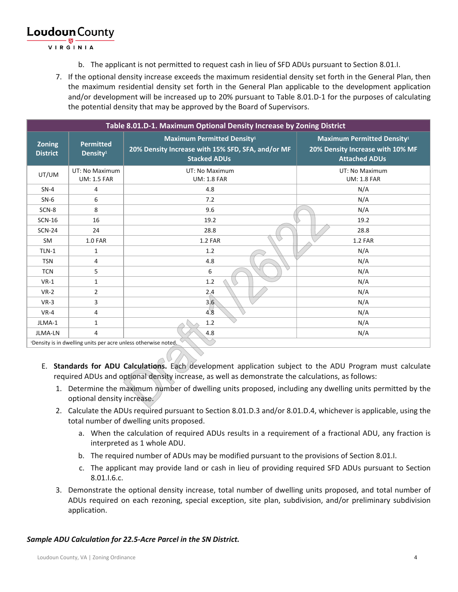VIRGINIA

- b. The applicant is not permitted to request cash in lieu of SFD ADUs pursuant to Section 8.01.I.
- 7. If the optional density increase exceeds the maximum residential density set forth in the General Plan, then the maximum residential density set forth in the General Plan applicable to the development application and/or development will be increased up to 20% pursuant to Table 8.01.D-1 for the purposes of calculating the potential density that may be approved by the Board of Supervisors.

| Table 8.01.D-1. Maximum Optional Density Increase by Zoning District            |                                          |                                                                                                               |                                                                                               |  |
|---------------------------------------------------------------------------------|------------------------------------------|---------------------------------------------------------------------------------------------------------------|-----------------------------------------------------------------------------------------------|--|
| <b>Zoning</b><br><b>District</b>                                                | <b>Permitted</b><br>Density <sup>1</sup> | <b>Maximum Permitted Density1</b><br>20% Density Increase with 15% SFD, SFA, and/or MF<br><b>Stacked ADUs</b> | <b>Maximum Permitted Density1</b><br>20% Density Increase with 10% MF<br><b>Attached ADUs</b> |  |
| UT/UM                                                                           | UT: No Maximum<br><b>UM: 1.5 FAR</b>     | UT: No Maximum<br><b>UM: 1.8 FAR</b>                                                                          | UT: No Maximum<br><b>UM: 1.8 FAR</b>                                                          |  |
| $SN-4$                                                                          | 4                                        | 4.8                                                                                                           | N/A                                                                                           |  |
| $SN-6$                                                                          | 6                                        | 7.2                                                                                                           | N/A                                                                                           |  |
| SCN-8                                                                           | 8                                        | 9.6                                                                                                           | N/A                                                                                           |  |
| <b>SCN-16</b>                                                                   | 16                                       | 19.2                                                                                                          | 19.2                                                                                          |  |
| <b>SCN-24</b>                                                                   | 24                                       | 28.8                                                                                                          | 28.8                                                                                          |  |
| <b>SM</b>                                                                       | <b>1.0 FAR</b>                           | <b>1.2 FAR</b>                                                                                                | <b>1.2 FAR</b>                                                                                |  |
| $TLN-1$                                                                         | 1                                        | 1.2                                                                                                           | N/A                                                                                           |  |
| <b>TSN</b>                                                                      | 4                                        | 4.8                                                                                                           | N/A                                                                                           |  |
| <b>TCN</b>                                                                      | 5                                        | ▽<br>6                                                                                                        | N/A                                                                                           |  |
| $VR-1$                                                                          | $\mathbf{1}$                             | 1.2                                                                                                           | N/A                                                                                           |  |
| $VR-2$                                                                          | $\overline{2}$                           | 2.4                                                                                                           | N/A                                                                                           |  |
| $VR-3$                                                                          | 3                                        | 3.6                                                                                                           | N/A                                                                                           |  |
| $VR-4$                                                                          | 4                                        | 4.8                                                                                                           | N/A                                                                                           |  |
| JLMA-1                                                                          | 1                                        | 1.2                                                                                                           | N/A                                                                                           |  |
| JLMA-LN                                                                         | 4                                        | 4.8                                                                                                           | N/A                                                                                           |  |
| S<br><sup>1</sup> Density is in dwelling units per acre unless otherwise noted. |                                          |                                                                                                               |                                                                                               |  |

- E. **Standards for ADU Calculations.** Each development application subject to the ADU Program must calculate required ADUs and optional density increase, as well as demonstrate the calculations, as follows:
	- 1. Determine the maximum number of dwelling units proposed, including any dwelling units permitted by the optional density increase.
	- 2. Calculate the ADUs required pursuant to Section 8.01.D.3 and/or 8.01.D.4, whichever is applicable, using the total number of dwelling units proposed.
		- a. When the calculation of required ADUs results in a requirement of a fractional ADU, any fraction is interpreted as 1 whole ADU.
		- b. The required number of ADUs may be modified pursuant to the provisions of Section 8.01.I.
		- c. The applicant may provide land or cash in lieu of providing required SFD ADUs pursuant to Section 8.01.I.6.c.
	- 3. Demonstrate the optional density increase, total number of dwelling units proposed, and total number of ADUs required on each rezoning, special exception, site plan, subdivision, and/or preliminary subdivision application.

### *Sample ADU Calculation for 22.5-Acre Parcel in the SN District.*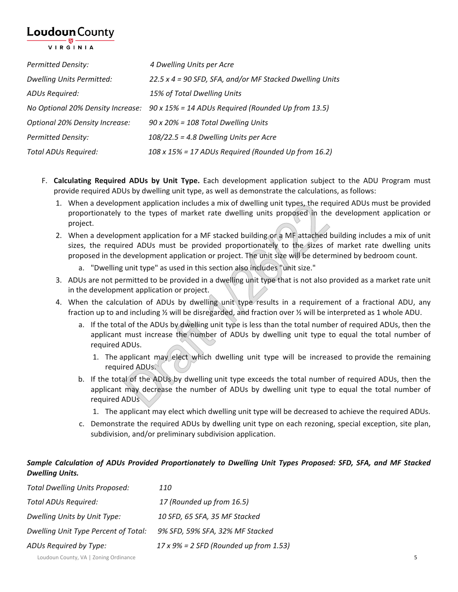VIRGINIA

| <b>Permitted Density:</b>             | 4 Dwelling Units per Acre                                                            |
|---------------------------------------|--------------------------------------------------------------------------------------|
| <b>Dwelling Units Permitted:</b>      | 22.5 x 4 = 90 SFD, SFA, and/or MF Stacked Dwelling Units                             |
| ADUs Required:                        | 15% of Total Dwelling Units                                                          |
|                                       | No Optional 20% Density Increase: 90 x 15% = 14 ADUs Required (Rounded Up from 13.5) |
| <b>Optional 20% Density Increase:</b> | $90 \times 20\% = 108$ Total Dwelling Units                                          |
| <b>Permitted Density:</b>             | $108/22.5$ = 4.8 Dwelling Units per Acre                                             |
| Total ADUs Required:                  | 108 x 15% = 17 ADUs Required (Rounded Up from 16.2)                                  |

- F. **Calculating Required ADUs by Unit Type.** Each development application subject to the ADU Program must provide required ADUs by dwelling unit type, as well as demonstrate the calculations, as follows:
	- 1. When a development application includes a mix of dwelling unit types, the required ADUs must be provided proportionately to the types of market rate dwelling units proposed in the development application or project.
	- 2. When a development application for a MF stacked building or a MF attached building includes a mix of unit sizes, the required ADUs must be provided proportionately to the sizes of market rate dwelling units proposed in the development application or project. The unit size will be determined by bedroom count.
		- a. "Dwelling unit type" as used in this section also includes "unit size."
	- 3. ADUs are not permitted to be provided in a dwelling unit type that is not also provided as a market rate unit in the development application or project.
	- 4. When the calculation of ADUs by dwelling unit type results in a requirement of a fractional ADU, any fraction up to and including ½ will be disregarded, and fraction over ½ will be interpreted as 1 whole ADU.
		- a. If the total of the ADUs by dwelling unit type is less than the total number of required ADUs, then the applicant must increase the number of ADUs by dwelling unit type to equal the total number of required ADUs.
			- 1. The applicant may elect which dwelling unit type will be increased to provide the remaining required ADUs.
		- b. If the total of the ADUs by dwelling unit type exceeds the total number of required ADUs, then the applicant may decrease the number of ADUs by dwelling unit type to equal the total number of required ADUs
			- 1. The applicant may elect which dwelling unit type will be decreased to achieve the required ADUs.
		- c. Demonstrate the required ADUs by dwelling unit type on each rezoning, special exception, site plan, subdivision, and/or preliminary subdivision application.

### *Sample Calculation of ADUs Provided Proportionately to Dwelling Unit Types Proposed: SFD, SFA, and MF Stacked Dwelling Units.*

| <b>Total Dwelling Units Proposed:</b> | <i>110</i>                                     |
|---------------------------------------|------------------------------------------------|
| <b>Total ADUs Required:</b>           | 17 (Rounded up from 16.5)                      |
| Dwelling Units by Unit Type:          | 10 SFD, 65 SFA, 35 MF Stacked                  |
| Dwelling Unit Type Percent of Total:  | 9% SFD, 59% SFA, 32% MF Stacked                |
| ADUs Required by Type:                | $17 \times 9\% = 2$ SFD (Rounded up from 1.53) |
|                                       |                                                |

Loudoun County, VA | Zoning Ordinance 5 **5**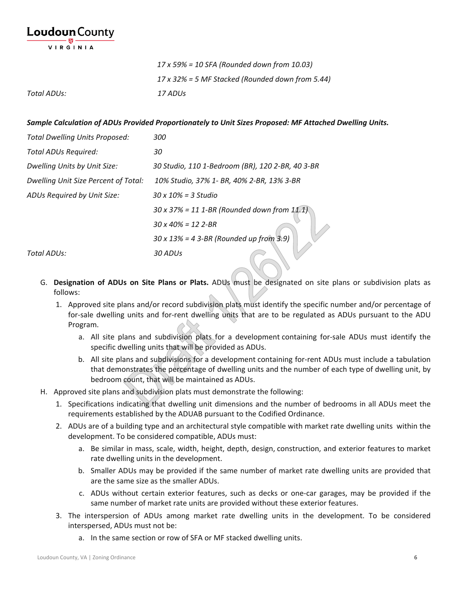**Loudoun** County VIRGINIA

|             | $17 \times 59\% = 10$ SFA (Rounded down from 10.03)      |  |
|-------------|----------------------------------------------------------|--|
|             | $17 \times 32\%$ = 5 MF Stacked (Rounded down from 5.44) |  |
| Total ADUs: | 17 ADUs                                                  |  |

*Sample Calculation of ADUs Provided Proportionately to Unit Sizes Proposed: MF Attached Dwelling Units.*

| <b>Total Dwelling Units Proposed:</b> | <i>300</i>                                          |
|---------------------------------------|-----------------------------------------------------|
| <b>Total ADUs Required:</b>           | 30                                                  |
| Dwelling Units by Unit Size:          | 30 Studio, 110 1-Bedroom (BR), 120 2-BR, 40 3-BR    |
| Dwelling Unit Size Percent of Total:  | 10% Studio, 37% 1- BR, 40% 2-BR, 13% 3-BR           |
| ADUs Required by Unit Size:           | $30 \times 10\% = 3$ Studio                         |
|                                       | $30 \times 37\% = 11$ 1-BR (Rounded down from 11.1) |
|                                       | $30 \times 40\% = 12$ 2-BR                          |
|                                       | $30 \times 13\% = 4$ 3-BR (Rounded up from 3.9)     |
| Total ADUs:                           | 30 ADUs                                             |

- G. **Designation of ADUs on Site Plans or Plats.** ADUs must be designated on site plans or subdivision plats as follows:
	- 1. Approved site plans and/or record subdivision plats must identify the specific number and/or percentage of for-sale dwelling units and for-rent dwelling units that are to be regulated as ADUs pursuant to the ADU Program.
		- a. All site plans and subdivision plats for a development containing for-sale ADUs must identify the specific dwelling units that will be provided as ADUs.
		- b. All site plans and subdivisions for a development containing for-rent ADUs must include a tabulation that demonstrates the percentage of dwelling units and the number of each type of dwelling unit, by bedroom count, that will be maintained as ADUs.
- H. Approved site plans and subdivision plats must demonstrate the following:
	- 1. Specifications indicating that dwelling unit dimensions and the number of bedrooms in all ADUs meet the requirements established by the ADUAB pursuant to the Codified Ordinance.
	- 2. ADUs are of a building type and an architectural style compatible with market rate dwelling units within the development. To be considered compatible, ADUs must:
		- a. Be similar in mass, scale, width, height, depth, design, construction, and exterior features to market rate dwelling units in the development.
		- b. Smaller ADUs may be provided if the same number of market rate dwelling units are provided that are the same size as the smaller ADUs.
		- c. ADUs without certain exterior features, such as decks or one-car garages, may be provided if the same number of market rate units are provided without these exterior features.
	- 3. The interspersion of ADUs among market rate dwelling units in the development. To be considered interspersed, ADUs must not be:
		- a. In the same section or row of SFA or MF stacked dwelling units.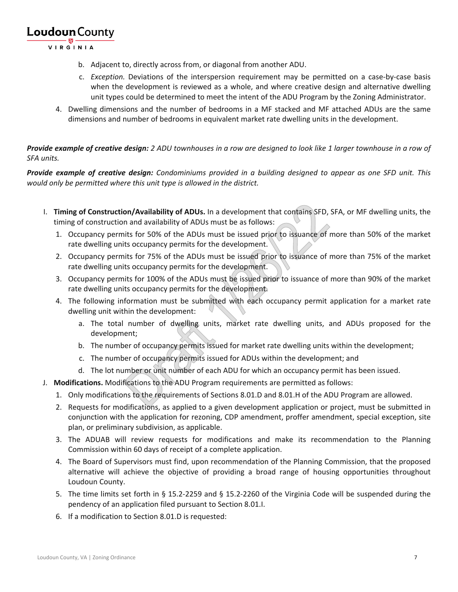VIRGINIA

- b. Adjacent to, directly across from, or diagonal from another ADU.
- c. *Exception.* Deviations of the interspersion requirement may be permitted on a case-by-case basis when the development is reviewed as a whole, and where creative design and alternative dwelling unit types could be determined to meet the intent of the ADU Program by the Zoning Administrator.
- 4. Dwelling dimensions and the number of bedrooms in a MF stacked and MF attached ADUs are the same dimensions and number of bedrooms in equivalent market rate dwelling units in the development.

*Provide example of creative design: 2 ADU townhouses in a row are designed to look like 1 larger townhouse in a row of SFA units.*

*Provide example of creative design: Condominiums provided in a building designed to appear as one SFD unit. This would only be permitted where this unit type is allowed in the district.*

- I. **Timing of Construction/Availability of ADUs.** In a development that contains SFD, SFA, or MF dwelling units, the timing of construction and availability of ADUs must be as follows:
	- 1. Occupancy permits for 50% of the ADUs must be issued prior to issuance of more than 50% of the market rate dwelling units occupancy permits for the development.
	- 2. Occupancy permits for 75% of the ADUs must be issued prior to issuance of more than 75% of the market rate dwelling units occupancy permits for the development.
	- 3. Occupancy permits for 100% of the ADUs must be issued prior to issuance of more than 90% of the market rate dwelling units occupancy permits for the development.
	- 4. The following information must be submitted with each occupancy permit application for a market rate dwelling unit within the development:
		- a. The total number of dwelling units, market rate dwelling units, and ADUs proposed for the development;
		- b. The number of occupancy permits issued for market rate dwelling units within the development;
		- c. The number of occupancy permits issued for ADUs within the development; and
		- d. The lot number or unit number of each ADU for which an occupancy permit has been issued.
- J. **Modifications.** Modifications to the ADU Program requirements are permitted as follows:
	- 1. Only modifications to the requirements of Sections 8.01.D and 8.01.H of the ADU Program are allowed.
	- 2. Requests for modifications, as applied to a given development application or project, must be submitted in conjunction with the application for rezoning, CDP amendment, proffer amendment, special exception, site plan, or preliminary subdivision, as applicable.
	- 3. The ADUAB will review requests for modifications and make its recommendation to the Planning Commission within 60 days of receipt of a complete application.
	- 4. The Board of Supervisors must find, upon recommendation of the Planning Commission, that the proposed alternative will achieve the objective of providing a broad range of housing opportunities throughout Loudoun County.
	- 5. The time limits set forth in § 15.2-2259 and § 15.2-2260 of the Virginia Code will be suspended during the pendency of an application filed pursuant to Section 8.01.I.
	- 6. If a modification to Section 8.01.D is requested: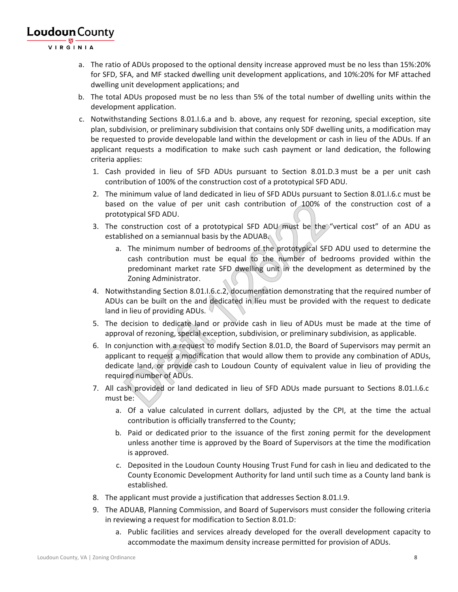VIRGINIA

- a. The ratio of ADUs proposed to the optional density increase approved must be no less than 15%:20% for SFD, SFA, and MF stacked dwelling unit development applications, and 10%:20% for MF attached dwelling unit development applications; and
- b. The total ADUs proposed must be no less than 5% of the total number of dwelling units within the development application.
- c. Notwithstanding Sections 8.01.I.6.a and b. above, any request for rezoning, special exception, site plan, subdivision, or preliminary subdivision that contains only SDF dwelling units, a modification may be requested to provide developable land within the development or cash in lieu of the ADUs. If an applicant requests a modification to make such cash payment or land dedication, the following criteria applies:
	- 1. Cash provided in lieu of SFD ADUs pursuant to Section 8.01.D.3 must be a per unit cash contribution of 100% of the construction cost of a prototypical SFD ADU.
	- 2. The minimum value of land dedicated in lieu of SFD ADUs pursuant to Section 8.01.I.6.c must be based on the value of per unit cash contribution of 100% of the construction cost of a prototypical SFD ADU.
	- 3. The construction cost of a prototypical SFD ADU must be the "vertical cost" of an ADU as established on a semiannual basis by the ADUAB.
		- a. The minimum number of bedrooms of the prototypical SFD ADU used to determine the cash contribution must be equal to the number of bedrooms provided within the predominant market rate SFD dwelling unit in the development as determined by the Zoning Administrator.
	- 4. Notwithstanding Section 8.01.I.6.c.2, documentation demonstrating that the required number of ADUs can be built on the and dedicated in lieu must be provided with the request to dedicate land in lieu of providing ADUs.
	- 5. The decision to dedicate land or provide cash in lieu of ADUs must be made at the time of approval of rezoning, special exception, subdivision, or preliminary subdivision, as applicable.
	- 6. In conjunction with a request to modify Section 8.01.D, the Board of Supervisors may permit an applicant to request a modification that would allow them to provide any combination of ADUs, dedicate land, or provide cash to Loudoun County of equivalent value in lieu of providing the required number of ADUs.
	- 7. All cash provided or land dedicated in lieu of SFD ADUs made pursuant to Sections 8.01.I.6.c must be:
		- a. Of a value calculated in current dollars, adjusted by the CPI, at the time the actual contribution is officially transferred to the County;
		- b. Paid or dedicated prior to the issuance of the first zoning permit for the development unless another time is approved by the Board of Supervisors at the time the modification is approved.
		- c. Deposited in the Loudoun County Housing Trust Fund for cash in lieu and dedicated to the County Economic Development Authority for land until such time as a County land bank is established.
	- 8. The applicant must provide a justification that addresses Section 8.01.I.9.
	- 9. The ADUAB, Planning Commission, and Board of Supervisors must consider the following criteria in reviewing a request for modification to Section 8.01.D:
		- a. Public facilities and services already developed for the overall development capacity to accommodate the maximum density increase permitted for provision of ADUs.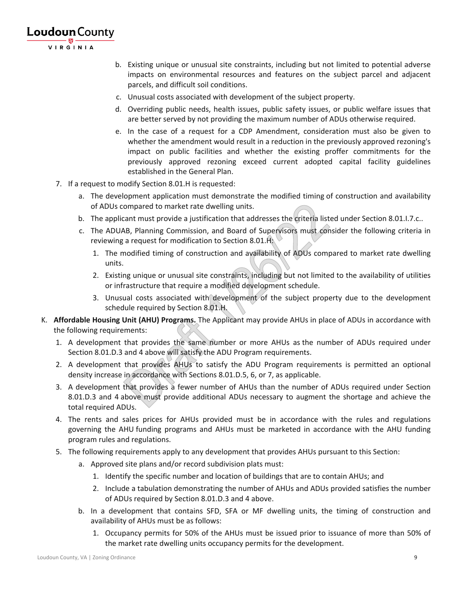**Loudoun** County VIRGINIA

- b. Existing unique or unusual site constraints, including but not limited to potential adverse impacts on environmental resources and features on the subject parcel and adjacent parcels, and difficult soil conditions.
- c. Unusual costs associated with development of the subject property.
- d. Overriding public needs, health issues, public safety issues, or public welfare issues that are better served by not providing the maximum number of ADUs otherwise required.
- e. In the case of a request for a CDP Amendment, consideration must also be given to whether the amendment would result in a reduction in the previously approved rezoning's impact on public facilities and whether the existing proffer commitments for the previously approved rezoning exceed current adopted capital facility guidelines established in the General Plan.
- 7. If a request to modify Section 8.01.H is requested:
	- a. The development application must demonstrate the modified timing of construction and availability of ADUs compared to market rate dwelling units.
	- b. The applicant must provide a justification that addresses the criteria listed under Section 8.01.I.7.c..
	- c. The ADUAB, Planning Commission, and Board of Supervisors must consider the following criteria in reviewing a request for modification to Section 8.01.H:
		- 1. The modified timing of construction and availability of ADUs compared to market rate dwelling units.
		- 2. Existing unique or unusual site constraints, including but not limited to the availability of utilities or infrastructure that require a modified development schedule.
		- 3. Unusual costs associated with development of the subject property due to the development schedule required by Section 8.01.H.
- K. **Affordable Housing Unit (AHU) Programs.** The Applicant may provide AHUs in place of ADUs in accordance with the following requirements:
	- 1. A development that provides the same number or more AHUs as the number of ADUs required under Section 8.01.D.3 and 4 above will satisfy the ADU Program requirements.
	- 2. A development that provides AHUs to satisfy the ADU Program requirements is permitted an optional density increase in accordance with Sections 8.01.D.5, 6, or 7, as applicable.
	- 3. A development that provides a fewer number of AHUs than the number of ADUs required under Section 8.01.D.3 and 4 above must provide additional ADUs necessary to augment the shortage and achieve the total required ADUs.
	- 4. The rents and sales prices for AHUs provided must be in accordance with the rules and regulations governing the AHU funding programs and AHUs must be marketed in accordance with the AHU funding program rules and regulations.
	- 5. The following requirements apply to any development that provides AHUs pursuant to this Section:
		- a. Approved site plans and/or record subdivision plats must:
			- 1. Identify the specific number and location of buildings that are to contain AHUs; and
			- 2. Include a tabulation demonstrating the number of AHUs and ADUs provided satisfies the number of ADUs required by Section 8.01.D.3 and 4 above.
		- b. In a development that contains SFD, SFA or MF dwelling units, the timing of construction and availability of AHUs must be as follows:
			- 1. Occupancy permits for 50% of the AHUs must be issued prior to issuance of more than 50% of the market rate dwelling units occupancy permits for the development.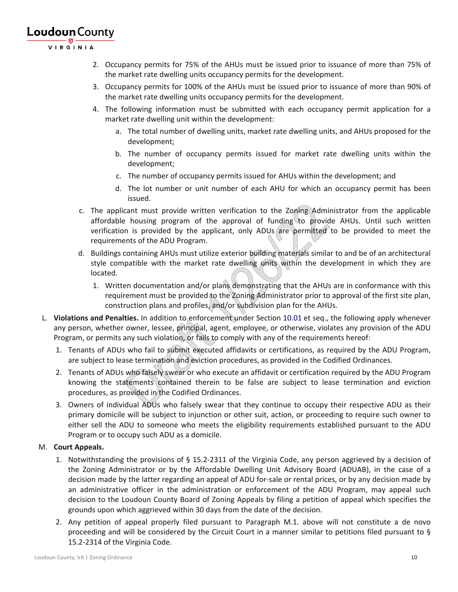VIRGINIA

- 2. Occupancy permits for 75% of the AHUs must be issued prior to issuance of more than 75% of the market rate dwelling units occupancy permits for the development.
- 3. Occupancy permits for 100% of the AHUs must be issued prior to issuance of more than 90% of the market rate dwelling units occupancy permits for the development.
- 4. The following information must be submitted with each occupancy permit application for a market rate dwelling unit within the development:
	- a. The total number of dwelling units, market rate dwelling units, and AHUs proposed for the development;
	- b. The number of occupancy permits issued for market rate dwelling units within the development;
	- c. The number of occupancy permits issued for AHUs within the development; and
	- d. The lot number or unit number of each AHU for which an occupancy permit has been issued.
- c. The applicant must provide written verification to the Zoning Administrator from the applicable affordable housing program of the approval of funding to provide AHUs. Until such written verification is provided by the applicant, only ADUs are permitted to be provided to meet the requirements of the ADU Program.
- d. Buildings containing AHUs must utilize exterior building materials similar to and be of an architectural style compatible with the market rate dwelling units within the development in which they are located.
	- 1. Written documentation and/or plans demonstrating that the AHUs are in conformance with this requirement must be provided to the Zoning Administrator prior to approval of the first site plan, construction plans and profiles, and/or subdivision plan for the AHUs.
- L. **Violations and Penalties.** In addition to enforcement under Section 10.01 et seq., the following apply whenever any person, whether owner, lessee, principal, agent, employee, or otherwise, violates any provision of the ADU Program, or permits any such violation, or fails to comply with any of the requirements hereof:
	- 1. Tenants of ADUs who fail to submit executed affidavits or certifications, as required by the ADU Program, are subject to lease termination and eviction procedures, as provided in the Codified Ordinances.
	- 2. Tenants of ADUs who falsely swear or who execute an affidavit or certification required by the ADU Program knowing the statements contained therein to be false are subject to lease termination and eviction procedures, as provided in the Codified Ordinances.
	- 3. Owners of individual ADUs who falsely swear that they continue to occupy their respective ADU as their primary domicile will be subject to injunction or other suit, action, or proceeding to require such owner to either sell the ADU to someone who meets the eligibility requirements established pursuant to the ADU Program or to occupy such ADU as a domicile.

### M. **Court Appeals.**

- 1. Notwithstanding the provisions of § 15.2-2311 of the Virginia Code, any person aggrieved by a decision of the Zoning Administrator or by the Affordable Dwelling Unit Advisory Board (ADUAB), in the case of a decision made by the latter regarding an appeal of ADU for-sale or rental prices, or by any decision made by an administrative officer in the administration or enforcement of the ADU Program, may appeal such decision to the Loudoun County Board of Zoning Appeals by filing a petition of appeal which specifies the grounds upon which aggrieved within 30 days from the date of the decision.
- 2. Any petition of appeal properly filed pursuant to Paragraph M.1. above will not constitute a de novo proceeding and will be considered by the Circuit Court in a manner similar to petitions filed pursuant to § 15.2-2314 of the Virginia Code.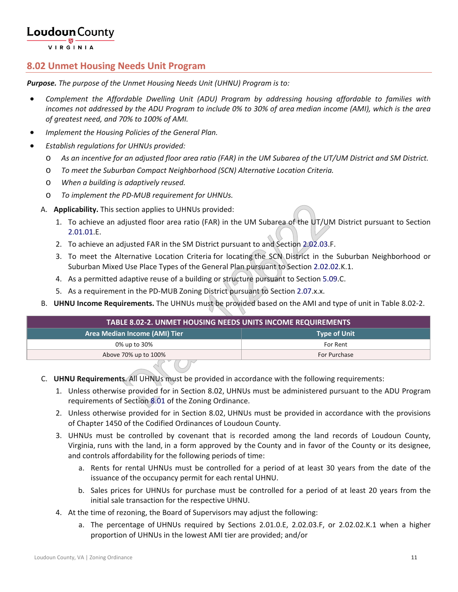VIRGINIA

### **8.02 Unmet Housing Needs Unit Program**

*Purpose. The purpose of the Unmet Housing Needs Unit (UHNU) Program is to:*

- *Complement the Affordable Dwelling Unit (ADU) Program by addressing housing affordable to families with incomes not addressed by the ADU Program to include 0% to 30% of area median income (AMI), which is the area of greatest need, and 70% to 100% of AMI.*
- *Implement the Housing Policies of the General Plan.*
- *Establish regulations for UHNUs provided:*
	- o *As an incentive for an adjusted floor area ratio (FAR) in the UM Subarea of the UT/UM District and SM District.*
	- o *To meet the Suburban Compact Neighborhood (SCN) Alternative Location Criteria.*
	- o *When a building is adaptively reused.*
	- o *To implement the PD-MUB requirement for UHNUs.*
	- A. **Applicability.** This section applies to UHNUs provided:
		- 1. To achieve an adjusted floor area ratio (FAR) in the UM Subarea of the UT/UM District pursuant to Section 2.01.01.E.
		- 2. To achieve an adjusted FAR in the SM District pursuant to and Section 2.02.03.F.
		- 3. To meet the Alternative Location Criteria for locating the SCN District in the Suburban Neighborhood or Suburban Mixed Use Place Types of the General Plan pursuant to Section 2.02.02.K.1.
		- 4. As a permitted adaptive reuse of a building or structure pursuant to Section 5.09.C.
		- 5. As a requirement in the PD-MUB Zoning District pursuant to Section 2.07.x.x.
	- B. **UHNU Income Requirements.** The UHNUs must be provided based on the AMI and type of unit in Table 8.02-2.

| <b>TABLE 8.02-2. UNMET HOUSING NEEDS UNITS INCOME REQUIREMENTS</b> |          |  |
|--------------------------------------------------------------------|----------|--|
| Area Median Income (AMI) Tier<br><b>Type of Unit</b>               |          |  |
| 0% up to 30%                                                       | For Rent |  |
| Above 70% up to 100%<br>For Purchase                               |          |  |

- C. **UHNU Requirements**. All UHNUs must be provided in accordance with the following requirements:
	- 1. Unless otherwise provided for in Section 8.02, UHNUs must be administered pursuant to the ADU Program requirements of Section 8.01 of the Zoning Ordinance.
	- 2. Unless otherwise provided for in Section 8.02, UHNUs must be provided in accordance with the provisions of Chapter 1450 of the Codified Ordinances of Loudoun County.
	- 3. UHNUs must be controlled by covenant that is recorded among the land records of Loudoun County, Virginia, runs with the land, in a form approved by the County and in favor of the County or its designee, and controls affordability for the following periods of time:
		- a. Rents for rental UHNUs must be controlled for a period of at least 30 years from the date of the issuance of the occupancy permit for each rental UHNU.
		- b. Sales prices for UHNUs for purchase must be controlled for a period of at least 20 years from the initial sale transaction for the respective UHNU.
	- 4. At the time of rezoning, the Board of Supervisors may adjust the following:
		- a. The percentage of UHNUs required by Sections 2.01.0.E, 2.02.03.F, or 2.02.02.K.1 when a higher proportion of UHNUs in the lowest AMI tier are provided; and/or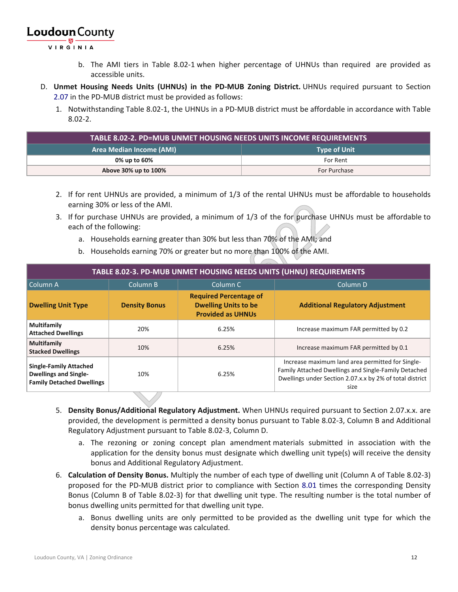VIRGINIA

- b. The AMI tiers in Table 8.02-1 when higher percentage of UHNUs than required are provided as accessible units.
- D. **Unmet Housing Needs Units (UHNUs) in the PD-MUB Zoning District.** UHNUs required pursuant to Section 2.07 in the PD-MUB district must be provided as follows:
	- 1. Notwithstanding Table 8.02-1, the UHNUs in a PD-MUB district must be affordable in accordance with Table 8.02-2.

| <b>Area Median Income (AMI)</b><br><b>Type of Unit</b> |              |  |
|--------------------------------------------------------|--------------|--|
| 0% up to 60%                                           | For Rent     |  |
| Above 30% up to 100%                                   | For Purchase |  |

- 2. If for rent UHNUs are provided, a minimum of 1/3 of the rental UHNUs must be affordable to households earning 30% or less of the AMI.
- 3. If for purchase UHNUs are provided, a minimum of 1/3 of the for purchase UHNUs must be affordable to each of the following:
	- a. Households earning greater than 30% but less than 70% of the AMI; and
	- b. Households earning 70% or greater but no more than 100% of the AMI.

| TABLE 8.02-3. PD-MUB UNMET HOUSING NEEDS UNITS (UHNU) REQUIREMENTS                                |                                                        |                                                                                          |                                                                                                                                                                              |  |
|---------------------------------------------------------------------------------------------------|--------------------------------------------------------|------------------------------------------------------------------------------------------|------------------------------------------------------------------------------------------------------------------------------------------------------------------------------|--|
| Column A                                                                                          | Column B<br>Column <sub>C</sub><br>Column <sub>D</sub> |                                                                                          |                                                                                                                                                                              |  |
| <b>Dwelling Unit Type</b>                                                                         | <b>Density Bonus</b>                                   | <b>Required Percentage of</b><br><b>Dwelling Units to be</b><br><b>Provided as UHNUs</b> | <b>Additional Regulatory Adjustment</b>                                                                                                                                      |  |
| Multifamily<br><b>Attached Dwellings</b>                                                          | 20%                                                    | 6.25%                                                                                    | Increase maximum FAR permitted by 0.2                                                                                                                                        |  |
| <b>Multifamily</b><br><b>Stacked Dwellings</b>                                                    | 10%                                                    | 6.25%                                                                                    | Increase maximum FAR permitted by 0.1                                                                                                                                        |  |
| <b>Single-Family Attached</b><br><b>Dwellings and Single-</b><br><b>Family Detached Dwellings</b> | 10%                                                    | 6.25%                                                                                    | Increase maximum land area permitted for Single-<br>Family Attached Dwellings and Single-Family Detached<br>Dwellings under Section 2.07.x.x by 2% of total district<br>size |  |

- 5. **Density Bonus/Additional Regulatory Adjustment.** When UHNUs required pursuant to Section 2.07.x.x. are provided, the development is permitted a density bonus pursuant to Table 8.02-3, Column B and Additional Regulatory Adjustment pursuant to Table 8.02-3, Column D.
	- a. The rezoning or zoning concept plan amendment materials submitted in association with the application for the density bonus must designate which dwelling unit type(s) will receive the density bonus and Additional Regulatory Adjustment.
- 6. **Calculation of Density Bonus.** Multiply the number of each type of dwelling unit (Column A of Table 8.02-3) proposed for the PD-MUB district prior to compliance with Section 8.01 times the corresponding Density Bonus (Column B of Table 8.02-3) for that dwelling unit type. The resulting number is the total number of bonus dwelling units permitted for that dwelling unit type.
	- a. Bonus dwelling units are only permitted to be provided as the dwelling unit type for which the density bonus percentage was calculated.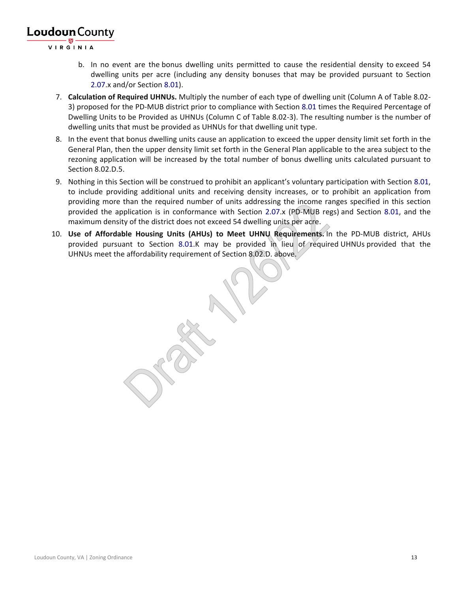VIR GINIA

- b. In no event are the bonus dwelling units permitted to cause the residential density to exceed 54 dwelling units per acre (including any density bonuses that may be provided pursuant to Section 2.07.x and/or Section 8.01).
- 7. **Calculation of Required UHNUs.** Multiply the number of each type of dwelling unit (Column A of Table 8.02- 3) proposed for the PD-MUB district prior to compliance with Section 8.01 times the Required Percentage of Dwelling Units to be Provided as UHNUs (Column C of Table 8.02-3). The resulting number is the number of dwelling units that must be provided as UHNUs for that dwelling unit type.
- 8. In the event that bonus dwelling units cause an application to exceed the upper density limit set forth in the General Plan, then the upper density limit set forth in the General Plan applicable to the area subject to the rezoning application will be increased by the total number of bonus dwelling units calculated pursuant to Section 8.02.D.5.
- 9. Nothing in this Section will be construed to prohibit an applicant's voluntary participation with Section 8.01, to include providing additional units and receiving density increases, or to prohibit an application from providing more than the required number of units addressing the income ranges specified in this section provided the application is in conformance with Section 2.07.x (PD-MUB regs) and Section 8.01, and the maximum density of the district does not exceed 54 dwelling units per acre.
- 10. **Use of Affordable Housing Units (AHUs) to Meet UHNU Requirements.** In the PD-MUB district, AHUs provided pursuant to Section 8.01.K may be provided in lieu of required UHNUs provided that the UHNUs meet the affordability requirement of Section 8.02.D. above.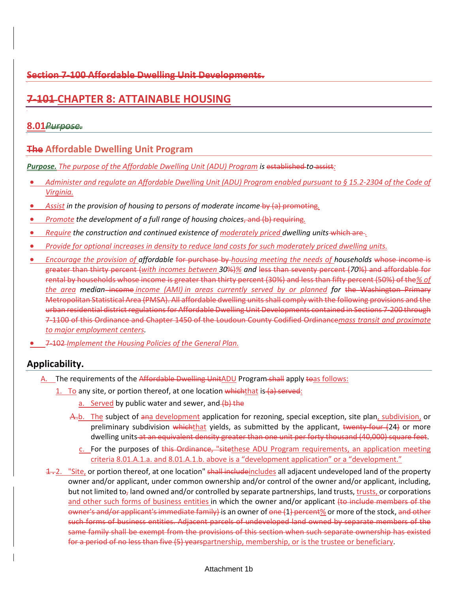### **Section 7-100 Affordable Dwelling Unit Developments.**

### **7-101 CHAPTER 8: ATTAINABLE HOUSING**

### **8.01***Purpose.*

### **The Affordable Dwelling Unit Program**

*Purpose. The purpose of the Affordable Dwelling Unit (ADU) Program is* established *to* assist*:*

- *Administer and regulate an Affordable Dwelling Unit (ADU) Program enabled pursuant to § 15.2-2304 of the Code of Virginia.*
- **•** Assist in the provision of housing to persons of moderate income-by (a) promoting.
- *Promote the development of a full range of housing choices*, and (b) requiring*.*
- Require the construction and continued existence of moderately priced dwelling units which are *.*
- *Provide for optional increases in density to reduce land costs for such moderately priced dwelling units.*
- *Encourage the provision of affordable* for purchase by *housing meeting the needs of households* whose income is greater than thirty percent (*with incomes between 30*%)*% and* less than seventy percent (*70*%) and affordable for rental by households whose income is greater than thirty percent (30%) and less than fifty percent (50%) of the*% of the area median* income *income (AMI) in areas currently served by or planned for* the Washington Primary Metropolitan Statistical Area (PMSA). All affordable dwelling units shall comply with the following provisions and the urban residential district regulations for Affordable Dwelling Unit Developments contained in Sections 7-200 through 7-1100 of this Ordinance and Chapter 1450 of the Loudoun County Codified Ordinance*mass transit and proximate to major employment centers.*
- 7-102 *Implement the Housing Policies of the General Plan.*

### **Applicability.**

- A. The requirements of the Affordable Dwelling UnitADU Program-shall apply toas follows:
	- 1. To any site, or portion thereof, at one location which that is  $(a)$  served:
		- a. Served by public water and sewer, and  $(b)$  the
		- Α.b. The subject of ana development application for rezoning, special exception, site plan, subdivision, or preliminary subdivision which that yields, as submitted by the applicant, twenty-four (24) or more dwelling units at an equivalent density greater than one unit per forty thousand (40,000) square feet.
			- c. For the purposes of this Ordinance, "sitethese ADU Program requirements, an application meeting criteria 8.01.A.1.a. and 8.01.A.1.b. above is a "development application" or a "development."
	- $\pm$ ,  $2.$  "Site, or portion thereof, at one location" shall includeincludes all adjacent undeveloped land of the property owner and/or applicant, under common ownership and/or control of the owner and/or applicant, including, but not limited to<sub>z</sub> land owned and/or controlled by separate partnerships, land trusts, trusts, or corporations and other such forms of business entities in which the owner and/or applicant (to include members of the owner's and/or applicant's immediate family) is an owner of one (1) percent% or more of the stock, and other such forms of business entities. Adjacent parcels of undeveloped land owned by separate members of the same family shall be exempt from the provisions of this section when such separate ownership has existed for a period of no less than five (5) yearspartnership, membership, or is the trustee or beneficiary.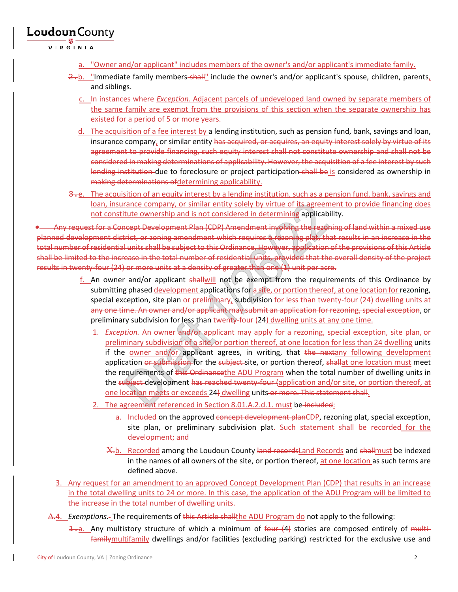VIRGINIA

- a. "Owner and/or applicant" includes members of the owner's and/or applicant's immediate family.
- $\frac{2-b}{2}$ . "Immediate family members-shall" include the owner's and/or applicant's spouse, children, parents, and siblings.
	- c. In instances where *Exception.* Adjacent parcels of undeveloped land owned by separate members of the same family are exempt from the provisions of this section when the separate ownership has existed for a period of 5 or more years.
	- d. The acquisition of a fee interest by a lending institution, such as pension fund, bank, savings and loan, insurance company, or similar entity has acquired, or acquires, an equity interest solely by virtue of its agreement to provide financing, such equity interest shall not constitute ownership and shall not be considered in making determinations of applicability. However, the acquisition of a fee interest by such lending institution due to foreclosure or project participation shall be is considered as ownership in making determinations ofdetermining applicability.
- 3.e. The acquisition of an equity interest by a lending institution, such as a pension fund, bank, savings and loan, insurance company, or similar entity solely by virtue of its agreement to provide financing does not constitute ownership and is not considered in determining applicability.

• Any request for a Concept Development Plan (CDP) Amendment involving the rezoning of land within a mixed use planned development district, or zoning amendment which requires a rezoning plat, that results in an increase in the total number of residential units shall be subject to this Ordinance. However, application of the provisions of this Article shall be limited to the increase in the total number of residential units, provided that the overall density of the project results in twenty-four (24) or more units at a density of greater than one (1) unit per acre.

- f. An owner and/or applicant shallwill not be exempt from the requirements of this Ordinance by submitting phased development applications for a site, or portion thereof, at one location for rezoning, special exception, site plan or preliminary, subdivision for less than twenty-four (24) dwelling units at any one time. An owner and/or applicant may submit an application for rezoning, special exception, or preliminary subdivision for less than twenty-four (24) dwelling units at any one time.
	- 1. *Exception.* An owner and/or applicant may apply for a rezoning, special exception, site plan, or preliminary subdivision of a site, or portion thereof, at one location for less than 24 dwelling units if the owner and/or applicant agrees, in writing, that the nextany following development application or submission for the subject site, or portion thereof, shallat one location must meet the requirements of this Ordinancethe ADU Program when the total number of dwelling units in the subject development has reached twenty-four (application and/or site, or portion thereof, at one location meets or exceeds 24) dwelling units or more. This statement shall.
	- 2. The agreement referenced in Section 8.01.A.2.d.1. must be included:
		- a. Included on the approved concept development planCDP, rezoning plat, special exception, site plan, or preliminary subdivision plat. Such statement shall be recorded for the development; and
		- Χ.b. Recorded among the Loudoun County land recordsLand Records and shallmust be indexed in the names of all owners of the site, or portion thereof, at one location as such terms are defined above.
- 3. Any request for an amendment to an approved Concept Development Plan (CDP) that results in an increase in the total dwelling units to 24 or more. In this case, the application of the ADU Program will be limited to the increase in the total number of dwelling units.
- ∆.4. *Exemptions.* The requirements of this Article shallthe ADU Program do not apply to the following:
	- 1. Any multistory structure of which a minimum of four (4) stories are composed entirely of multifamilymultifamily dwellings and/or facilities (excluding parking) restricted for the exclusive use and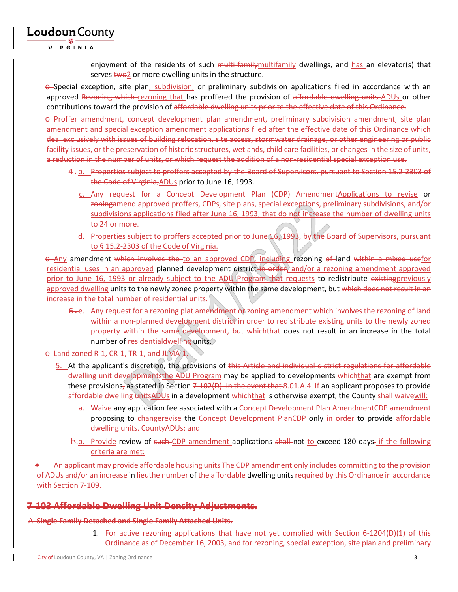VIRGINIA

Loudoun County

enjoyment of the residents of such multi-family multifamily dwellings, and has an elevator(s) that serves two2 or more dwelling units in the structure.

 $\Theta$ -Special exception, site plan, subdivision, or preliminary subdivision applications filed in accordance with an approved Rezoning which rezoning that has proffered the provision of affordable dwelling units ADUs or other contributions toward the provision of affordable dwelling units prior to the effective date of this Ordinance.

o Proffer amendment, concept development plan amendment, preliminary subdivision amendment, site plan amendment and special exception amendment applications filed after the effective date of this Ordinance which deal exclusively with issues of building relocation, site access, stormwater drainage, or other engineering or public facility issues, or the preservation of historic structures, wetlands, child care facilities, or changes in the size of units, a reduction in the number of units, or which request the addition of a non-residential special exception use.

- 4.b. Properties subject to proffers accepted by the Board of Supervisors, pursuant to Section 15.2-2303 of the Code of Virginia,ADUs prior to June 16, 1993.
	- c. Any request for a Concept Development Plan (CDP) AmendmentApplications to revise or zoningamend approved proffers, CDPs, site plans, special exceptions, preliminary subdivisions, and/or subdivisions applications filed after June 16, 1993, that do not increase the number of dwelling units to 24 or more.
	- d. Properties subject to proffers accepted prior to June 16, 1993, by the Board of Supervisors, pursuant to § 15.2-2303 of the Code of Virginia.

 $\theta$ -Any amendment which involves the to an approved CDP, including rezoning of land within a mixed usefor residential uses in an approved planned development district in order, and/or a rezoning amendment approved prior to June 16, 1993 or already subject to the ADU Program that requests to redistribute existingpreviously approved dwelling units to the newly zoned property within the same development, but which does not result in an increase in the total number of residential units.

- 6.e. Any request for a rezoning plat amendment of zoning amendment which involves the rezoning of land within a non-planned development district in order to redistribute existing units to the newly zoned property within the same development, but whichthat does not result in an increase in the total number of residentialdwelling units.
- o Land zoned R-1, CR-1, TR-1, and JLMA-1.
	- 5. At the applicant's discretion, the provisions of this Article and individual district regulations for affordable dwelling unit developmentsthe ADU Program may be applied to developments which that are exempt from these provisions, as stated in Section  $7-102(D)$ . In the event that 8.01.A.4. If an applicant proposes to provide affordable dwelling unitsADUs in a development whichthat is otherwise exempt, the County shall waivewill:
		- Waive any application fee associated with a Concept Development Plan AmendmentCDP amendment proposing to changerevise the Concept Development PlanCDP only in order to provide affordable dwelling units. CountyADUs; and
		- Ε.b. Provide review of such CDP amendment applications shall not to exceed 180 days. if the following criteria are met:

An applicant may provide affordable housing units The CDP amendment only includes committing to the provision of ADUs and/or an increase in lieuthe number of the affordable dwelling units required by this Ordinance in accordance with Section 7-109.

### **7-103 Affordable Dwelling Unit Density Adjustments.**

#### A. **Single Family Detached and Single Family Attached Units.**

1. For active rezoning applications that have not yet complied with Section 6-1204(D)(1) of this Ordinance as of December 16, 2003, and for rezoning, special exception, site plan and preliminary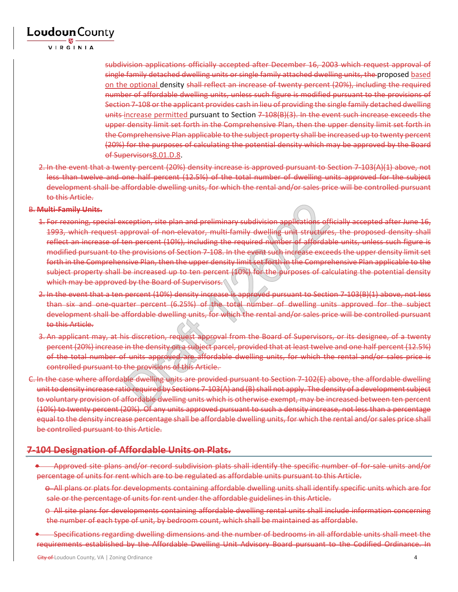VIRGINIA

subdivision applications officially accepted after December 16, 2003 which request approval of single family detached dwelling units or single family attached dwelling units, the proposed based on the optional density shall reflect an increase of twenty percent (20%), including the required number of affordable dwelling units, unless such figure is modified pursuant to the provisions of Section 7-108 or the applicant provides cash in lieu of providing the single family detached dwelling units-increase permitted pursuant to Section 7-108(B)(3). In the event such increase exceeds the upper density limit set forth in the Comprehensive Plan, then the upper density limit set forth in the Comprehensive Plan applicable to the subject property shall be increased up to twenty percent (20%) for the purposes of calculating the potential density which may be approved by the Board of Supervisors8.01.D.8.

2. In the event that a twenty percent (20%) density increase is approved pursuant to Section 7-103(A)(1) above, not less than twelve and one half percent (12.5%) of the total number of dwelling units approved for the subject development shall be affordable dwelling units, for which the rental and/or sales price will be controlled pursuant to this Article.

#### B. **Multi-Family Units.**

- 1. For rezoning, special exception, site plan and preliminary subdivision applications officially accepted after June 16, 1993, which request approval of non-elevator, multi-family dwelling unit structures, the proposed density shall reflect an increase of ten percent (10%), including the required number of affordable units, unless such figure is modified pursuant to the provisions of Section 7-108. In the event such increase exceeds the upper density limit set forth in the Comprehensive Plan, then the upper density limit set forth in the Comprehensive Plan applicable to the subject property shall be increased up to ten percent (10%) for the purposes of calculating the potential density which may be approved by the Board of Supervisors.
- 2. In the event that a ten percent (10%) density increase is approved pursuant to Section 7-103(B)(1) above, not less than six and one-quarter percent (6.25%) of the total number of dwelling units approved for the subject development shall be affordable dwelling units, for which the rental and/or sales price will be controlled pursuant to this Article.
- 3. An applicant may, at his discretion, request approval from the Board of Supervisors, or its designee, of a twenty percent (20%) increase in the density on a subject parcel, provided that at least twelve and one half percent (12.5%) of the total number of units approved are affordable dwelling units, for which the rental and/or sales price is controlled pursuant to the provisions of this Article.
- C. In the case where affordable dwelling units are provided pursuant to Section 7-102(E) above, the affordable dwelling unit to density increase ratio required by Sections 7-103(A) and (B) shall not apply. The density of a development subject to voluntary provision of affordable dwelling units which is otherwise exempt, may be increased between ten percent (10%) to twenty percent (20%). Of any units approved pursuant to such a density increase, not less than a percentage equal to the density increase percentage shall be affordable dwelling units, for which the rental and/or sales price shall be controlled pursuant to this Article.

### **7-104 Designation of Affordable Units on Plats.**

- Approved site plans and/or record subdivision plats shall identify the specific number of for-sale units and/or percentage of units for rent which are to be regulated as affordable units pursuant to this Article.
	- o All plans or plats for developments containing affordable dwelling units shall identify specific units which are for sale or the percentage of units for rent under the affordable guidelines in this Article.
	- o All site plans for developments containing affordable dwelling rental units shall include information concerning the number of each type of unit, by bedroom count, which shall be maintained as affordable.
- Specifications regarding dwelling dimensions and the number of bedrooms in all affordable units shall meet the requirements established by the Affordable Dwelling Unit Advisory Board pursuant to the Codified Ordinance. In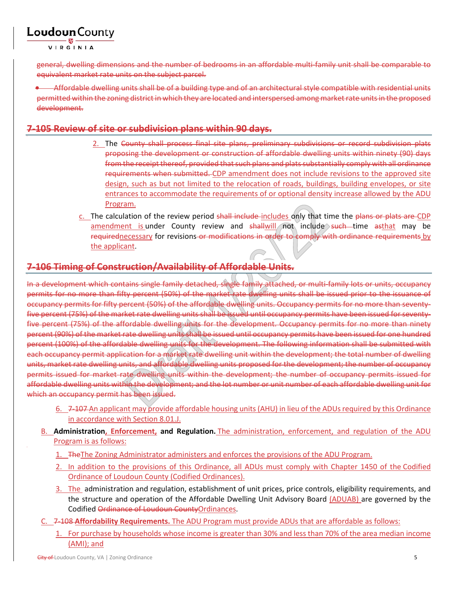VIRGINIA

general, dwelling dimensions and the number of bedrooms in an affordable multi-family unit shall be comparable to equivalent market rate units on the subject parcel.

• Affordable dwelling units shall be of a building type and of an architectural style compatible with residential units permitted within the zoning district in which they are located and interspersed among market rate units in the proposed development.

### **7-105 Review of site or subdivision plans within 90 days.**

- 2. The County shall process final site plans, preliminary subdivisions or record subdivision plats proposing the development or construction of affordable dwelling units within ninety (90) days from the receipt thereof, provided that such plans and plats substantially comply with all ordinance requirements when submitted. CDP amendment does not include revisions to the approved site design, such as but not limited to the relocation of roads, buildings, building envelopes, or site entrances to accommodate the requirements of or optional density increase allowed by the ADU Program.
- c. The calculation of the review period shall include includes only that time the plans or plats are CDP amendment is under County review and shallwill not include such time asthat may be requirednecessary for revisions or modifications in order to comply with ordinance requirements by the applicant.

### **7-106 Timing of Construction/Availability of Affordable Units.**

In a development which contains single family detached, single family attached, or multi-family lots or units, occupancy permits for no more than fifty percent (50%) of the market rate dwelling units shall be issued prior to the issuance of occupancy permits for fifty percent (50%) of the affordable dwelling units. Occupancy permits for no more than seventyfive percent (75%) of the market rate dwelling units shall be issued until occupancy permits have been issued for seventyfive percent (75%) of the affordable dwelling units for the development. Occupancy permits for no more than ninety percent (90%) of the market rate dwelling units shall be issued until occupancy permits have been issued for one hundred percent (100%) of the affordable dwelling units for the development. The following information shall be submitted with each occupancy permit application for a market rate dwelling unit within the development; the total number of dwelling units, market rate dwelling units, and affordable dwelling units proposed for the development; the number of occupancy permits issued for market rate dwelling units within the development; the number of occupancy permits issued for affordable dwelling units within the development; and the lot number or unit number of each affordable dwelling unit for which an occupancy permit has been issued.

- 6. 7-107 An applicant may provide affordable housing units (AHU) in lieu of the ADUs required by this Ordinance in accordance with Section 8.01.J.
- B. **Administration, Enforcement, and Regulation.** The administration, enforcement, and regulation of the ADU Program is as follows:
	- 1. TheThe Zoning Administrator administers and enforces the provisions of the ADU Program.
	- 2. In addition to the provisions of this Ordinance, all ADUs must comply with Chapter 1450 of the Codified Ordinance of Loudoun County (Codified Ordinances).
	- 3. The administration and regulation, establishment of unit prices, price controls, eligibility requirements, and the structure and operation of the Affordable Dwelling Unit Advisory Board (ADUAB) are governed by the Codified Ordinance of Loudoun CountyOrdinances.
- C. 7-108 **Affordability Requirements.** The ADU Program must provide ADUs that are affordable as follows:
	- 1. For purchase by households whose income is greater than 30% and less than 70% of the area median income (AMI); and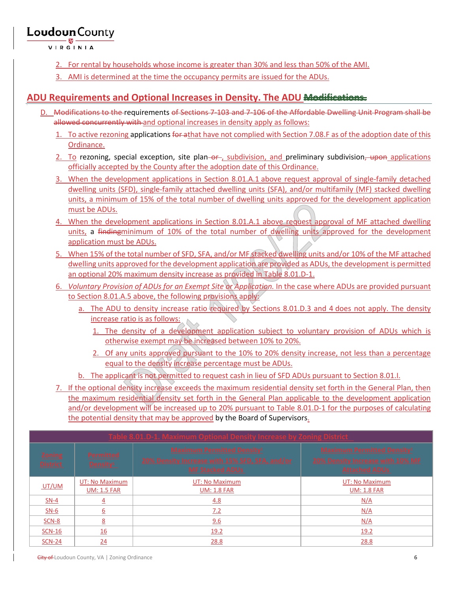VIRGINIA

- 2. For rental by households whose income is greater than 30% and less than 50% of the AMI.
- 3. AMI is determined at the time the occupancy permits are issued for the ADUs.

### **ADU Requirements and Optional Increases in Density. The ADU Modifications.**

- D. Modifications to the requirements of Sections 7-103 and 7-106 of the Affordable Dwelling Unit Program shall be allowed concurrently with and optional increases in density apply as follows:
	- 1. To active rezoning applications for athat have not complied with Section 7.08.F as of the adoption date of this Ordinance.
	- 2. To rezoning, special exception, site plan–or–, subdivision, and preliminary subdivision, upon applications officially accepted by the County after the adoption date of this Ordinance.
	- 3. When the development applications in Section 8.01.A.1 above request approval of single-family detached dwelling units (SFD), single-family attached dwelling units (SFA), and/or multifamily (MF) stacked dwelling units, a minimum of 15% of the total number of dwelling units approved for the development application must be ADUs.
	- 4. When the development applications in Section 8.01.A.1 above request approval of MF attached dwelling units, a findingminimum of 10% of the total number of dwelling units approved for the development application must be ADUs.
	- 5. When 15% of the total number of SFD, SFA, and/or MF stacked dwelling units and/or 10% of the MF attached dwelling units approved for the development application are provided as ADUs, the development is permitted an optional 20% maximum density increase as provided in Table 8.01.D-1.
	- 6. *Voluntary Provision of ADUs for an Exempt Site or Application.* In the case where ADUs are provided pursuant to Section 8.01.A.5 above, the following provisions apply:
		- a. The ADU to density increase ratio required by Sections 8.01.D.3 and 4 does not apply. The density increase ratio is as follows:
			- 1. The density of a development application subject to voluntary provision of ADUs which is otherwise exempt may be increased between 10% to 20%.
			- 2. Of any units approved pursuant to the 10% to 20% density increase, not less than a percentage equal to the density increase percentage must be ADUs.
		- b. The applicant is not permitted to request cash in lieu of SFD ADUs pursuant to Section 8.01.I.

7. If the optional density increase exceeds the maximum residential density set forth in the General Plan, then the maximum residential density set forth in the General Plan applicable to the development application and/or development will be increased up to 20% pursuant to Table 8.01.D-1 for the purposes of calculating the potential density that may be approved by the Board of Supervisors.

| Iavimum Antional Dancity Increase by Zoning District |                                          |                                                                                                               |                                                                                               |
|------------------------------------------------------|------------------------------------------|---------------------------------------------------------------------------------------------------------------|-----------------------------------------------------------------------------------------------|
| <b>Zoning</b><br><b>District</b>                     | <b>Permitted</b><br>Density <sup>1</sup> | <b>Maximum Permitted Density1</b><br>20% Density Increase with 15% SFD, SFA, and/or<br><b>MF Stacked ADUs</b> | <b>Maximum Permitted Density1</b><br>20% Density Increase with 10% MF<br><b>Attached ADUs</b> |
| UT/UM                                                | UT: No Maximum<br><b>UM: 1.5 FAR</b>     | UT: No Maximum<br><b>UM: 1.8 FAR</b>                                                                          | UT: No Maximum<br><b>UM: 1.8 FAR</b>                                                          |
| $SN-4$                                               | 4                                        | 4.8                                                                                                           | N/A                                                                                           |
| $SN-6$                                               | $\underline{6}$                          | 7.2                                                                                                           | N/A                                                                                           |
| <b>SCN-8</b>                                         | 8                                        | 9.6                                                                                                           | N/A                                                                                           |
| <b>SCN-16</b>                                        | <u>16</u>                                | 19.2                                                                                                          | 19.2                                                                                          |
| <b>SCN-24</b>                                        | $\overline{24}$                          | 28.8                                                                                                          | 28.8                                                                                          |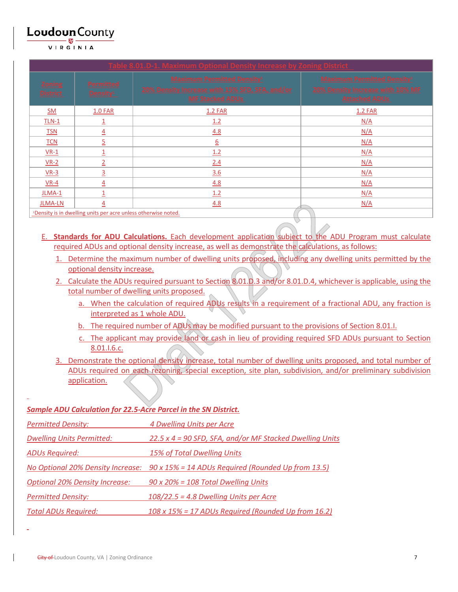VIRGINIA

| Table 8.01.D-1. Maximum Optional Density Increase by Zoning District       |                                          |                                                                                                               |                                                                                               |
|----------------------------------------------------------------------------|------------------------------------------|---------------------------------------------------------------------------------------------------------------|-----------------------------------------------------------------------------------------------|
| <b>Zoning</b><br><b>District</b>                                           | <b>Permitted</b><br>Density <sup>1</sup> | <b>Maximum Permitted Density1</b><br>20% Density Increase with 15% SFD, SFA, and/or<br><b>MF Stacked ADUs</b> | <b>Maximum Permitted Density1</b><br>20% Density Increase with 10% MF<br><b>Attached ADUs</b> |
| $SM$                                                                       | <b>1.0 FAR</b>                           | <b>1.2 FAR</b>                                                                                                | <b>1.2 FAR</b>                                                                                |
| $TLN-1$                                                                    | 1                                        | 1.2                                                                                                           | N/A                                                                                           |
| <b>TSN</b>                                                                 | $\overline{4}$                           | 4.8                                                                                                           | N/A                                                                                           |
| <b>TCN</b>                                                                 | $\overline{5}$                           | $\underline{6}$                                                                                               | N/A                                                                                           |
| $VR-1$                                                                     | $\overline{\mathbf{1}}$                  | 1.2                                                                                                           | N/A                                                                                           |
| $VR-2$                                                                     | $\overline{2}$                           | 2.4                                                                                                           | N/A                                                                                           |
| $VR-3$                                                                     | $\overline{3}$                           | 3.6                                                                                                           | N/A                                                                                           |
| $VR-4$                                                                     | $\overline{4}$                           | 4.8                                                                                                           | N/A                                                                                           |
| JLMA-1                                                                     | $\overline{1}$                           | 1.2                                                                                                           | N/A                                                                                           |
| <b>JLMA-LN</b>                                                             | $\overline{4}$                           | 4.8                                                                                                           | N/A                                                                                           |
| <sup>1</sup> Density is in dwelling units per acre unless otherwise noted. |                                          |                                                                                                               |                                                                                               |
|                                                                            |                                          |                                                                                                               |                                                                                               |

- E. **Standards for ADU Calculations.** Each development application subject to the ADU Program must calculate required ADUs and optional density increase, as well as demonstrate the calculations, as follows:
	- 1. Determine the maximum number of dwelling units proposed, including any dwelling units permitted by the optional density increase.
	- 2. Calculate the ADUs required pursuant to Section 8.01.D.3 and/or 8.01.D.4, whichever is applicable, using the total number of dwelling units proposed.
		- a. When the calculation of required ADUs results in a requirement of a fractional ADU, any fraction is interpreted as 1 whole ADU.
		- b. The required number of ADUs may be modified pursuant to the provisions of Section 8.01.
		- c. The applicant may provide land or cash in lieu of providing required SFD ADUs pursuant to Section 8.01.I.6.c.
	- 3. Demonstrate the optional density increase, total number of dwelling units proposed, and total number of ADUs required on each rezoning, special exception, site plan, subdivision, and/or preliminary subdivision application.

### *Sample ADU Calculation for 22.5-Acre Parcel in the SN District.*

| <b>Permitted Density:</b>             | 4 Dwelling Units per Acre                                                            |
|---------------------------------------|--------------------------------------------------------------------------------------|
| <b>Dwelling Units Permitted:</b>      | 22.5 x 4 = 90 SFD, SFA, and/or MF Stacked Dwelling Units                             |
| <b>ADUs Required:</b>                 | 15% of Total Dwelling Units                                                          |
|                                       | No Optional 20% Density Increase: 90 x 15% = 14 ADUs Required (Rounded Up from 13.5) |
| <b>Optional 20% Density Increase:</b> | $90 \times 20\% = 108$ Total Dwelling Units                                          |
| <b>Permitted Density:</b>             | $108/22.5$ = 4.8 Dwelling Units per Acre                                             |
| <b>Total ADUs Required:</b>           | 108 x 15% = 17 ADUs Required (Rounded Up from 16.2)                                  |

L

L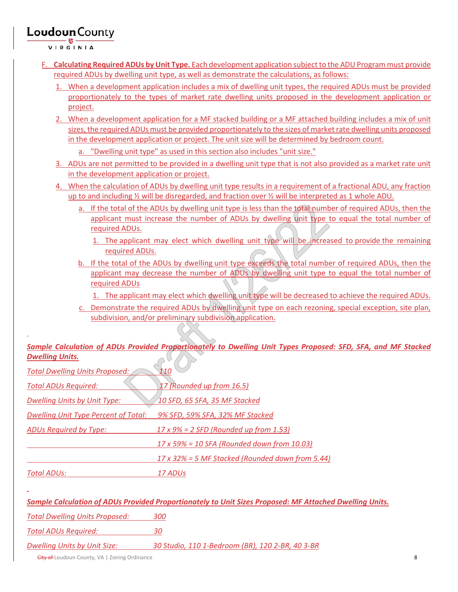VIRGINIA

L

- F. **Calculating Required ADUs by Unit Type.** Each development application subject to the ADU Program must provide required ADUs by dwelling unit type, as well as demonstrate the calculations, as follows:
	- 1. When a development application includes a mix of dwelling unit types, the required ADUs must be provided proportionately to the types of market rate dwelling units proposed in the development application or project.
	- 2. When a development application for a MF stacked building or a MF attached building includes a mix of unit sizes, the required ADUs must be provided proportionately to the sizes of market rate dwelling units proposed in the development application or project. The unit size will be determined by bedroom count.
		- a. "Dwelling unit type" as used in this section also includes "unit size."
	- 3. ADUs are not permitted to be provided in a dwelling unit type that is not also provided as a market rate unit in the development application or project.
	- 4. When the calculation of ADUs by dwelling unit type results in a requirement of a fractional ADU, any fraction up to and including ½ will be disregarded, and fraction over ½ will be interpreted as 1 whole ADU.
		- a. If the total of the ADUs by dwelling unit type is less than the total number of required ADUs, then the applicant must increase the number of ADUs by dwelling unit type to equal the total number of required ADUs.
			- 1. The applicant may elect which dwelling unit type will be increased to provide the remaining required ADUs.
		- b. If the total of the ADUs by dwelling unit type exceeds the total number of required ADUs, then the applicant may decrease the number of ADUs by dwelling unit type to equal the total number of required ADUs
			- 1. The applicant may elect which dwelling unit type will be decreased to achieve the required ADUs.
		- c. Demonstrate the required ADUs by dwelling unit type on each rezoning, special exception, site plan, subdivision, and/or preliminary subdivision application.

#### *Sample Calculation of ADUs Provided Proportionately to Dwelling Unit Types Proposed: SFD, SFA, and MF Stacked Dwelling Units.*  $\sim$

| <b>Total Dwelling Units Proposed:</b> | 110                                                                                                     |
|---------------------------------------|---------------------------------------------------------------------------------------------------------|
| <b>Total ADUs Required:</b>           | 17 (Rounded up from 16.5)                                                                               |
| <b>Dwelling Units by Unit Type:</b>   | 10 SFD, 65 SFA, 35 MF Stacked                                                                           |
| Dwelling Unit Type Percent of Total:  | 9% SFD, 59% SFA, 32% MF Stacked                                                                         |
| ADUs Required by Type:                | $17 \times 9\% = 2$ SFD (Rounded up from 1.53)                                                          |
|                                       | 17 x 59% = 10 SFA (Rounded down from 10.03)                                                             |
|                                       | 17 x 32% = 5 MF Stacked (Rounded down from 5.44)                                                        |
| <b>Total ADUs:</b>                    | 17 ADUs                                                                                                 |
|                                       |                                                                                                         |
|                                       | Sample Calculation of ADUs Provided Proportionately to Unit Sizes Proposed: MF Attached Dwelling Units. |
| <b>Total Dwelling Units Proposed:</b> | 300                                                                                                     |
| Total ADUs Required:                  | 30                                                                                                      |

*Dwelling Units by Unit Size: 30 Studio, 110 1-Bedroom (BR), 120 2-BR, 40 3-BR*

**City of** Loudoun County, VA | Zoning Ordinance 8 **8**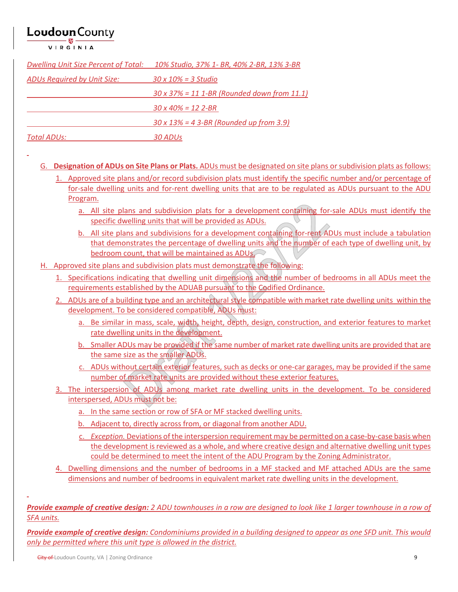VIRGINIA

L

L

| <b>Dwelling Unit Size Percent of Total:</b> | 10% Studio, 37% 1- BR, 40% 2-BR, 13% 3-BR           |
|---------------------------------------------|-----------------------------------------------------|
| ADUs Required by Unit Size:                 | $30 \times 10\% = 3$ Studio                         |
|                                             | $30 \times 37\% = 11$ 1-BR (Rounded down from 11.1) |
|                                             | $30 \times 40\% = 12$ 2-BR                          |
|                                             | $30 \times 13\% = 4$ 3-BR (Rounded up from 3.9)     |
| Total ADUs:                                 | 30 ADUs                                             |

- G. **Designation of ADUs on Site Plans or Plats.** ADUs must be designated on site plans or subdivision plats as follows:
	- 1. Approved site plans and/or record subdivision plats must identify the specific number and/or percentage of for-sale dwelling units and for-rent dwelling units that are to be regulated as ADUs pursuant to the ADU Program.
		- a. All site plans and subdivision plats for a development containing for-sale ADUs must identify the specific dwelling units that will be provided as ADUs.
		- b. All site plans and subdivisions for a development containing for-rent ADUs must include a tabulation that demonstrates the percentage of dwelling units and the number of each type of dwelling unit, by bedroom count, that will be maintained as ADUs.
- H. Approved site plans and subdivision plats must demonstrate the following:
	- 1. Specifications indicating that dwelling unit dimensions and the number of bedrooms in all ADUs meet the requirements established by the ADUAB pursuant to the Codified Ordinance.
	- 2. ADUs are of a building type and an architectural style compatible with market rate dwelling units within the development. To be considered compatible, ADUs must:
		- a. Be similar in mass, scale, width, height, depth, design, construction, and exterior features to market rate dwelling units in the development.
		- b. Smaller ADUs may be provided if the same number of market rate dwelling units are provided that are the same size as the smaller ADUs.
		- c. ADUs without certain exterior features, such as decks or one-car garages, may be provided if the same number of market rate units are provided without these exterior features.
	- 3. The interspersion of ADUs among market rate dwelling units in the development. To be considered interspersed, ADUs must not be:
		- a. In the same section or row of SFA or MF stacked dwelling units.
		- b. Adjacent to, directly across from, or diagonal from another ADU.
		- c. *Exception.* Deviations of the interspersion requirement may be permitted on a case-by-case basis when the development is reviewed as a whole, and where creative design and alternative dwelling unit types could be determined to meet the intent of the ADU Program by the Zoning Administrator.
	- 4. Dwelling dimensions and the number of bedrooms in a MF stacked and MF attached ADUs are the same dimensions and number of bedrooms in equivalent market rate dwelling units in the development.

*Provide example of creative design: 2 ADU townhouses in a row are designed to look like 1 larger townhouse in a row of SFA units.*

*Provide example of creative design: Condominiums provided in a building designed to appear as one SFD unit. This would only be permitted where this unit type is allowed in the district.*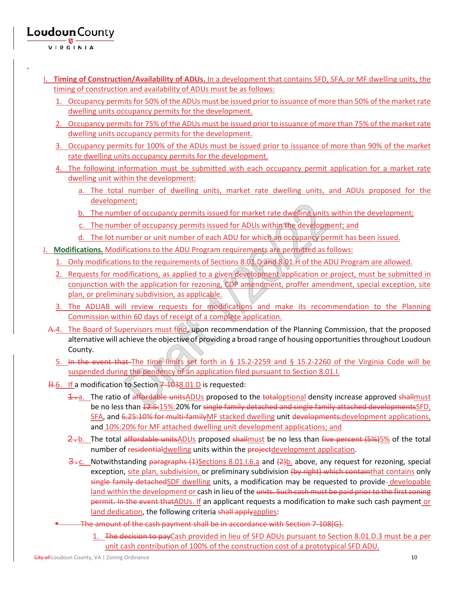- I. **Timing of Construction/Availability of ADUs.** In a development that contains SFD, SFA, or MF dwelling units, the timing of construction and availability of ADUs must be as follows:
	- 1. Occupancy permits for 50% of the ADUs must be issued prior to issuance of more than 50% of the market rate dwelling units occupancy permits for the development.
	- 2. Occupancy permits for 75% of the ADUs must be issued prior to issuance of more than 75% of the market rate dwelling units occupancy permits for the development.
	- 3. Occupancy permits for 100% of the ADUs must be issued prior to issuance of more than 90% of the market rate dwelling units occupancy permits for the development.
	- 4. The following information must be submitted with each occupancy permit application for a market rate dwelling unit within the development:
		- a. The total number of dwelling units, market rate dwelling units, and ADUs proposed for the development;
		- b. The number of occupancy permits issued for market rate dwelling units within the development;
		- c. The number of occupancy permits issued for ADUs within the development; and
		- d. The lot number or unit number of each ADU for which an occupancy permit has been issued.
- J. **Modifications.** Modifications to the ADU Program requirements are permitted as follows:
	- 1. Only modifications to the requirements of Sections 8.01.D and 8.01.H of the ADU Program are allowed.
	- 2. Requests for modifications, as applied to a given development application or project, must be submitted in conjunction with the application for rezoning, CDP amendment, proffer amendment, special exception, site plan, or preliminary subdivision, as applicable.
	- 3. The ADUAB will review requests for modifications and make its recommendation to the Planning Commission within 60 days of receipt of a complete application.
- Α.4. The Board of Supervisors must find, upon recommendation of the Planning Commission, that the proposed alternative will achieve the objective of providing a broad range of housing opportunities throughout Loudoun County.
	- 5. In the event that The time limits set forth in § 15.2-2259 and § 15.2-2260 of the Virginia Code will be suspended during the pendency of an application filed pursuant to Section 8.01.I.
- Β.6. If a modification to Section 7-1038.01.D is requested:
	- $\pm$ . The ratio of affordable unitsADUs proposed to the totaloptional density increase approved shallmust be no less than  $12.5:15\%$ :20% for single family detached and single family attached developmentsSFD, SFA, and 6.25:10% for multi-familyMF stacked dwelling unit developments;development applications, and 10%:20% for MF attached dwelling unit development applications; and
	- 2.b. The total affordable unitsADUs proposed shallmust be no less than five percent (5%)5% of the total number of residentialdwelling units within the projectdevelopment application.
	- $\frac{3}{2}$ . Notwithstanding paragraphs (1)Sections 8.01.I.6.a and (2)b. above, any request for rezoning, special exception, site plan, subdivision, or preliminary subdivision (by right) which containthat contains only single family detachedSDF dwelling units, a modification may be requested to provide-developable land within the development or cash in lieu of the units. Such cash must be paid prior to the first zoning permit. In the event that ADUs. If an applicant requests a modification to make such cash payment or land dedication, the following criteria shall applyapplies:
	- The amount of the cash payment shall be in accordance with Section 7-108(G).
		- 1. The decision to payCash provided in lieu of SFD ADUs pursuant to Section 8.01.D.3 must be a per unit cash contribution of 100% of the construction cost of a prototypical SFD ADU.

L

Loudoun County

VIRGINIA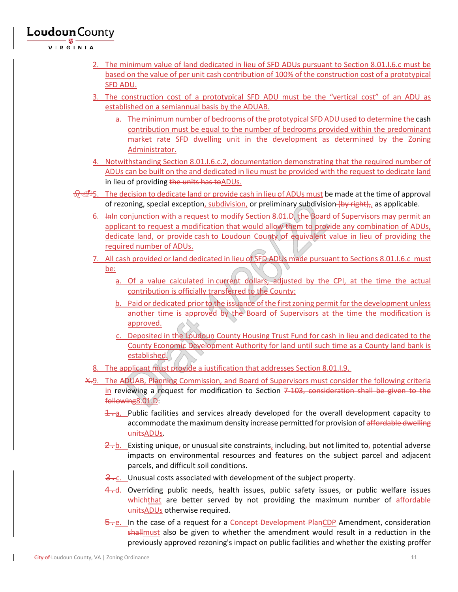VIRGINIA

- 2. The minimum value of land dedicated in lieu of SFD ADUs pursuant to Section 8.01.I.6.c must be based on the value of per unit cash contribution of 100% of the construction cost of a prototypical SFD ADU.
- 3. The construction cost of a prototypical SFD ADU must be the "vertical cost" of an ADU as established on a semiannual basis by the ADUAB.
	- a. The minimum number of bedrooms of the prototypical SFD ADU used to determine the cash contribution must be equal to the number of bedrooms provided within the predominant market rate SFD dwelling unit in the development as determined by the Zoning Administrator.
- 4. Notwithstanding Section 8.01.I.6.c.2, documentation demonstrating that the required number of ADUs can be built on the and dedicated in lieu must be provided with the request to dedicate land in lieu of providing the units has to ADUs.
- $\sqrt[3]{}$ 5. The decision to dedicate land or provide cash in lieu of ADUs must be made at the time of approval of rezoning, special exception, subdivision, or preliminary subdivision (by right),, as applicable.
	- 6. InIn conjunction with a request to modify Section 8.01.D, the Board of Supervisors may permit an applicant to request a modification that would allow them to provide any combination of ADUs, dedicate land, or provide cash to Loudoun County of equivalent value in lieu of providing the required number of ADUs.
	- 7. All cash provided or land dedicated in lieu of SFD ADUs made pursuant to Sections 8.01.I.6.c must be:
		- a. Of a value calculated in current dollars, adjusted by the CPI, at the time the actual contribution is officially transferred to the County;
		- b. Paid or dedicated prior to the issuance of the first zoning permit for the development unless another time is approved by the Board of Supervisors at the time the modification is approved.
		- c. Deposited in the Loudoun County Housing Trust Fund for cash in lieu and dedicated to the County Economic Development Authority for land until such time as a County land bank is established.
	- 8. The applicant must provide a justification that addresses Section 8.01.I.9.
	- Χ.9. The ADUAB, Planning Commission, and Board of Supervisors must consider the following criteria in reviewing a request for modification to Section  $7-103$ , consideration shall be given to the following8.01.D:
		- $\pm$ . Public facilities and services already developed for the overall development capacity to accommodate the maximum density increase permitted for provision of affordable dwelling unitsADUs.
		- $\frac{2}{2}$ . Existing unique, or unusual site constraints, including, but not limited to, potential adverse impacts on environmental resources and features on the subject parcel and adjacent parcels, and difficult soil conditions.
		- $\frac{3}{2}$ . Unusual costs associated with development of the subject property.
		- $\frac{4}{10}$ . Overriding public needs, health issues, public safety issues, or public welfare issues whichthat are better served by not providing the maximum number of affordable unitsADUs otherwise required.
		- 5.e. In the case of a request for a Concept Development PlanCDP Amendment, consideration shallmust also be given to whether the amendment would result in a reduction in the previously approved rezoning's impact on public facilities and whether the existing proffer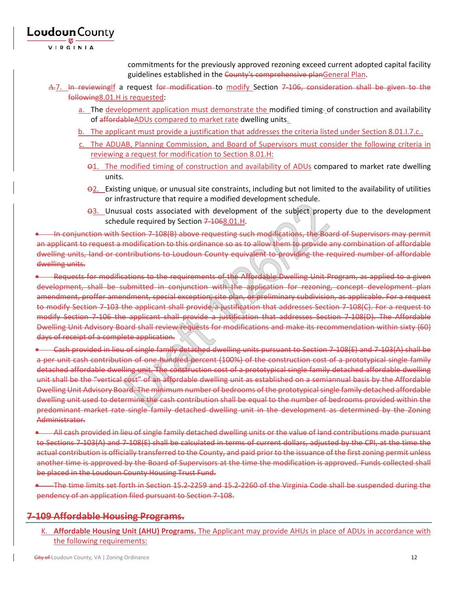VIRGINIA

Loudoun County

commitments for the previously approved rezoning exceed current adopted capital facility guidelines established in the County's comprehensive planGeneral Plan.

- ∆.7. In reviewingIf a request for modification to modify Section 7-106, consideration shall be given to the following8.01.H is requested:
	- a. The development application must demonstrate the modified timing-of construction and availability of affordableADUs compared to market rate dwelling units.
	- b. The applicant must provide a justification that addresses the criteria listed under Section 8.01.I.7.c..
	- c. The ADUAB, Planning Commission, and Board of Supervisors must consider the following criteria in reviewing a request for modification to Section 8.01.H:
		- $\Theta$ 1. The modified timing of construction and availability of ADUs compared to market rate dwelling units.
		- $\Theta$ 2. Existing unique, or unusual site constraints, including but not limited to the availability of utilities or infrastructure that require a modified development schedule.
		- $\Theta$ 3. Unusual costs associated with development of the subject property due to the development schedule required by Section 7-1068.01.H.

• In conjunction with Section 7-108(B) above requesting such modifications, the Board of Supervisors may permit an applicant to request a modification to this ordinance so as to allow them to provide any combination of affordable dwelling units, land or contributions to Loudoun County equivalent to providing the required number of affordable dwelling units.

• Requests for modifications to the requirements of the Affordable Dwelling Unit Program, as applied to a given development, shall be submitted in conjunction with the application for rezoning, concept development plan amendment, proffer amendment, special exception, site plan, or preliminary subdivision, as applicable. For a request to modify Section 7-103 the applicant shall provide a justification that addresses Section 7-108(C). For a request to modify Section 7-106 the applicant shall provide a justification that addresses Section 7-108(D). The Affordable Dwelling Unit Advisory Board shall review requests for modifications and make its recommendation within sixty (60) days of receipt of a complete application.

• Cash provided in lieu of single family detached dwelling units pursuant to Section 7-108(E) and 7-103(A) shall be a per unit cash contribution of one hundred percent (100%) of the construction cost of a prototypical single family detached affordable dwelling unit. The construction cost of a prototypical single family detached affordable dwelling unit shall be the "vertical cost" of an affordable dwelling unit as established on a semiannual basis by the Affordable Dwelling Unit Advisory Board. The minimum number of bedrooms of the prototypical single family detached affordable dwelling unit used to determine the cash contribution shall be equal to the number of bedrooms provided within the predominant market rate single family detached dwelling unit in the development as determined by the Zoning Administrator.

• All cash provided in lieu of single family detached dwelling units or the value of land contributions made pursuant to Sections 7-103(A) and 7-108(E) shall be calculated in terms of current dollars, adjusted by the CPI, at the time the actual contribution is officially transferred to the County, and paid prior to the issuance of the first zoning permit unless another time is approved by the Board of Supervisors at the time the modification is approved. Funds collected shall be placed in the Loudoun County Housing Trust Fund.

• The time limits set forth in Section 15.2-2259 and 15.2-2260 of the Virginia Code shall be suspended during the pendency of an application filed pursuant to Section 7-108.

### **7-109 Affordable Housing Programs.**

K. **Affordable Housing Unit (AHU) Programs.** The Applicant may provide AHUs in place of ADUs in accordance with the following requirements: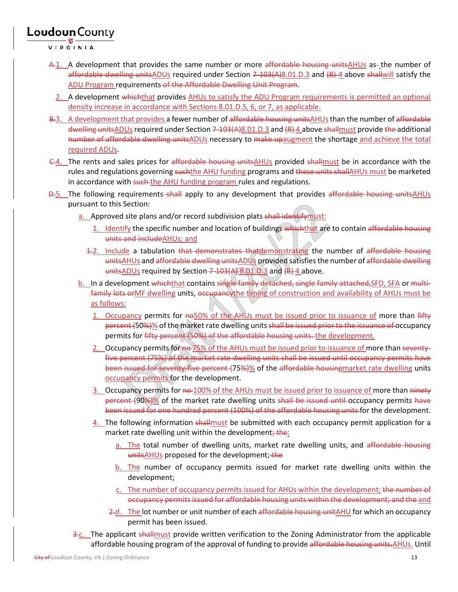VIRGINIA

- A.1. A development that provides the same number or more affordable housing unitsAHUs as the number of affordable dwelling unitsADUs required under Section 7-103(A)8.01.D.3 and (B)-4 above shallwill satisfy the ADU Program requirements of the Affordable Dwelling Unit Program.
- 2. A development which that provides AHUs to satisfy the ADU Program requirements is permitted an optional density increase in accordance with Sections 8.01.D.5, 6, or 7, as applicable.
- B.3. A development that provides a fewer number of affordable housing unitsAHUs than the number of affordable dwelling unitsADUs required under Section 7-103(A)8.01.D.3 and (B) 4 above shallmust provide the additional number of affordable dwelling unitsADUs necessary to make upaugment the shortage and achieve the total required ADUs.
- C.4. The rents and sales prices for affordable housing unitsAHUs provided shallmust be in accordance with the rules and regulations governing suchthe AHU funding programs and these units shallAHUs must be marketed in accordance with such the AHU funding program rules and regulations.
- **D.5.** The following requirements shall apply to any development that provides affordable housing unitsAHUs pursuant to this Section:
	- a. Approved site plans and/or record subdivision plats shall identifymust:
		- 1. Identify the specific number and location of buildings which that are to contain affordable housing units and includeAHUs; and
		- 4.2. Include a tabulation that demonstrates thatdemonstrating the number of affordable housing unitsAHUs and affordable dwelling unitsADUs provided satisfies the number of affordable dwelling units $ADUs$  required by Section  $7-103(A) 8.01.0.3$  and  $(B) 4$  above.
	- b. In a development whichthat contains single family detached, single family attached, SFD, SFA or multifamily lots or MF dwelling units, occupancy the timing of construction and availability of AHUs must be as follows:
		- 1. Occupancy permits for no50% of the AHUs must be issued prior to issuance of more than fifty percent (50%)% of the market rate dwelling units shall be issued prior to the issuance of occupancy permits for fifty percent (50%) of the affordable housing units. the development.
		- 2. Occupancy permits for no 75% of the AHUs must be issued prior to issuance of more than seventyfive percent (75%) of the market rate dwelling units shall be issued until occupancy permits have been issued for seventy-five percent (75%)% of the affordable housingmarket rate dwelling units occupancy permits for the development.
		- 3. Occupancy permits for no 100% of the AHUs must be issued prior to issuance of more than ninety percent (90%)% of the market rate dwelling units shall be issued until occupancy permits have been issued for one hundred percent (100%) of the affordable housing units for the development.
		- $4.$  The following information shall must be submitted with each occupancy permit application for a market rate dwelling unit within the development; the:
			- a. The total number of dwelling units, market rate dwelling units, and affordable housing unitsAHUs proposed for the development; the
			- b. The number of occupancy permits issued for market rate dwelling units within the development;
			- c. The number of occupancy permits issued for AHUs within the development; the number of occupancy permits issued for affordable housing units within the development; and the and
			- 2.d. The lot number or unit number of each affordable housing unitAHU for which an occupancy permit has been issued.
	- 3.c. The applicant shallmust provide written verification to the Zoning Administrator from the applicable affordable housing program of the approval of funding to provide affordable housing units. AHUs. Until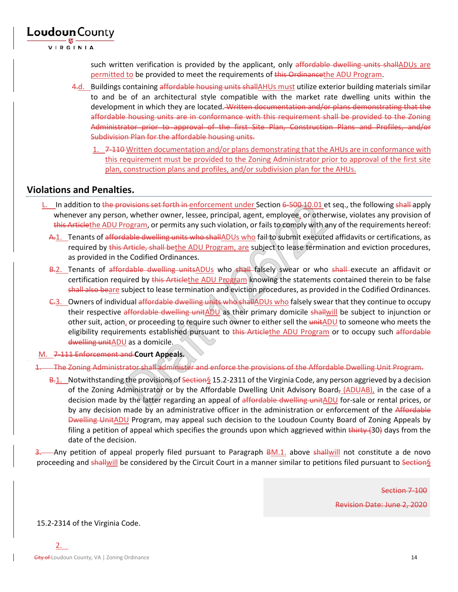

VIRGINIA

such written verification is provided by the applicant, only affordable dwelling units shallADUs are permitted to be provided to meet the requirements of this Ordinancethe ADU Program.

- 4.d. Buildings containing affordable housing units shallAHUs must utilize exterior building materials similar to and be of an architectural style compatible with the market rate dwelling units within the development in which they are located. Written documentation and/or plans demonstrating that the affordable housing units are in conformance with this requirement shall be provided to the Zoning Administrator prior to approval of the first Site Plan, Construction Plans and Profiles, and/or Subdivision Plan for the affordable housing units.
	- 1. 7-110 Written documentation and/or plans demonstrating that the AHUs are in conformance with this requirement must be provided to the Zoning Administrator prior to approval of the first site plan, construction plans and profiles, and/or subdivision plan for the AHUs.

### **Violations and Penalties.**

- L. In addition to the provisions set forth in enforcement under Section 6-500-10.01 et seq., the following shall apply whenever any person, whether owner, lessee, principal, agent, employee, or otherwise, violates any provision of this Articlethe ADU Program, or permits any such violation, or fails to comply with any of the requirements hereof:
	- A.1. Tenants of affordable dwelling units who shallADUs who fail to submit executed affidavits or certifications, as required by this Article, shall bethe ADU Program, are subject to lease termination and eviction procedures, as provided in the Codified Ordinances.
	- B.2. Tenants of affordable dwelling unitsADUs who shall falsely swear or who shall execute an affidavit or certification required by this Articlethe ADU Program knowing the statements contained therein to be false shall also beare subject to lease termination and eviction procedures, as provided in the Codified Ordinances.
	- C.3. Owners of individual affordable dwelling units who shallADUs who falsely swear that they continue to occupy their respective affordable dwelling unitADU as their primary domicile shallwill be subject to injunction or other suit, action, or proceeding to require such owner to either sell the unitADU to someone who meets the eligibility requirements established pursuant to this Articlethe ADU Program or to occupy such affordable dwelling unitADU as a domicile.
- M. 7-111 Enforcement and **Court Appeals.**

1. The Zoning Administrator shall administer and enforce the provisions of the Affordable Dwelling Unit Program.

B.1. Notwithstanding the provisions of Section§ 15.2-2311 of the Virginia Code, any person aggrieved by a decision of the Zoning Administrator or by the Affordable Dwelling Unit Advisory Board, (ADUAB), in the case of a decision made by the latter regarding an appeal of affordable dwelling unitADU for-sale or rental prices, or by any decision made by an administrative officer in the administration or enforcement of the Affordable Dwelling UnitADU Program, may appeal such decision to the Loudoun County Board of Zoning Appeals by filing a petition of appeal which specifies the grounds upon which aggrieved within  $\frac{1}{1}$  thirty (30) days from the date of the decision.

-Any petition of appeal properly filed pursuant to Paragraph BM.1. above shallwill not constitute a de novo proceeding and shallwill be considered by the Circuit Court in a manner similar to petitions filed pursuant to Section§

> Section 7-100 Revision Date: June 2, 2020

15.2-2314 of the Virginia Code.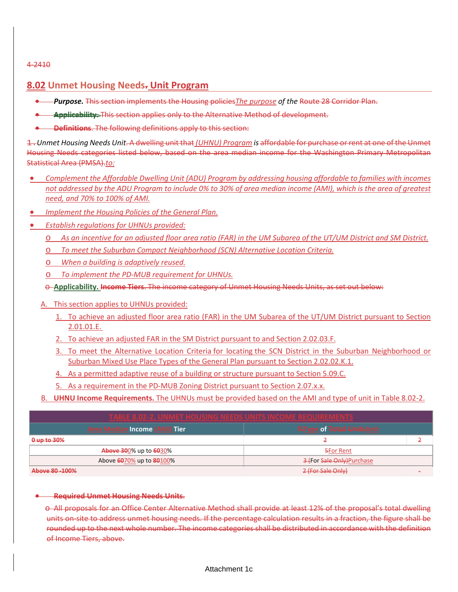#### 4-2410

### **8.02 Unmet Housing Needs. Unit Program**

- *Purpose.* This section implements the Housing policies*The purpose of the* Route 28 Corridor Plan.
- **Applicability.** This section applies only to the Alternative Method of development.
- **Definitions**. The following definitions apply to this section:

1.*Unmet Housing Needs Unit*. A dwelling unit that *(UHNU) Program is* affordable for purchase or rent at one of the Unmet Housing Needs categories listed below, based on the area median income for the Washington Primary Metropolitan Statistical Area (PMSA).*to:*

- *Complement the Affordable Dwelling Unit (ADU) Program by addressing housing affordable to families with incomes not addressed by the ADU Program to include 0% to 30% of area median income (AMI), which is the area of greatest need, and 70% to 100% of AMI.*
- *Implement the Housing Policies of the General Plan.*
- *Establish regulations for UHNUs provided:*
	- o *As an incentive for an adjusted floor area ratio (FAR) in the UM Subarea of the UT/UM District and SM District.*
	- o *To meet the Suburban Compact Neighborhood (SCN) Alternative Location Criteria.*
	- o *When a building is adaptively reused.*
	- o *To implement the PD-MUB requirement for UHNUs.*
	- o **Applicability. Income Tiers**. The income category of Unmet Housing Needs Units, as set out below:
	- A. This section applies to UHNUs provided:
		- 1. To achieve an adjusted floor area ratio (FAR) in the UM Subarea of the UT/UM District pursuant to Section 2.01.01.E.
		- 2. To achieve an adjusted FAR in the SM District pursuant to and Section 2.02.03.F.
		- 3. To meet the Alternative Location Criteria for locating the SCN District in the Suburban Neighborhood or Suburban Mixed Use Place Types of the General Plan pursuant to Section 2.02.02.K.1.
		- 4. As a permitted adaptive reuse of a building or structure pursuant to Section 5.09.C.
		- 5. As a requirement in the PD-MUB Zoning District pursuant to Section 2.07.x.x.
	- B. **UHNU Income Requirements.** The UHNUs must be provided based on the AMI and type of unit in Table 8.02-2.

| <b>TABLE 8.02-2. UNMET HOUSING NEEDS UNITS INCOME REQUIREMENTS</b>                 |                            |  |
|------------------------------------------------------------------------------------|----------------------------|--|
| <b>Area Median Income (AMI) Tier</b><br><b>%Type of <del>Total Units</del>Unit</b> |                            |  |
| $0$ up to $30\%$                                                                   |                            |  |
| <b>Above 30</b> 0% up to 6030%                                                     | <b>5For Rent</b>           |  |
| Above 6070% up to 80100%                                                           | 3 (For Sale Only) Purchase |  |
| Above 80-100%                                                                      | 2 (For Sale Only)          |  |

### • **Required Unmet Housing Needs Units**.

o All proposals for an Office Center Alternative Method shall provide at least 12% of the proposal's total dwelling units on-site to address unmet housing needs. If the percentage calculation results in a fraction, the figure shall be rounded up to the next whole number. The income categories shall be distributed in accordance with the definition of Income Tiers, above.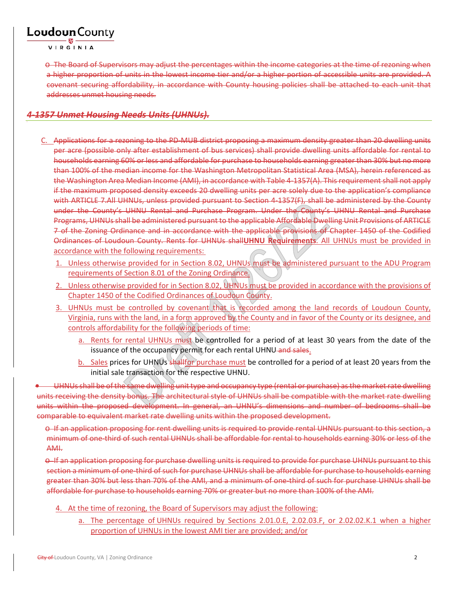VIRGINIA

o The Board of Supervisors may adjust the percentages within the income categories at the time of rezoning when a higher proportion of units in the lowest income tier and/or a higher portion of accessible units are provided. A covenant securing affordability, in accordance with County housing policies shall be attached to each unit that addresses unmet housing needs.

### *4-1357 Unmet Housing Needs Units (UHNUs).*

- C. Applications for a rezoning to the PD-MUB district proposing a maximum density greater than 20 dwelling units per acre (possible only after establishment of bus services) shall provide dwelling units affordable for rental to households earning 60% or less and affordable for purchase to households earning greater than 30% but no more than 100% of the median income for the Washington Metropolitan Statistical Area (MSA), herein referenced as the Washington Area Median Income (AMI), in accordance with Table 4-1357(A). This requirement shall not apply if the maximum proposed density exceeds 20 dwelling units per acre solely due to the application's compliance with ARTICLE 7.All UHNUs, unless provided pursuant to Section 4-1357(F), shall be administered by the County under the County's UHNU Rental and Purchase Program. Under the County's UHNU Rental and Purchase Programs, UHNUs shall be administered pursuant to the applicable Affordable Dwelling Unit Provisions of ARTICLE 7 of the Zoning Ordinance and in accordance with the applicable provisions of Chapter 1450 of the Codified Ordinances of Loudoun County. Rents for UHNUs shall**UHNU Requirements**. All UHNUs must be provided in accordance with the following requirements:
	- 1. Unless otherwise provided for in Section 8.02, UHNUs must be administered pursuant to the ADU Program requirements of Section 8.01 of the Zoning Ordinance.
	- 2. Unless otherwise provided for in Section 8.02, UHNUs must be provided in accordance with the provisions of Chapter 1450 of the Codified Ordinances of Loudoun County.
	- 3. UHNUs must be controlled by covenant that is recorded among the land records of Loudoun County, Virginia, runs with the land, in a form approved by the County and in favor of the County or its designee, and controls affordability for the following periods of time:
		- a. Rents for rental UHNUs must be controlled for a period of at least 30 years from the date of the issuance of the occupancy permit for each rental UHNU-and sales.
		- b. Sales prices for UHNUs shallfor purchase must be controlled for a period of at least 20 years from the initial sale transaction for the respective UHNU.

• UHNUs shall be of the same dwelling unit type and occupancy type (rental or purchase) as the market rate dwelling units receiving the density bonus. The architectural style of UHNUs shall be compatible with the market rate dwelling units within the proposed development. In general, an UHNU's dimensions and number of bedrooms shall be comparable to equivalent market rate dwelling units within the proposed development.

o If an application proposing for rent dwelling units is required to provide rental UHNUs pursuant to this section, a minimum of one-third of such rental UHNUs shall be affordable for rental to households earning 30% or less of the AMI.

o If an application proposing for purchase dwelling units is required to provide for purchase UHNUs pursuant to this section a minimum of one-third of such for purchase UHNUs shall be affordable for purchase to households earning greater than 30% but less than 70% of the AMI, and a minimum of one-third of such for purchase UHNUs shall be affordable for purchase to households earning 70% or greater but no more than 100% of the AMI.

- 4. At the time of rezoning, the Board of Supervisors may adjust the following:
	- a. The percentage of UHNUs required by Sections 2.01.0.E, 2.02.03.F, or 2.02.02.K.1 when a higher proportion of UHNUs in the lowest AMI tier are provided; and/or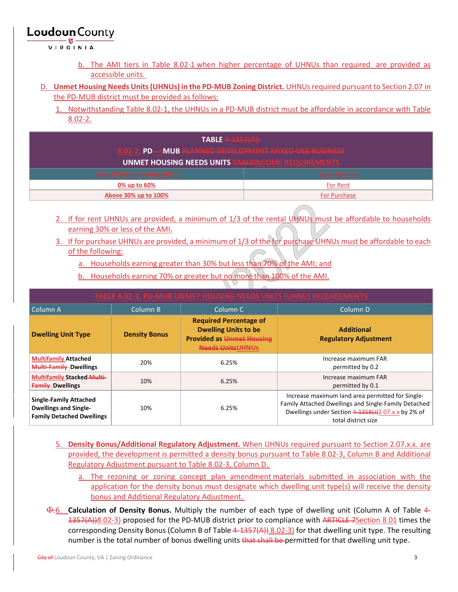VIRGINIA

- b. The AMI tiers in Table 8.02-1 when higher percentage of UHNUs than required are provided as accessible units.
- D. **Unmet Housing Needs Units (UHNUs) in the PD-MUB Zoning District.** UHNUs required pursuant to Section 2.07 in the PD-MUB district must be provided as follows:
	- 1. Notwithstanding Table 8.02-1, the UHNUs in a PD-MUB district must be affordable in accordance with Table 8.02-2.

| <b>TABLE</b> $4-1357(A)$                                  |                     |  |
|-----------------------------------------------------------|---------------------|--|
| PD--MUB PLANNED-DEVELOPMENT MIXED-USE BUSINESS            |                     |  |
| <b>UNMET HOUSING NEEDS UNITS TABLEINCOME REQUIREMENTS</b> |                     |  |
| <b>Area Median Income (AMI)</b>                           | <b>Type of Unit</b> |  |
| 0% up to 60%                                              | For Rent            |  |
| Above 30% up to 100%                                      | <b>For Purchase</b> |  |

- 2. If for rent UHNUs are provided, a minimum of 1/3 of the rental UHNUs must be affordable to households earning 30% or less of the AMI.
- 3. If for purchase UHNUs are provided, a minimum of 1/3 of the for purchase UHNUs must be affordable to each of the following:
	- a. Households earning greater than 30% but less than 70% of the AMI; and
	- b. Households earning 70% or greater but no more than 100% of the AMI.

| Column A                                                                                          | Column B             | Column <sub>C</sub>                                                                                                          | Column D                                                                                                                                                                              |
|---------------------------------------------------------------------------------------------------|----------------------|------------------------------------------------------------------------------------------------------------------------------|---------------------------------------------------------------------------------------------------------------------------------------------------------------------------------------|
| <b>Dwelling Unit Type</b>                                                                         | <b>Density Bonus</b> | <b>Required Percentage of</b><br><b>Dwelling Units to be</b><br><b>Provided as Unmet Housing</b><br><b>Needs Units UHNUS</b> | <b>Additional</b><br><b>Regulatory Adjustment</b>                                                                                                                                     |
| <b>Multifamily Attached</b><br><b>Multi-Family-Dwellings</b>                                      | 20%                  | 6.25%                                                                                                                        | Increase maximum FAR<br>permitted by 0.2                                                                                                                                              |
| <b>Multifamily Stacked-Multi-</b><br><b>Family Dwellings</b>                                      | 10%                  | 6.25%                                                                                                                        | Increase maximum FAR<br>permitted by 0.1                                                                                                                                              |
| <b>Single-Family Attached</b><br><b>Dwellings and Single-</b><br><b>Family Detached Dwellings</b> | 10%                  | 6.25%                                                                                                                        | Increase maximum land area permitted for Single-<br>Family Attached Dwellings and Single-Family Detached<br>Dwellings under Section 4-1358(J)2.07.x.x by 2% of<br>total district size |

- 5. **Density Bonus/Additional Regulatory Adjustment.** When UHNUs required pursuant to Section 2.07.x.x. are provided, the development is permitted a density bonus pursuant to Table 8.02-3, Column B and Additional Regulatory Adjustment pursuant to Table 8.02-3, Column D.
	- a. The rezoning or zoning concept plan amendment materials submitted in association with the application for the density bonus must designate which dwelling unit type(s) will receive the density bonus and Additional Regulatory Adjustment.
- Φ.6. **Calculation of Density Bonus.** Multiply the number of each type of dwelling unit (Column A of Table 4- 1357(A))8.02-3) proposed for the PD-MUB district prior to compliance with ARTICLE-7 Section 8.01 times the corresponding Density Bonus (Column B of Table 4-1357(A)) 8.02-3) for that dwelling unit type. The resulting number is the total number of bonus dwelling units that shall be permitted for that dwelling unit type.